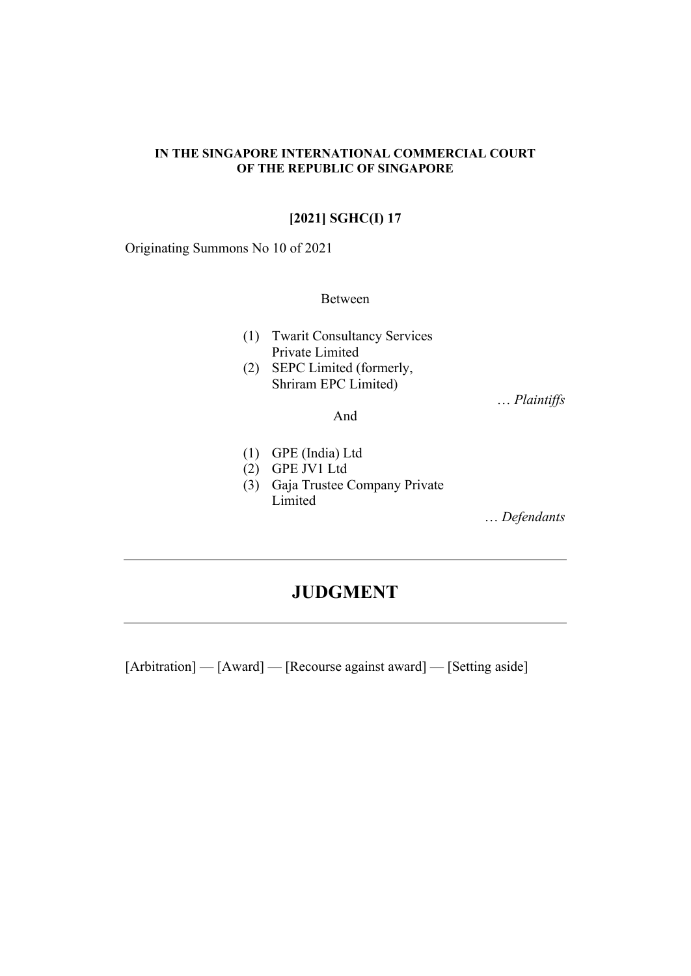#### **IN THE SINGAPORE INTERNATIONAL COMMERCIAL COURT OF THE REPUBLIC OF SINGAPORE**

## **[2021] SGHC(I) 17**

Originating Summons No 10 of 2021

## Between

- (1) Twarit Consultancy Services Private Limited
- (2) SEPC Limited (formerly, Shriram EPC Limited)

… *Plaintiffs* 

#### And

- (1) GPE (India) Ltd
- (2) GPE JV1 Ltd
- (3) Gaja Trustee Company Private Limited

… *Defendants*

# **JUDGMENT**

[Arbitration] — [Award] — [Recourse against award] — [Setting aside]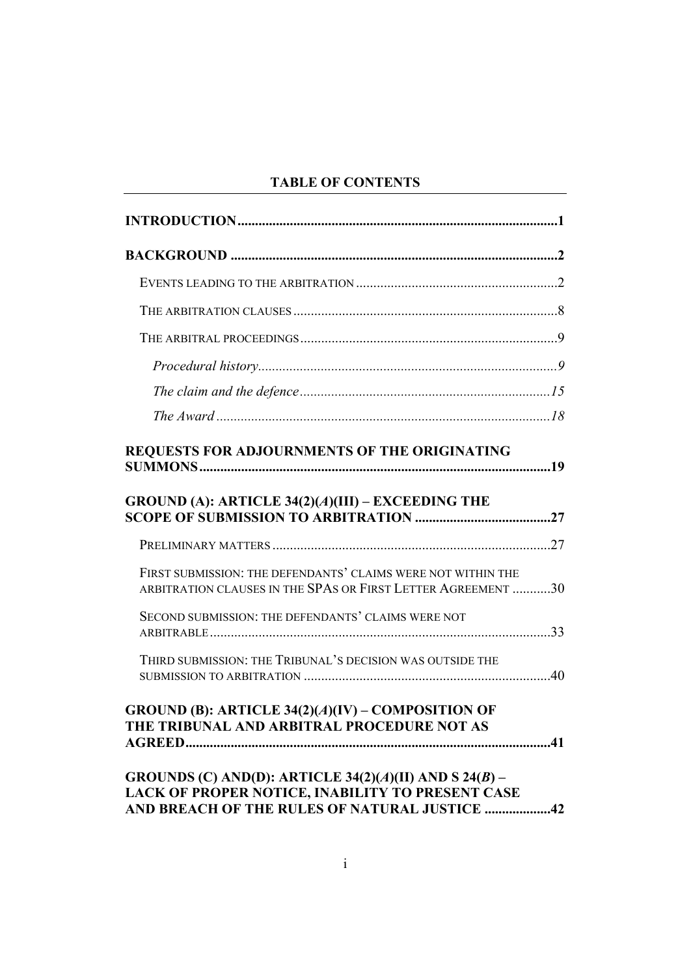## **TABLE OF CONTENTS**

| REQUESTS FOR ADJOURNMENTS OF THE ORIGINATING                                                                                 |  |
|------------------------------------------------------------------------------------------------------------------------------|--|
| GROUND (A): ARTICLE $34(2)(A)(III)$ – EXCEEDING THE                                                                          |  |
|                                                                                                                              |  |
| FIRST SUBMISSION: THE DEFENDANTS' CLAIMS WERE NOT WITHIN THE<br>ARBITRATION CLAUSES IN THE SPAS OR FIRST LETTER AGREEMENT 30 |  |
| SECOND SUBMISSION: THE DEFENDANTS' CLAIMS WERE NOT                                                                           |  |
| THIRD SUBMISSION: THE TRIBUNAL'S DECISION WAS OUTSIDE THE                                                                    |  |
| <b>GROUND (B): ARTICLE 34(2)(A)(IV) – COMPOSITION OF</b><br>THE TRIBUNAL AND ARBITRAL PROCEDURE NOT AS                       |  |
| GROUNDS (C) AND(D): ARTICLE 34(2)(A)(II) AND S 24(B) –<br>LACK OF PROPER NOTICE, INABILITY TO PRESENT CASE                   |  |

**[AND BREACH OF THE RULES OF NATURAL JUSTICE ...................42](#page-44-0)**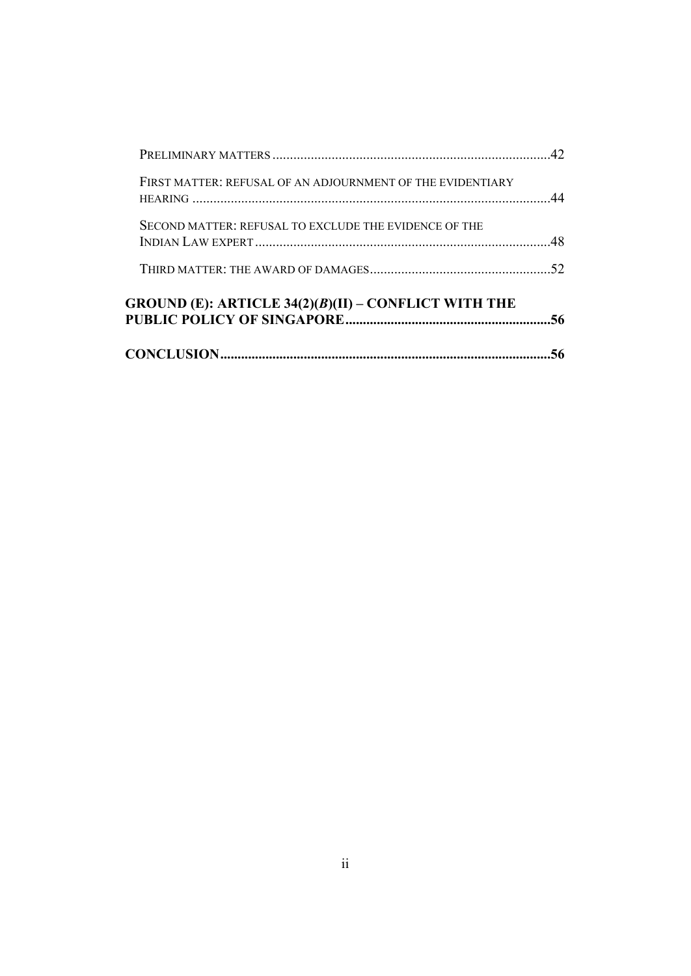|                                                            | 56 |
|------------------------------------------------------------|----|
| GROUND (E): ARTICLE $34(2)(B)(II) - CONFLICT WITH THE$     |    |
|                                                            |    |
| SECOND MATTER: REFUSAL TO EXCLUDE THE EVIDENCE OF THE      |    |
| FIRST MATTER: REFUSAL OF AN ADJOURNMENT OF THE EVIDENTIARY |    |
|                                                            |    |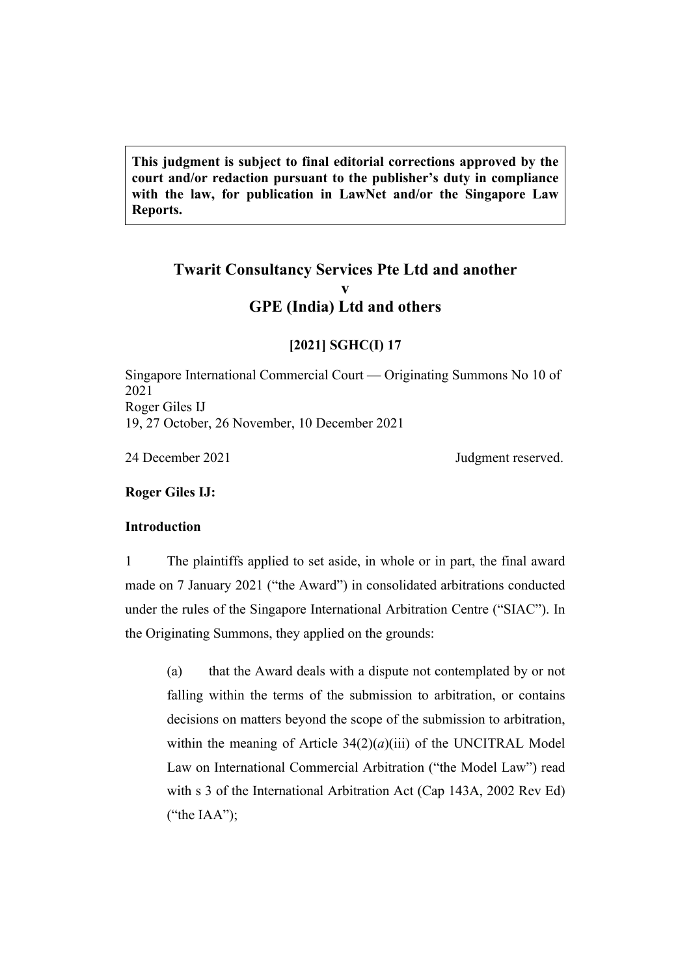**This judgment is subject to final editorial corrections approved by the court and/or redaction pursuant to the publisher's duty in compliance with the law, for publication in LawNet and/or the Singapore Law Reports.**

## **Twarit Consultancy Services Pte Ltd and another v GPE (India) Ltd and others**

#### **[2021] SGHC(I) 17**

Singapore International Commercial Court — Originating Summons No 10 of 2021 Roger Giles IJ 19, 27 October, 26 November, 10 December 2021

24 December 2021 Judgment reserved.

<span id="page-3-0"></span>**Roger Giles IJ:**

## <span id="page-3-1"></span>**Introduction**

1 The plaintiffs applied to set aside, in whole or in part, the final award made on 7 January 2021 ("the Award") in consolidated arbitrations conducted under the rules of the Singapore International Arbitration Centre ("SIAC"). In the Originating Summons, they applied on the grounds:

(a) that the Award deals with a dispute not contemplated by or not falling within the terms of the submission to arbitration, or contains decisions on matters beyond the scope of the submission to arbitration, within the meaning of Article 34(2)(*a*)(iii) of the UNCITRAL Model Law on International Commercial Arbitration ("the Model Law") read with s 3 of the International Arbitration Act (Cap 143A, 2002 Rev Ed) ("the IAA");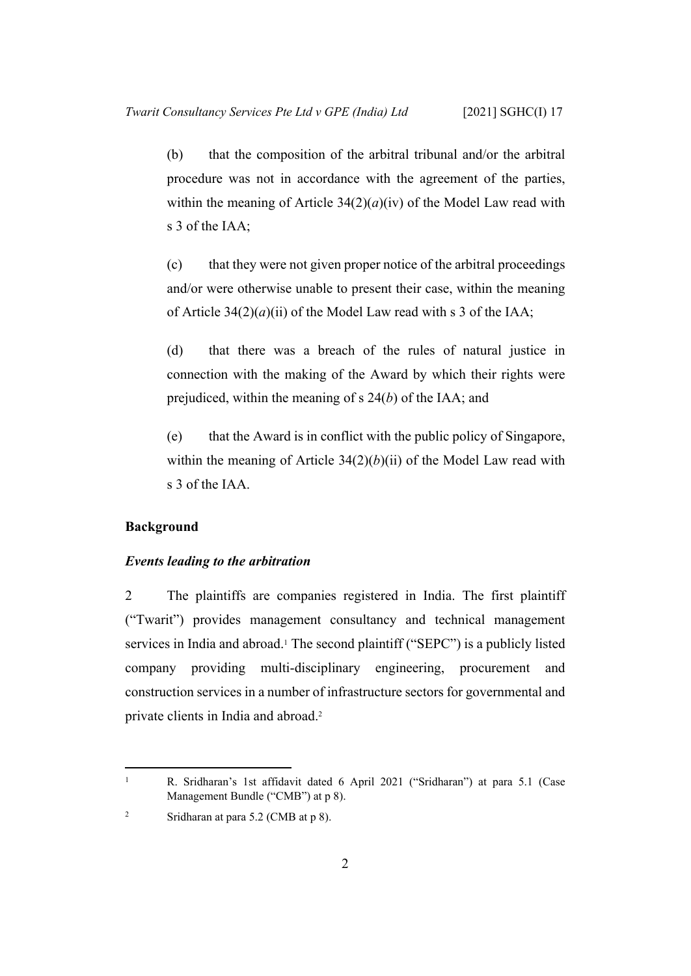(b) that the composition of the arbitral tribunal and/or the arbitral procedure was not in accordance with the agreement of the parties, within the meaning of Article  $34(2)(a)(iv)$  of the Model Law read with s 3 of the IAA;

(c) that they were not given proper notice of the arbitral proceedings and/or were otherwise unable to present their case, within the meaning of Article  $34(2)(a)(ii)$  of the Model Law read with s 3 of the IAA;

(d) that there was a breach of the rules of natural justice in connection with the making of the Award by which their rights were prejudiced, within the meaning of s 24(*b*) of the IAA; and

(e) that the Award is in conflict with the public policy of Singapore, within the meaning of Article  $34(2)(b)(ii)$  of the Model Law read with s 3 of the IAA.

### <span id="page-4-1"></span><span id="page-4-0"></span>**Background**

1

#### *Events leading to the arbitration*

2 The plaintiffs are companies registered in India. The first plaintiff ("Twarit") provides management consultancy and technical management services in India and abroad.<sup>1</sup> The second plaintiff ("SEPC") is a publicly listed company providing multi-disciplinary engineering, procurement and construction services in a number of infrastructure sectors for governmental and private clients in India and abroad.<sup>2</sup>

R. Sridharan's 1st affidavit dated 6 April 2021 ("Sridharan") at para 5.1 (Case Management Bundle ("CMB") at p 8).

<sup>2</sup> Sridharan at para 5.2 (CMB at p 8).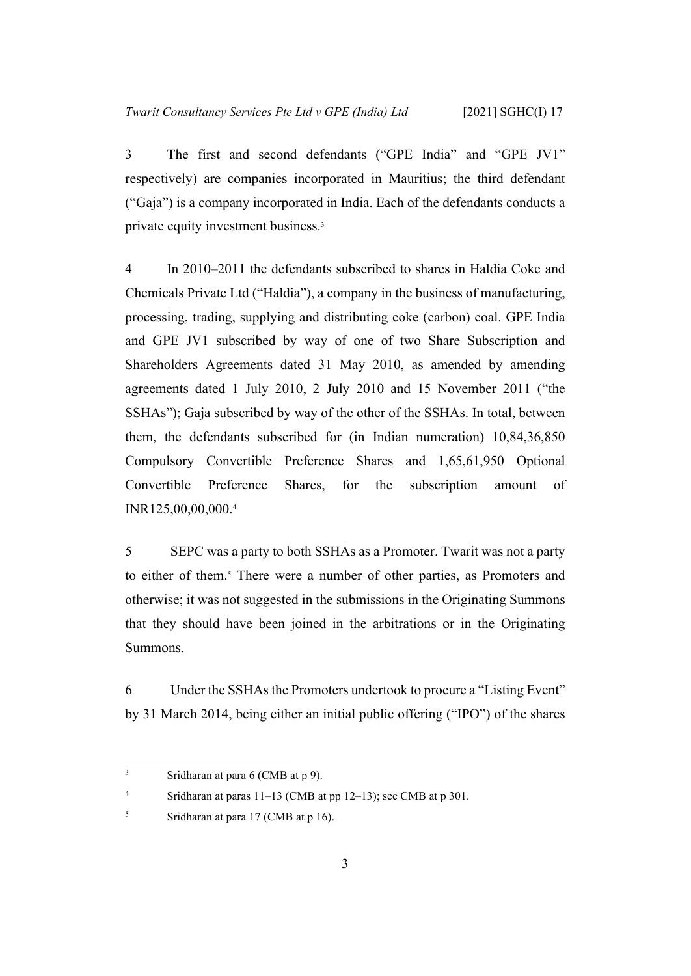3 The first and second defendants ("GPE India" and "GPE JV1" respectively) are companies incorporated in Mauritius; the third defendant ("Gaja") is a company incorporated in India. Each of the defendants conducts a private equity investment business.<sup>3</sup>

4 In 2010–2011 the defendants subscribed to shares in Haldia Coke and Chemicals Private Ltd ("Haldia"), a company in the business of manufacturing, processing, trading, supplying and distributing coke (carbon) coal. GPE India and GPE JV1 subscribed by way of one of two Share Subscription and Shareholders Agreements dated 31 May 2010, as amended by amending agreements dated 1 July 2010, 2 July 2010 and 15 November 2011 ("the SSHAs"); Gaja subscribed by way of the other of the SSHAs. In total, between them, the defendants subscribed for (in Indian numeration) 10,84,36,850 Compulsory Convertible Preference Shares and 1,65,61,950 Optional Convertible Preference Shares, for the subscription amount of INR125,00,00,000.<sup>4</sup>

5 SEPC was a party to both SSHAs as a Promoter. Twarit was not a party to either of them.<sup>5</sup> There were a number of other parties, as Promoters and otherwise; it was not suggested in the submissions in the Originating Summons that they should have been joined in the arbitrations or in the Originating Summons.

6 Under the SSHAs the Promoters undertook to procure a "Listing Event" by 31 March 2014, being either an initial public offering ("IPO") of the shares

<sup>3</sup> Sridharan at para 6 (CMB at p 9).

<sup>4</sup> Sridharan at paras 11–13 (CMB at pp 12–13); see CMB at p 301.

<sup>5</sup> Sridharan at para 17 (CMB at p 16).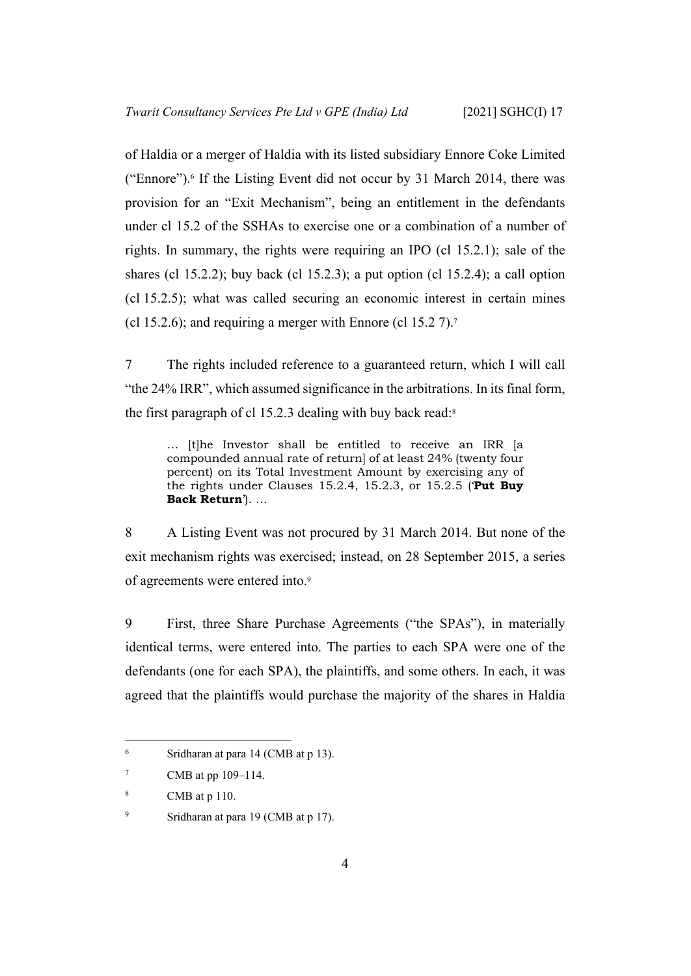of Haldia or a merger of Haldia with its listed subsidiary Ennore Coke Limited ("Ennore").<sup>6</sup> If the Listing Event did not occur by 31 March 2014, there was provision for an "Exit Mechanism", being an entitlement in the defendants under cl 15.2 of the SSHAs to exercise one or a combination of a number of rights. In summary, the rights were requiring an IPO (cl 15.2.1); sale of the shares (cl 15.2.2); buy back (cl 15.2.3); a put option (cl 15.2.4); a call option (cl 15.2.5); what was called securing an economic interest in certain mines (cl 15.2.6); and requiring a merger with Ennore (cl 15.2 7).<sup>7</sup>

7 The rights included reference to a guaranteed return, which I will call "the 24% IRR", which assumed significance in the arbitrations. In its final form, the first paragraph of cl 15.2.3 dealing with buy back read:<sup>8</sup>

… [t]he Investor shall be entitled to receive an IRR [a compounded annual rate of return] of at least 24% (twenty four percent) on its Total Investment Amount by exercising any of the rights under Clauses 15.2.4, 15.2.3, or 15.2.5 ('**Put Buy Back Return**'). …

8 A Listing Event was not procured by 31 March 2014. But none of the exit mechanism rights was exercised; instead, on 28 September 2015, a series of agreements were entered into.<sup>9</sup>

9 First, three Share Purchase Agreements ("the SPAs"), in materially identical terms, were entered into. The parties to each SPA were one of the defendants (one for each SPA), the plaintiffs, and some others. In each, it was agreed that the plaintiffs would purchase the majority of the shares in Haldia

<sup>6</sup> Sridharan at para 14 (CMB at p 13).

<sup>7</sup> CMB at pp 109–114.

<sup>8</sup> CMB at p 110.

<sup>9</sup> Sridharan at para 19 (CMB at p 17).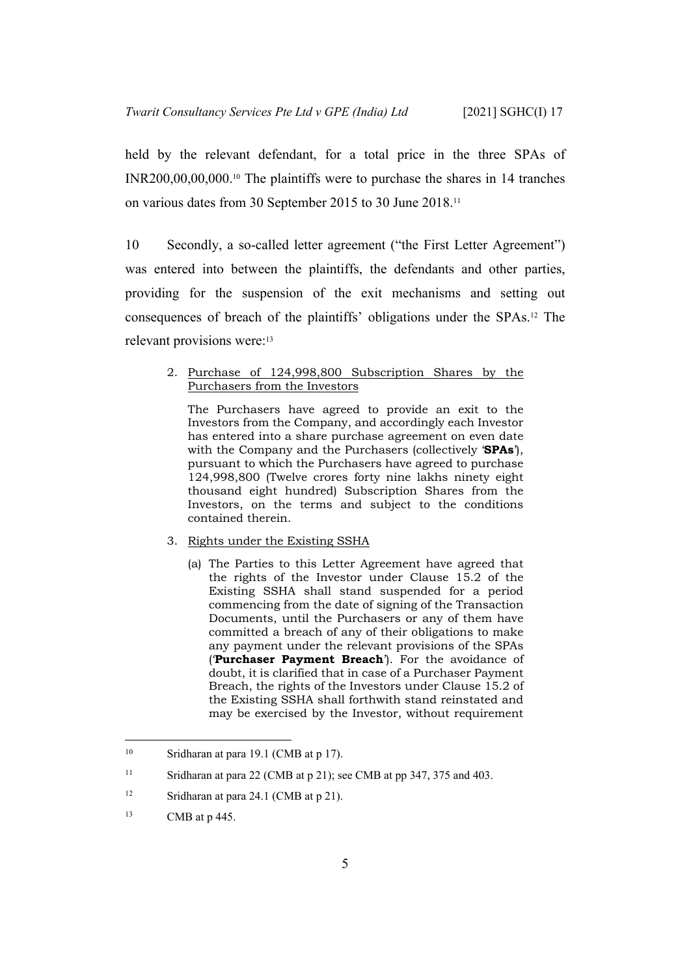held by the relevant defendant, for a total price in the three SPAs of INR200,00,00,000.10 The plaintiffs were to purchase the shares in 14 tranches on various dates from 30 September 2015 to 30 June 2018.<sup>11</sup>

10 Secondly, a so-called letter agreement ("the First Letter Agreement") was entered into between the plaintiffs, the defendants and other parties, providing for the suspension of the exit mechanisms and setting out consequences of breach of the plaintiffs' obligations under the SPAs.12 The relevant provisions were:<sup>13</sup>

#### 2. Purchase of 124,998,800 Subscription Shares by the Purchasers from the Investors

The Purchasers have agreed to provide an exit to the Investors from the Company, and accordingly each Investor has entered into a share purchase agreement on even date with the Company and the Purchasers (collectively '**SPAs**'), pursuant to which the Purchasers have agreed to purchase 124,998,800 (Twelve crores forty nine lakhs ninety eight thousand eight hundred) Subscription Shares from the Investors, on the terms and subject to the conditions contained therein.

#### 3. Rights under the Existing SSHA

(a) The Parties to this Letter Agreement have agreed that the rights of the Investor under Clause 15.2 of the Existing SSHA shall stand suspended for a period commencing from the date of signing of the Transaction Documents, until the Purchasers or any of them have committed a breach of any of their obligations to make any payment under the relevant provisions of the SPAs ('**Purchaser Payment Breach**'). For the avoidance of doubt, it is clarified that in case of a Purchaser Payment Breach, the rights of the Investors under Clause 15.2 of the Existing SSHA shall forthwith stand reinstated and may be exercised by the Investor, without requirement

<sup>&</sup>lt;sup>10</sup> Sridharan at para 19.1 (CMB at p 17).

<sup>&</sup>lt;sup>11</sup> Sridharan at para 22 (CMB at p 21); see CMB at pp 347, 375 and 403.

<sup>&</sup>lt;sup>12</sup> Sridharan at para 24.1 (CMB at p 21).

<sup>13</sup> CMB at p 445.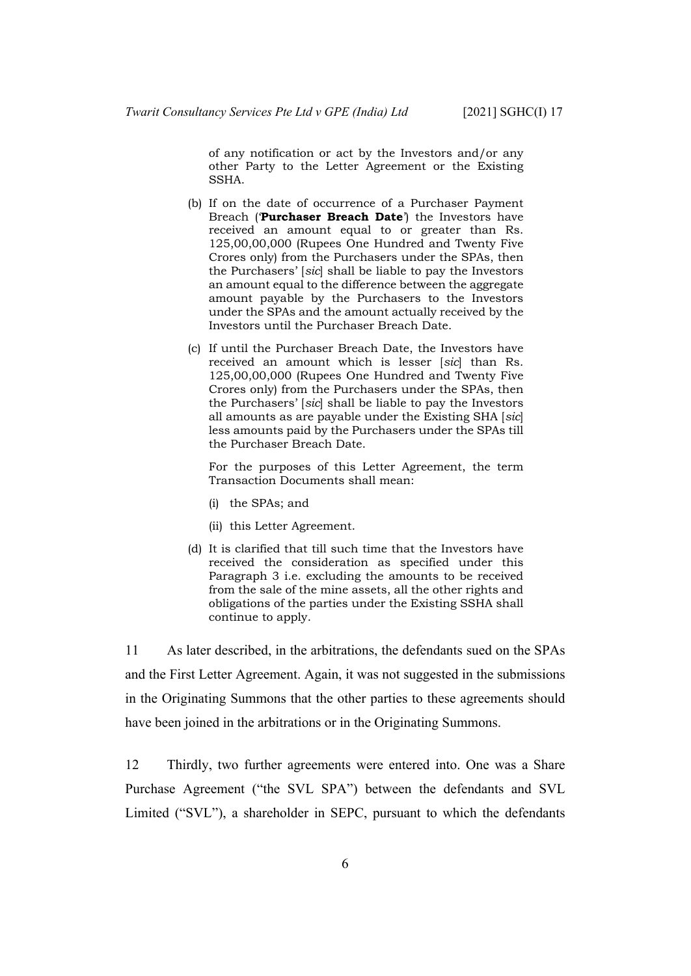of any notification or act by the Investors and/or any other Party to the Letter Agreement or the Existing SSHA.

- (b) If on the date of occurrence of a Purchaser Payment Breach ('**Purchaser Breach Date**') the Investors have received an amount equal to or greater than Rs. 125,00,00,000 (Rupees One Hundred and Twenty Five Crores only) from the Purchasers under the SPAs, then the Purchasers' [*sic*] shall be liable to pay the Investors an amount equal to the difference between the aggregate amount payable by the Purchasers to the Investors under the SPAs and the amount actually received by the Investors until the Purchaser Breach Date.
- (c) If until the Purchaser Breach Date, the Investors have received an amount which is lesser [*sic*] than Rs. 125,00,00,000 (Rupees One Hundred and Twenty Five Crores only) from the Purchasers under the SPAs, then the Purchasers' [*sic*] shall be liable to pay the Investors all amounts as are payable under the Existing SHA [*sic*] less amounts paid by the Purchasers under the SPAs till the Purchaser Breach Date.

For the purposes of this Letter Agreement, the term Transaction Documents shall mean:

- (i) the SPAs; and
- (ii) this Letter Agreement.
- (d) It is clarified that till such time that the Investors have received the consideration as specified under this Paragraph 3 i.e. excluding the amounts to be received from the sale of the mine assets, all the other rights and obligations of the parties under the Existing SSHA shall continue to apply.

11 As later described, in the arbitrations, the defendants sued on the SPAs and the First Letter Agreement. Again, it was not suggested in the submissions in the Originating Summons that the other parties to these agreements should have been joined in the arbitrations or in the Originating Summons.

12 Thirdly, two further agreements were entered into. One was a Share Purchase Agreement ("the SVL SPA") between the defendants and SVL Limited ("SVL"), a shareholder in SEPC, pursuant to which the defendants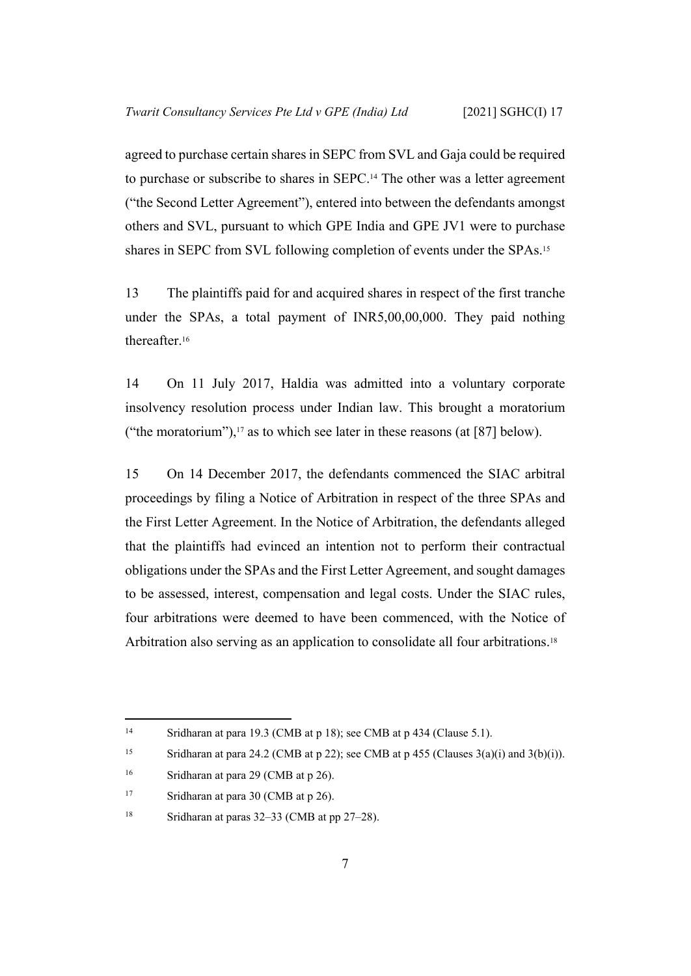agreed to purchase certain shares in SEPC from SVL and Gaja could be required to purchase or subscribe to shares in SEPC.14 The other was a letter agreement ("the Second Letter Agreement"), entered into between the defendants amongst others and SVL, pursuant to which GPE India and GPE JV1 were to purchase shares in SEPC from SVL following completion of events under the SPAs.<sup>15</sup>

13 The plaintiffs paid for and acquired shares in respect of the first tranche under the SPAs, a total payment of INR5,00,00,000. They paid nothing thereafter.<sup>16</sup>

14 On 11 July 2017, Haldia was admitted into a voluntary corporate insolvency resolution process under Indian law. This brought a moratorium ("the moratorium"), $17$  as to which see later in these reasons (at [\[87](#page-39-0)] below).

<span id="page-9-0"></span>15 On 14 December 2017, the defendants commenced the SIAC arbitral proceedings by filing a Notice of Arbitration in respect of the three SPAs and the First Letter Agreement. In the Notice of Arbitration, the defendants alleged that the plaintiffs had evinced an intention not to perform their contractual obligations under the SPAs and the First Letter Agreement, and sought damages to be assessed, interest, compensation and legal costs. Under the SIAC rules, four arbitrations were deemed to have been commenced, with the Notice of Arbitration also serving as an application to consolidate all four arbitrations.<sup>18</sup>

<sup>&</sup>lt;sup>14</sup> Sridharan at para 19.3 (CMB at p 18); see CMB at p 434 (Clause 5.1).

<sup>&</sup>lt;sup>15</sup> Sridharan at para 24.2 (CMB at p 22); see CMB at p 455 (Clauses  $3(a)(i)$  and  $3(b)(i)$ ).

<sup>&</sup>lt;sup>16</sup> Sridharan at para 29 (CMB at p 26).

<sup>&</sup>lt;sup>17</sup> Sridharan at para 30 (CMB at p 26).

<sup>&</sup>lt;sup>18</sup> Sridharan at paras  $32-33$  (CMB at pp  $27-28$ ).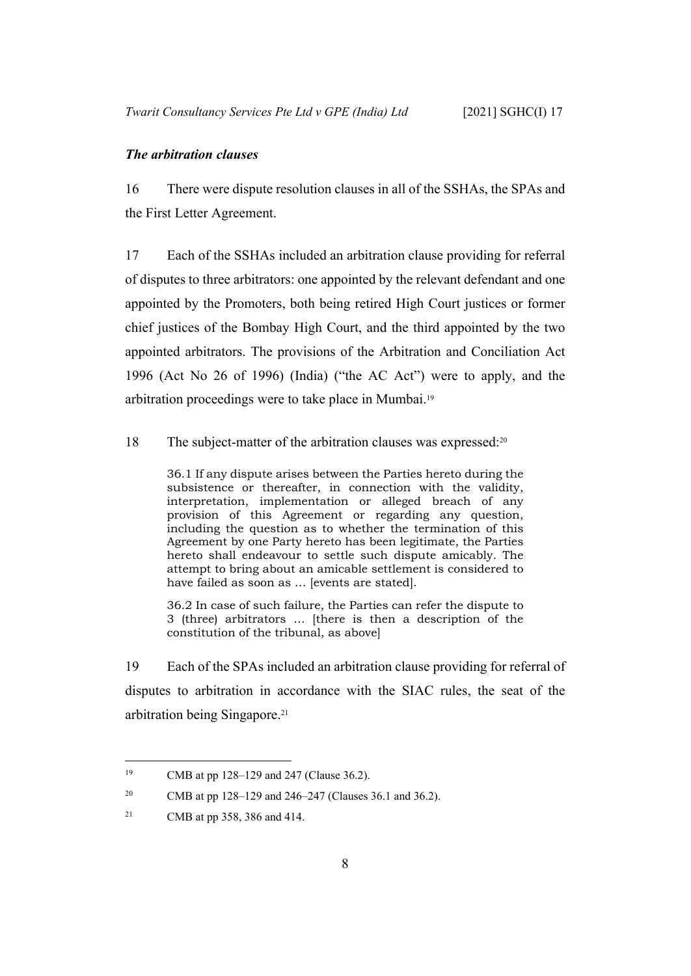#### <span id="page-10-0"></span>*The arbitration clauses*

16 There were dispute resolution clauses in all of the SSHAs, the SPAs and the First Letter Agreement.

<span id="page-10-1"></span>17 Each of the SSHAs included an arbitration clause providing for referral of disputes to three arbitrators: one appointed by the relevant defendant and one appointed by the Promoters, both being retired High Court justices or former chief justices of the Bombay High Court, and the third appointed by the two appointed arbitrators. The provisions of the Arbitration and Conciliation Act 1996 (Act No 26 of 1996) (India) ("the AC Act") were to apply, and the arbitration proceedings were to take place in Mumbai.<sup>19</sup>

18 The subject-matter of the arbitration clauses was expressed:<sup>20</sup>

36.1 If any dispute arises between the Parties hereto during the subsistence or thereafter, in connection with the validity, interpretation, implementation or alleged breach of any provision of this Agreement or regarding any question, including the question as to whether the termination of this Agreement by one Party hereto has been legitimate, the Parties hereto shall endeavour to settle such dispute amicably. The attempt to bring about an amicable settlement is considered to have failed as soon as … [events are stated].

36.2 In case of such failure, the Parties can refer the dispute to 3 (three) arbitrators … [there is then a description of the constitution of the tribunal, as above]

<span id="page-10-2"></span>19 Each of the SPAs included an arbitration clause providing for referral of disputes to arbitration in accordance with the SIAC rules, the seat of the arbitration being Singapore.<sup>21</sup>

<sup>&</sup>lt;sup>19</sup> CMB at pp 128–129 and 247 (Clause 36.2).

<sup>20</sup> CMB at pp 128–129 and 246–247 (Clauses 36.1 and 36.2).

<sup>21</sup> CMB at pp 358, 386 and 414.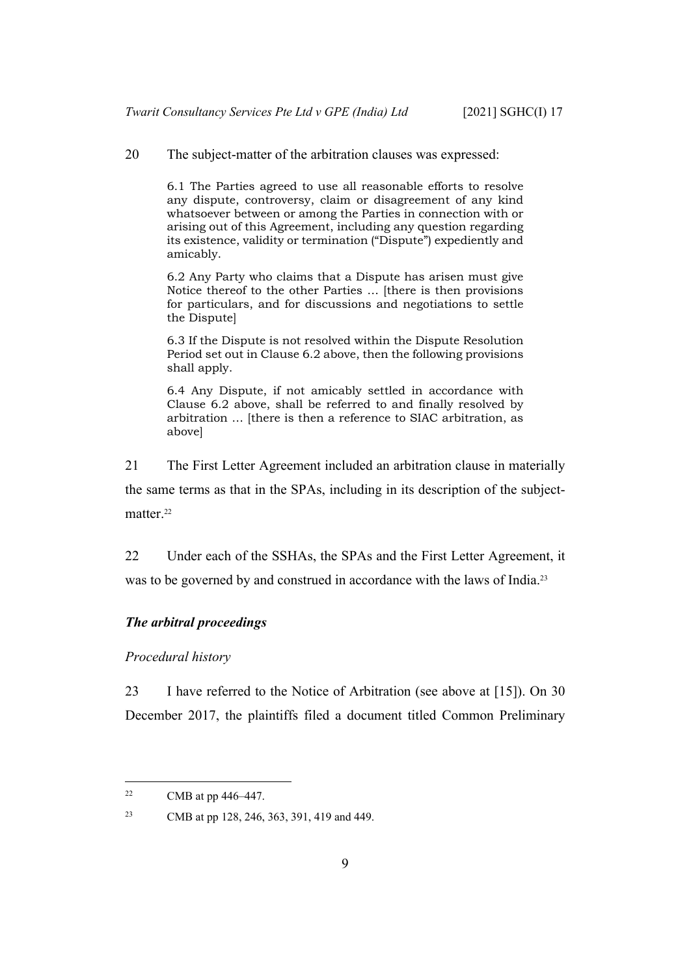20 The subject-matter of the arbitration clauses was expressed:

6.1 The Parties agreed to use all reasonable efforts to resolve any dispute, controversy, claim or disagreement of any kind whatsoever between or among the Parties in connection with or arising out of this Agreement, including any question regarding its existence, validity or termination ("Dispute") expediently and amicably.

6.2 Any Party who claims that a Dispute has arisen must give Notice thereof to the other Parties … [there is then provisions for particulars, and for discussions and negotiations to settle the Dispute]

6.3 If the Dispute is not resolved within the Dispute Resolution Period set out in Clause 6.2 above, then the following provisions shall apply.

6.4 Any Dispute, if not amicably settled in accordance with Clause 6.2 above, shall be referred to and finally resolved by arbitration … [there is then a reference to SIAC arbitration, as above]

<span id="page-11-2"></span>21 The First Letter Agreement included an arbitration clause in materially the same terms as that in the SPAs, including in its description of the subjectmatter.<sup>22</sup>

22 Under each of the SSHAs, the SPAs and the First Letter Agreement, it was to be governed by and construed in accordance with the laws of India.<sup>23</sup>

#### <span id="page-11-1"></span><span id="page-11-0"></span>*The arbitral proceedings*

*Procedural history*

23 I have referred to the Notice of Arbitration (see above at [\[15](#page-9-0)]). On 30 December 2017, the plaintiffs filed a document titled Common Preliminary

<sup>&</sup>lt;sup>22</sup> CMB at pp  $446-447$ .

<sup>23</sup> CMB at pp 128, 246, 363, 391, 419 and 449.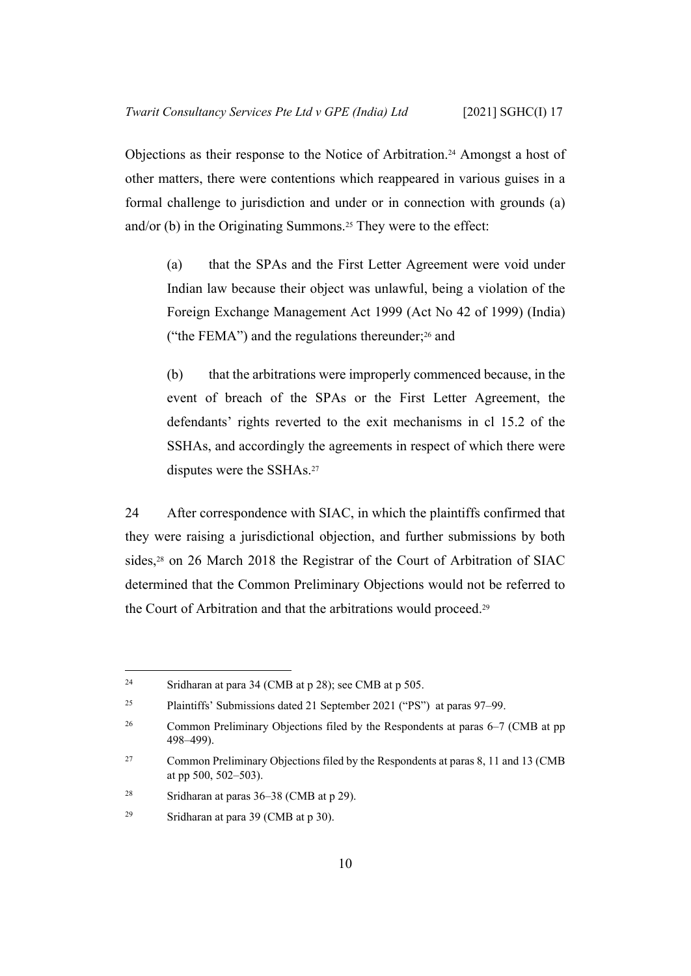Objections as their response to the Notice of Arbitration.24 Amongst a host of other matters, there were contentions which reappeared in various guises in a formal challenge to jurisdiction and under or in connection with grounds (a) and/or (b) in the Originating Summons.<sup>25</sup> They were to the effect:

(a) that the SPAs and the First Letter Agreement were void under Indian law because their object was unlawful, being a violation of the Foreign Exchange Management Act 1999 (Act No 42 of 1999) (India) ("the FEMA") and the regulations thereunder; $26$  and

(b) that the arbitrations were improperly commenced because, in the event of breach of the SPAs or the First Letter Agreement, the defendants' rights reverted to the exit mechanisms in cl 15.2 of the SSHAs, and accordingly the agreements in respect of which there were disputes were the SSHAs.<sup>27</sup>

24 After correspondence with SIAC, in which the plaintiffs confirmed that they were raising a jurisdictional objection, and further submissions by both sides,<sup>28</sup> on 26 March 2018 the Registrar of the Court of Arbitration of SIAC determined that the Common Preliminary Objections would not be referred to the Court of Arbitration and that the arbitrations would proceed.<sup>29</sup>

<sup>24</sup> Sridharan at para 34 (CMB at p 28); see CMB at p 505.

<sup>25</sup> Plaintiffs' Submissions dated 21 September 2021 ("PS") at paras 97–99.

<sup>&</sup>lt;sup>26</sup> Common Preliminary Objections filed by the Respondents at paras 6–7 (CMB at pp 498–499).

<sup>27</sup> Common Preliminary Objections filed by the Respondents at paras 8, 11 and 13 (CMB at pp 500, 502–503).

<sup>&</sup>lt;sup>28</sup> Sridharan at paras  $36-38$  (CMB at p 29).

<sup>&</sup>lt;sup>29</sup> Sridharan at para 39 (CMB at p 30).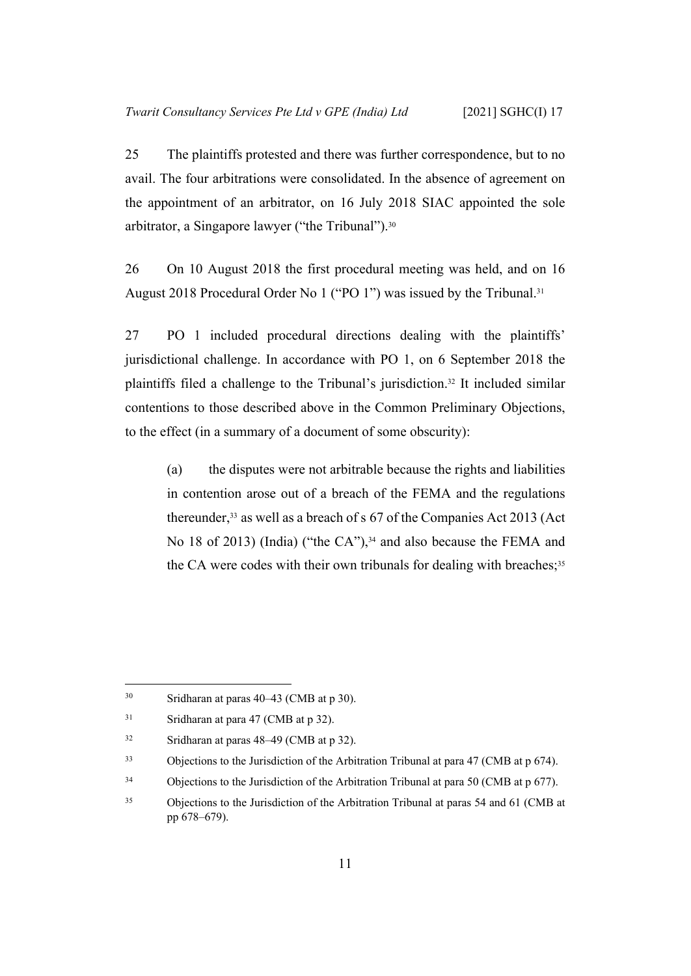25 The plaintiffs protested and there was further correspondence, but to no avail. The four arbitrations were consolidated. In the absence of agreement on the appointment of an arbitrator, on 16 July 2018 SIAC appointed the sole arbitrator, a Singapore lawyer ("the Tribunal").<sup>30</sup>

26 On 10 August 2018 the first procedural meeting was held, and on 16 August 2018 Procedural Order No 1 ("PO 1") was issued by the Tribunal.<sup>31</sup>

27 PO 1 included procedural directions dealing with the plaintiffs' jurisdictional challenge. In accordance with PO 1, on 6 September 2018 the plaintiffs filed a challenge to the Tribunal's jurisdiction.32 It included similar contentions to those described above in the Common Preliminary Objections, to the effect (in a summary of a document of some obscurity):

(a) the disputes were not arbitrable because the rights and liabilities in contention arose out of a breach of the FEMA and the regulations thereunder,33 as well as a breach of s 67 of the Companies Act 2013 (Act No 18 of 2013) (India) ("the CA"),<sup>34</sup> and also because the FEMA and the CA were codes with their own tribunals for dealing with breaches;  $35$ 

<sup>30</sup> Sridharan at paras 40–43 (CMB at p 30).

<sup>&</sup>lt;sup>31</sup> Sridharan at para 47 (CMB at p 32).

<sup>32</sup> Sridharan at paras 48–49 (CMB at p 32).

<sup>&</sup>lt;sup>33</sup> Objections to the Jurisdiction of the Arbitration Tribunal at para 47 (CMB at p 674).

<sup>&</sup>lt;sup>34</sup> Objections to the Jurisdiction of the Arbitration Tribunal at para 50 (CMB at p 677).

<sup>35</sup> Objections to the Jurisdiction of the Arbitration Tribunal at paras 54 and 61 (CMB at pp 678–679).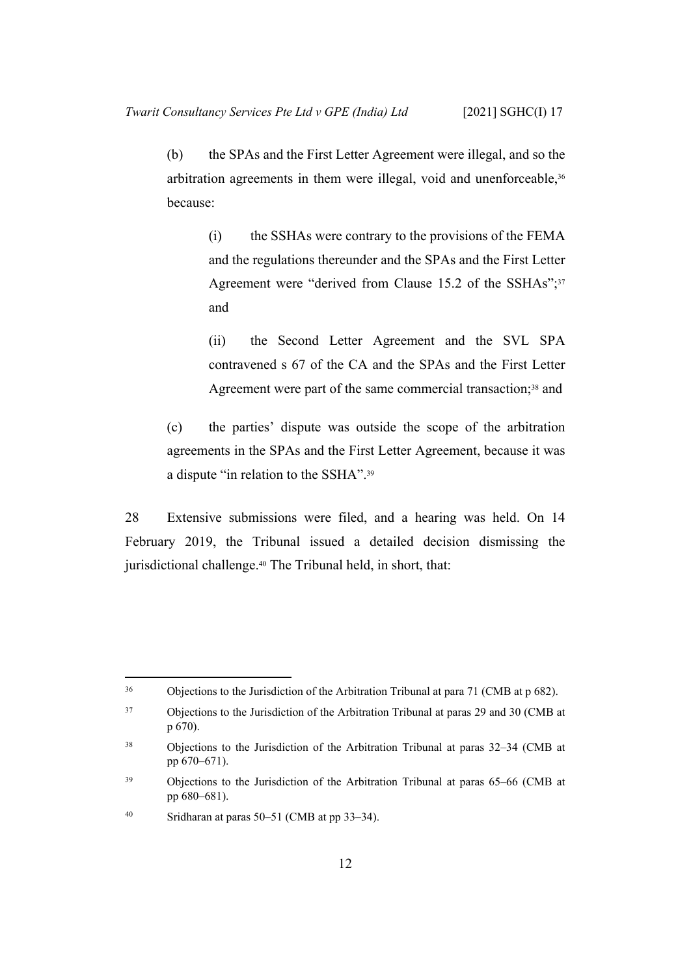(b) the SPAs and the First Letter Agreement were illegal, and so the arbitration agreements in them were illegal, void and unenforceable,<sup>36</sup> because:

> (i) the SSHAs were contrary to the provisions of the FEMA and the regulations thereunder and the SPAs and the First Letter Agreement were "derived from Clause 15.2 of the SSHAs";<sup>37</sup> and

> (ii) the Second Letter Agreement and the SVL SPA contravened s 67 of the CA and the SPAs and the First Letter Agreement were part of the same commercial transaction;<sup>38</sup> and

(c) the parties' dispute was outside the scope of the arbitration agreements in the SPAs and the First Letter Agreement, because it was a dispute "in relation to the SSHA".<sup>39</sup>

28 Extensive submissions were filed, and a hearing was held. On 14 February 2019, the Tribunal issued a detailed decision dismissing the jurisdictional challenge.<sup>40</sup> The Tribunal held, in short, that:

<sup>36</sup> Objections to the Jurisdiction of the Arbitration Tribunal at para 71 (CMB at p 682).

<sup>37</sup> Objections to the Jurisdiction of the Arbitration Tribunal at paras 29 and 30 (CMB at p 670).

<sup>38</sup> Objections to the Jurisdiction of the Arbitration Tribunal at paras 32–34 (CMB at pp 670–671).

<sup>39</sup> Objections to the Jurisdiction of the Arbitration Tribunal at paras 65–66 (CMB at pp 680–681).

<sup>40</sup> Sridharan at paras 50–51 (CMB at pp 33–34).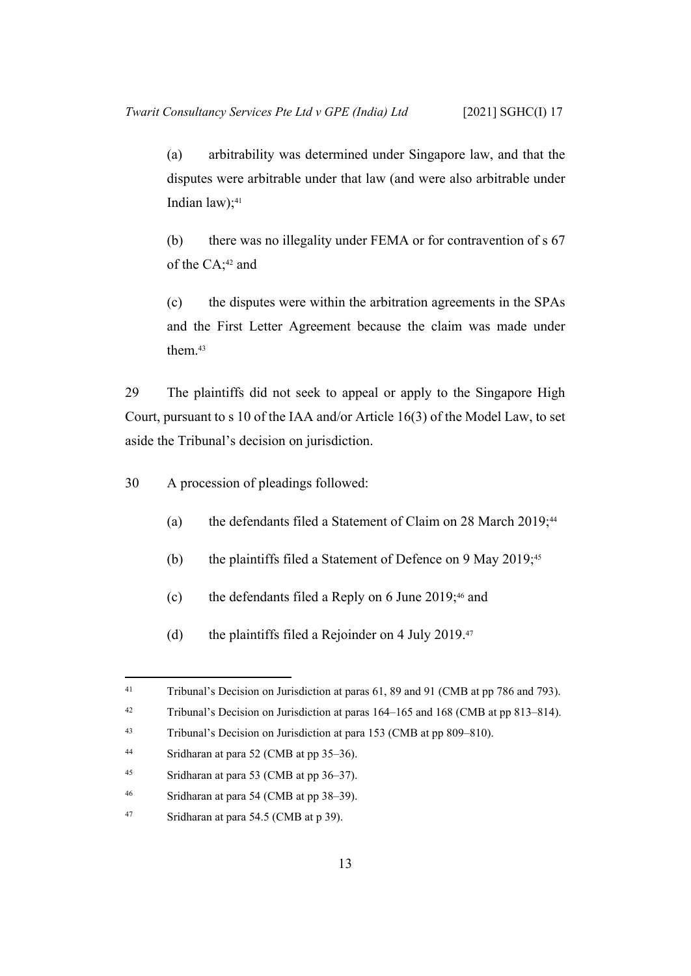(a) arbitrability was determined under Singapore law, and that the disputes were arbitrable under that law (and were also arbitrable under Indian law); $41$ 

(b) there was no illegality under FEMA or for contravention of s 67 of the CA;42 and

(c) the disputes were within the arbitration agreements in the SPAs and the First Letter Agreement because the claim was made under them.<sup>43</sup>

29 The plaintiffs did not seek to appeal or apply to the Singapore High Court, pursuant to s 10 of the IAA and/or Article 16(3) of the Model Law, to set aside the Tribunal's decision on jurisdiction.

30 A procession of pleadings followed:

- (a) the defendants filed a Statement of Claim on 28 March 2019;<sup>44</sup>
- (b) the plaintiffs filed a Statement of Defence on 9 May 2019;<sup>45</sup>
- (c) the defendants filed a Reply on 6 June 2019;46 and
- (d) the plaintiffs filed a Rejoinder on 4 July 2019.<sup>47</sup>

<sup>&</sup>lt;sup>41</sup> Tribunal's Decision on Jurisdiction at paras 61, 89 and 91 (CMB at pp 786 and 793).

<sup>42</sup> Tribunal's Decision on Jurisdiction at paras 164–165 and 168 (CMB at pp 813–814).

<sup>43</sup> Tribunal's Decision on Jurisdiction at para 153 (CMB at pp 809–810).

<sup>44</sup> Sridharan at para 52 (CMB at pp 35–36).

<sup>45</sup> Sridharan at para 53 (CMB at pp 36–37).

<sup>46</sup> Sridharan at para 54 (CMB at pp 38–39).

<sup>47</sup> Sridharan at para 54.5 (CMB at p 39).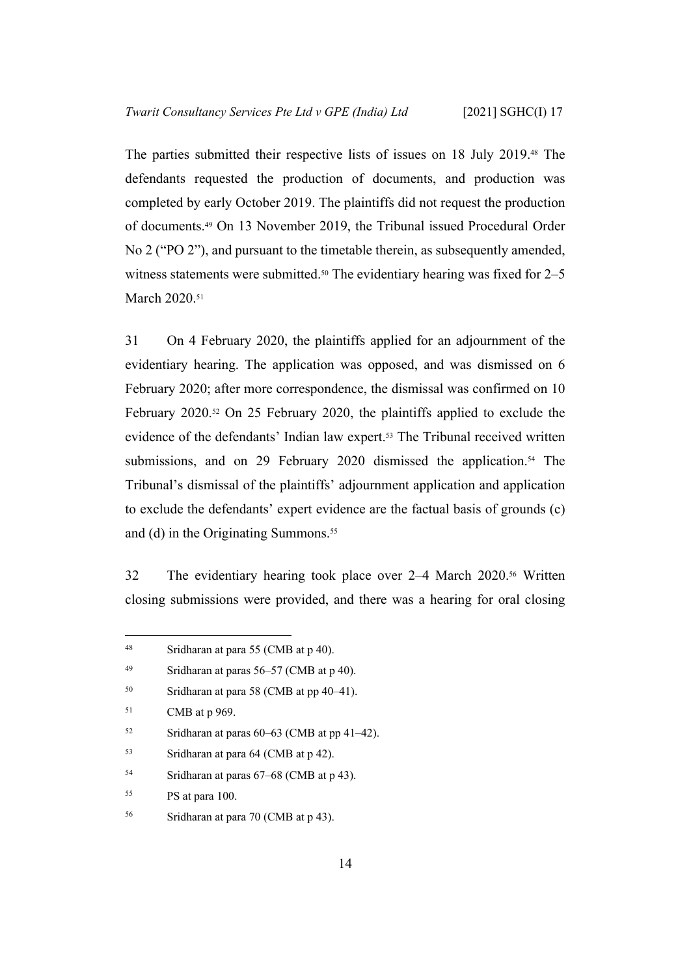The parties submitted their respective lists of issues on 18 July 2019.48 The defendants requested the production of documents, and production was completed by early October 2019. The plaintiffs did not request the production of documents.49 On 13 November 2019, the Tribunal issued Procedural Order No 2 ("PO 2"), and pursuant to the timetable therein, as subsequently amended, witness statements were submitted.<sup>50</sup> The evidentiary hearing was fixed for 2–5 March 2020.<sup>51</sup>

<span id="page-16-0"></span>31 On 4 February 2020, the plaintiffs applied for an adjournment of the evidentiary hearing. The application was opposed, and was dismissed on 6 February 2020; after more correspondence, the dismissal was confirmed on 10 February 2020.52 On 25 February 2020, the plaintiffs applied to exclude the evidence of the defendants' Indian law expert.53 The Tribunal received written submissions, and on 29 February 2020 dismissed the application.<sup>54</sup> The Tribunal's dismissal of the plaintiffs' adjournment application and application to exclude the defendants' expert evidence are the factual basis of grounds (c) and (d) in the Originating Summons.<sup>55</sup>

32 The evidentiary hearing took place over 2–4 March 2020.56 Written closing submissions were provided, and there was a hearing for oral closing

<sup>48</sup> Sridharan at para 55 (CMB at p 40).

<sup>49</sup> Sridharan at paras 56–57 (CMB at p 40).

<sup>50</sup> Sridharan at para 58 (CMB at pp 40–41).

<sup>51</sup> CMB at p 969.

 $52$  Sridharan at paras 60–63 (CMB at pp 41–42).

<sup>53</sup> Sridharan at para 64 (CMB at p 42).

<sup>54</sup> Sridharan at paras 67–68 (CMB at p 43).

<sup>55</sup> PS at para 100.

<sup>56</sup> Sridharan at para 70 (CMB at p 43).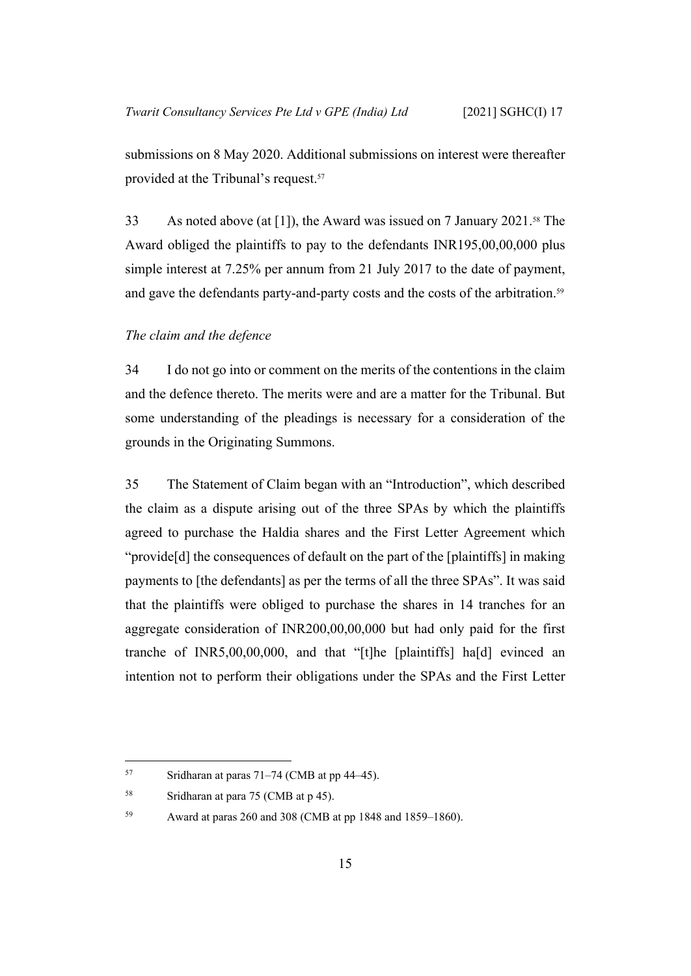submissions on 8 May 2020. Additional submissions on interest were thereafter provided at the Tribunal's request.<sup>57</sup>

<span id="page-17-1"></span>33 As noted above (at [[1\]](#page-3-1)), the Award was issued on 7 January 2021.58 The Award obliged the plaintiffs to pay to the defendants INR195,00,00,000 plus simple interest at 7.25% per annum from 21 July 2017 to the date of payment, and gave the defendants party-and-party costs and the costs of the arbitration.<sup>59</sup>

#### <span id="page-17-0"></span>*The claim and the defence*

34 I do not go into or comment on the merits of the contentions in the claim and the defence thereto. The merits were and are a matter for the Tribunal. But some understanding of the pleadings is necessary for a consideration of the grounds in the Originating Summons.

35 The Statement of Claim began with an "Introduction", which described the claim as a dispute arising out of the three SPAs by which the plaintiffs agreed to purchase the Haldia shares and the First Letter Agreement which "provide[d] the consequences of default on the part of the [plaintiffs] in making payments to [the defendants] as per the terms of all the three SPAs". It was said that the plaintiffs were obliged to purchase the shares in 14 tranches for an aggregate consideration of INR200,00,00,000 but had only paid for the first tranche of INR5,00,00,000, and that "[t]he [plaintiffs] ha[d] evinced an intention not to perform their obligations under the SPAs and the First Letter

59 Award at paras 260 and 308 (CMB at pp 1848 and 1859–1860).

<sup>57</sup> Sridharan at paras  $71-74$  (CMB at pp  $44-45$ ).

<sup>58</sup> Sridharan at para 75 (CMB at p 45).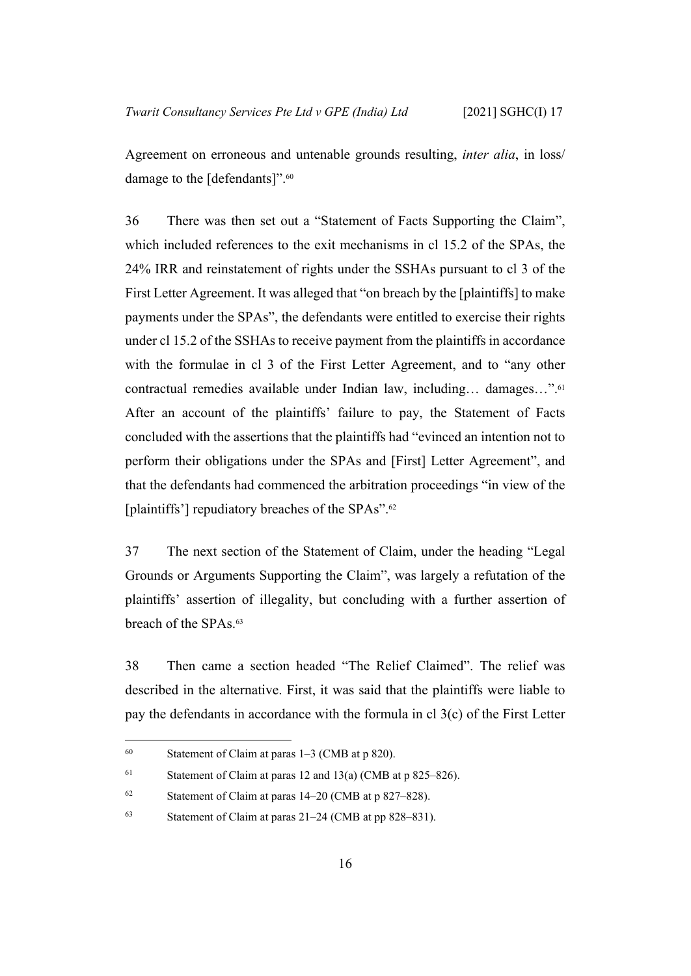Agreement on erroneous and untenable grounds resulting, *inter alia*, in loss/ damage to the [defendants]".<sup>60</sup>

36 There was then set out a "Statement of Facts Supporting the Claim", which included references to the exit mechanisms in cl 15.2 of the SPAs, the 24% IRR and reinstatement of rights under the SSHAs pursuant to cl 3 of the First Letter Agreement. It was alleged that "on breach by the [plaintiffs] to make payments under the SPAs", the defendants were entitled to exercise their rights under cl 15.2 of the SSHAs to receive payment from the plaintiffs in accordance with the formulae in cl 3 of the First Letter Agreement, and to "any other contractual remedies available under Indian law, including… damages…".<sup>61</sup> After an account of the plaintiffs' failure to pay, the Statement of Facts concluded with the assertions that the plaintiffs had "evinced an intention not to perform their obligations under the SPAs and [First] Letter Agreement", and that the defendants had commenced the arbitration proceedings "in view of the [plaintiffs'] repudiatory breaches of the SPAs".<sup>62</sup>

37 The next section of the Statement of Claim, under the heading "Legal Grounds or Arguments Supporting the Claim", was largely a refutation of the plaintiffs' assertion of illegality, but concluding with a further assertion of breach of the SPAs.<sup>63</sup>

<span id="page-18-0"></span>38 Then came a section headed "The Relief Claimed". The relief was described in the alternative. First, it was said that the plaintiffs were liable to pay the defendants in accordance with the formula in cl 3(c) of the First Letter

<sup>60</sup> Statement of Claim at paras  $1-3$  (CMB at p 820).

<sup>61</sup> Statement of Claim at paras 12 and 13(a) (CMB at p  $825-826$ ).

<sup>62</sup> Statement of Claim at paras 14–20 (CMB at p 827–828).

<sup>63</sup> Statement of Claim at paras 21–24 (CMB at pp 828–831).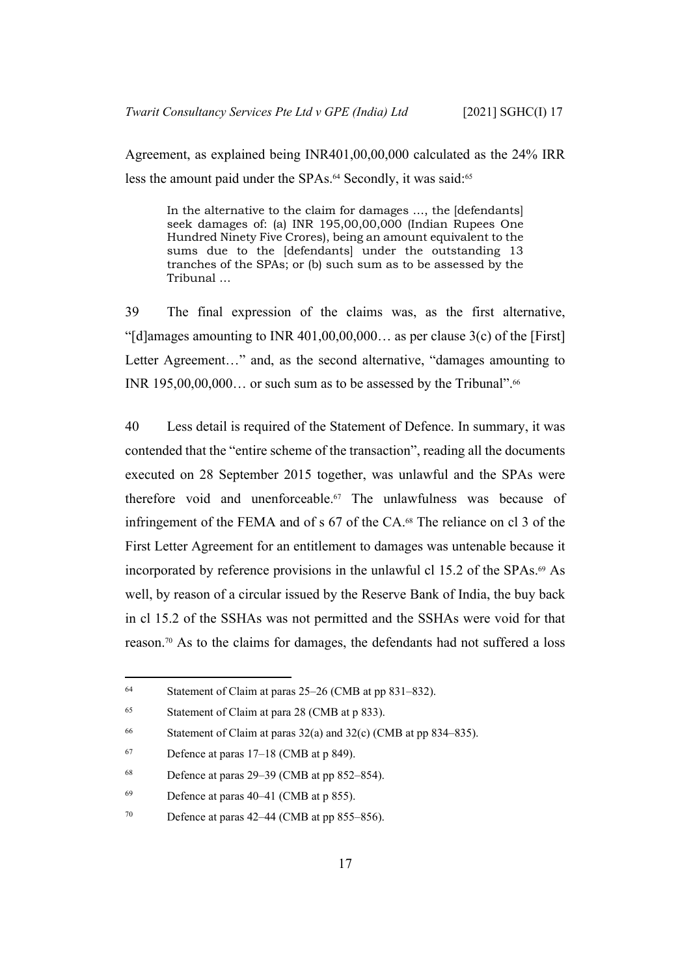Agreement, as explained being INR401,00,00,000 calculated as the 24% IRR less the amount paid under the SPAs.<sup>64</sup> Secondly, it was said:<sup>65</sup>

In the alternative to the claim for damages …, the [defendants] seek damages of: (a) INR 195,00,00,000 (Indian Rupees One Hundred Ninety Five Crores), being an amount equivalent to the sums due to the [defendants] under the outstanding 13 tranches of the SPAs; or (b) such sum as to be assessed by the Tribunal …

<span id="page-19-0"></span>39 The final expression of the claims was, as the first alternative, "[d]amages amounting to INR 401,00,00,000... as per clause  $3(c)$  of the [First] Letter Agreement..." and, as the second alternative, "damages amounting to INR  $195,00,00,000...$  or such sum as to be assessed by the Tribunal".<sup>66</sup>

40 Less detail is required of the Statement of Defence. In summary, it was contended that the "entire scheme of the transaction", reading all the documents executed on 28 September 2015 together, was unlawful and the SPAs were therefore void and unenforceable.67 The unlawfulness was because of infringement of the FEMA and of s 67 of the CA.68 The reliance on cl 3 of the First Letter Agreement for an entitlement to damages was untenable because it incorporated by reference provisions in the unlawful cl 15.2 of the SPAs.69 As well, by reason of a circular issued by the Reserve Bank of India, the buy back in cl 15.2 of the SSHAs was not permitted and the SSHAs were void for that reason.70 As to the claims for damages, the defendants had not suffered a loss

<sup>64</sup> Statement of Claim at paras 25–26 (CMB at pp 831–832).

<sup>65</sup> Statement of Claim at para 28 (CMB at p 833).

<sup>&</sup>lt;sup>66</sup> Statement of Claim at paras  $32(a)$  and  $32(c)$  (CMB at pp 834–835).

 $67$  Defence at paras 17–18 (CMB at p 849).

 $68$  Defence at paras 29–39 (CMB at pp 852–854).

 $^{69}$  Defence at paras 40–41 (CMB at p 855).

 $70$  Defence at paras 42–44 (CMB at pp 855–856).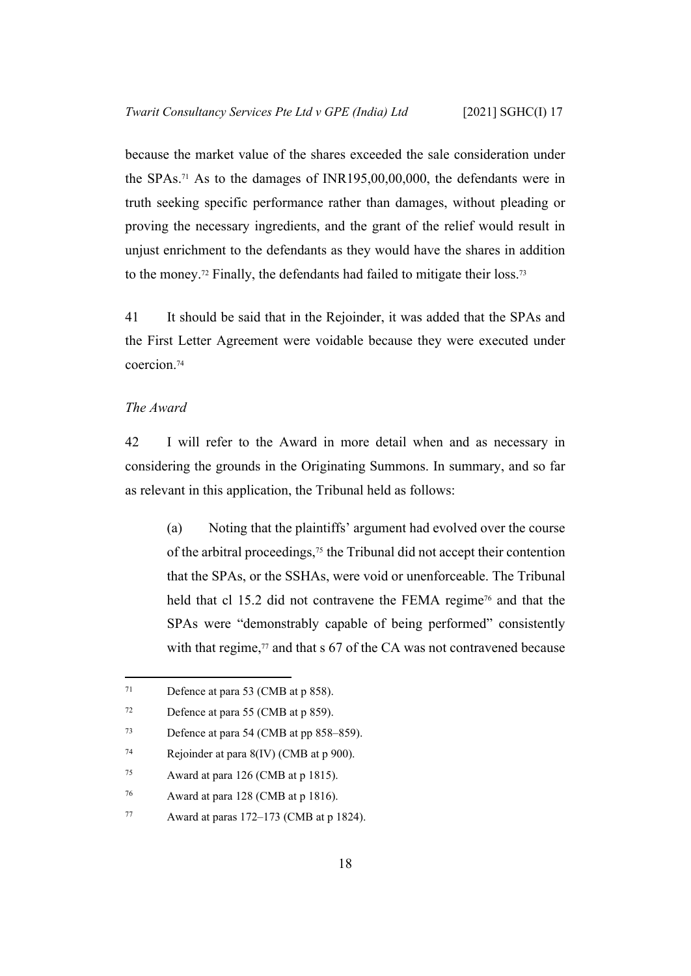because the market value of the shares exceeded the sale consideration under the SPAs.71 As to the damages of INR195,00,00,000, the defendants were in truth seeking specific performance rather than damages, without pleading or proving the necessary ingredients, and the grant of the relief would result in unjust enrichment to the defendants as they would have the shares in addition to the money.<sup>72</sup> Finally, the defendants had failed to mitigate their loss.<sup>73</sup>

41 It should be said that in the Rejoinder, it was added that the SPAs and the First Letter Agreement were voidable because they were executed under coercion.<sup>74</sup>

#### <span id="page-20-0"></span>*The Award*

42 I will refer to the Award in more detail when and as necessary in considering the grounds in the Originating Summons. In summary, and so far as relevant in this application, the Tribunal held as follows:

(a) Noting that the plaintiffs' argument had evolved over the course of the arbitral proceedings,75 the Tribunal did not accept their contention that the SPAs, or the SSHAs, were void or unenforceable. The Tribunal held that cl 15.2 did not contravene the FEMA regime<sup>76</sup> and that the SPAs were "demonstrably capable of being performed" consistently with that regime, $77$  and that s 67 of the CA was not contravened because

<sup>71</sup> Defence at para 53 (CMB at p 858).

<sup>72</sup> Defence at para 55 (CMB at p 859).

<sup>73</sup> Defence at para 54 (CMB at pp 858–859).

<sup>74</sup> Rejoinder at para 8(IV) (CMB at p 900).

<sup>75</sup> Award at para 126 (CMB at p 1815).

<sup>76</sup> Award at para 128 (CMB at p 1816).

<sup>77</sup> Award at paras  $172-173$  (CMB at p 1824).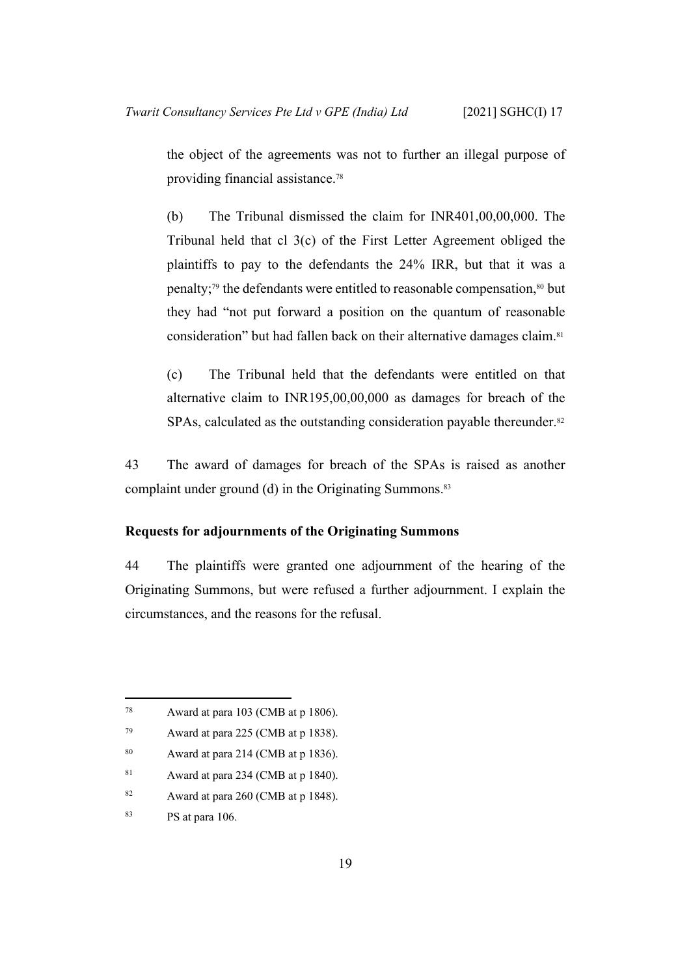the object of the agreements was not to further an illegal purpose of providing financial assistance.<sup>78</sup>

(b) The Tribunal dismissed the claim for INR401,00,00,000. The Tribunal held that cl 3(c) of the First Letter Agreement obliged the plaintiffs to pay to the defendants the 24% IRR, but that it was a penalty;<sup>79</sup> the defendants were entitled to reasonable compensation,<sup>80</sup> but they had "not put forward a position on the quantum of reasonable consideration" but had fallen back on their alternative damages claim.<sup>81</sup>

(c) The Tribunal held that the defendants were entitled on that alternative claim to INR195,00,00,000 as damages for breach of the SPAs, calculated as the outstanding consideration payable thereunder.<sup>82</sup>

43 The award of damages for breach of the SPAs is raised as another complaint under ground (d) in the Originating Summons.<sup>83</sup>

#### <span id="page-21-0"></span>**Requests for adjournments of the Originating Summons**

44 The plaintiffs were granted one adjournment of the hearing of the Originating Summons, but were refused a further adjournment. I explain the circumstances, and the reasons for the refusal.

<sup>78</sup> Award at para 103 (CMB at p 1806).

<sup>79</sup> Award at para 225 (CMB at p 1838).

<sup>80</sup> Award at para 214 (CMB at p 1836).

<sup>81</sup> Award at para 234 (CMB at p 1840).

<sup>82</sup> Award at para 260 (CMB at p 1848).

<sup>83</sup> PS at para 106.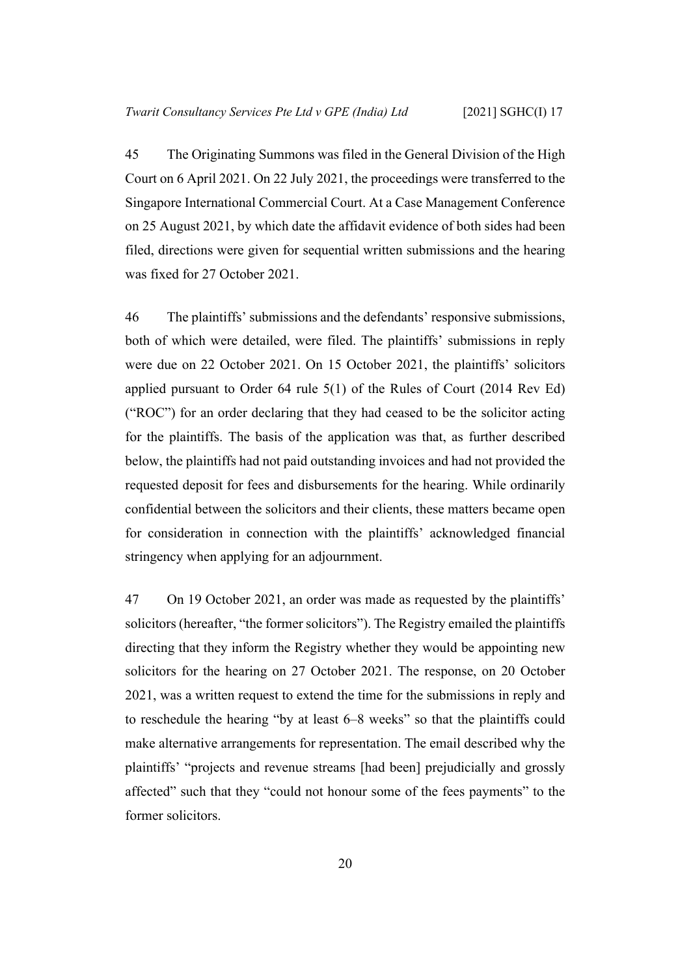45 The Originating Summons was filed in the General Division of the High Court on 6 April 2021. On 22 July 2021, the proceedings were transferred to the Singapore International Commercial Court. At a Case Management Conference on 25 August 2021, by which date the affidavit evidence of both sides had been filed, directions were given for sequential written submissions and the hearing was fixed for 27 October 2021.

46 The plaintiffs' submissions and the defendants' responsive submissions, both of which were detailed, were filed. The plaintiffs' submissions in reply were due on 22 October 2021. On 15 October 2021, the plaintiffs' solicitors applied pursuant to Order 64 rule 5(1) of the Rules of Court (2014 Rev Ed) ("ROC") for an order declaring that they had ceased to be the solicitor acting for the plaintiffs. The basis of the application was that, as further described below, the plaintiffs had not paid outstanding invoices and had not provided the requested deposit for fees and disbursements for the hearing. While ordinarily confidential between the solicitors and their clients, these matters became open for consideration in connection with the plaintiffs' acknowledged financial stringency when applying for an adjournment.

47 On 19 October 2021, an order was made as requested by the plaintiffs' solicitors (hereafter, "the former solicitors"). The Registry emailed the plaintiffs directing that they inform the Registry whether they would be appointing new solicitors for the hearing on 27 October 2021. The response, on 20 October 2021, was a written request to extend the time for the submissions in reply and to reschedule the hearing "by at least 6–8 weeks" so that the plaintiffs could make alternative arrangements for representation. The email described why the plaintiffs' "projects and revenue streams [had been] prejudicially and grossly affected" such that they "could not honour some of the fees payments" to the former solicitors.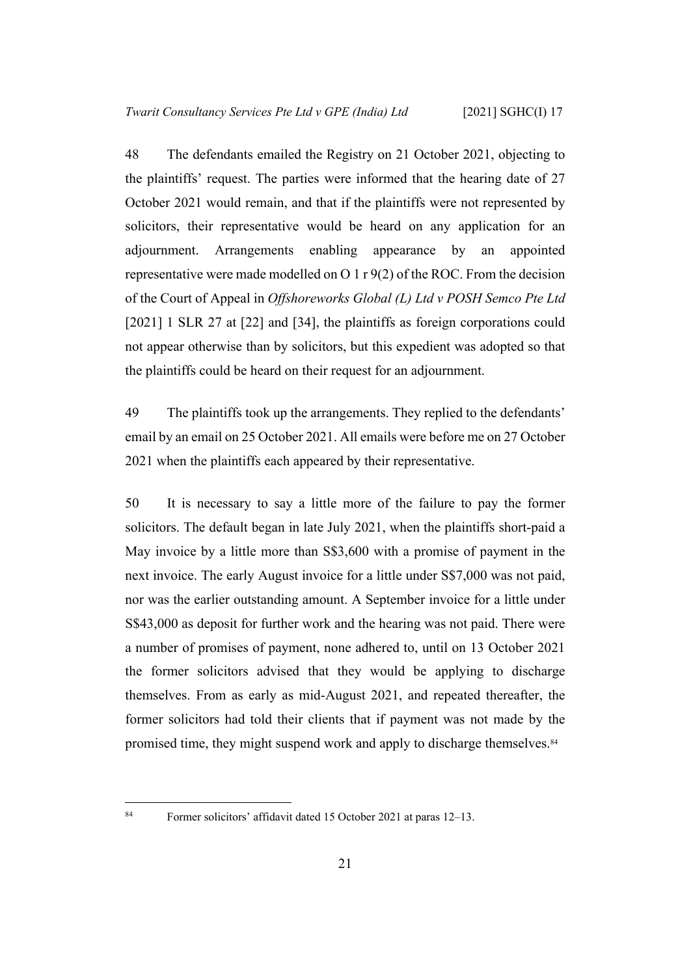48 The defendants emailed the Registry on 21 October 2021, objecting to the plaintiffs' request. The parties were informed that the hearing date of 27 October 2021 would remain, and that if the plaintiffs were not represented by solicitors, their representative would be heard on any application for an adjournment. Arrangements enabling appearance by an appointed representative were made modelled on O 1 r 9(2) of the ROC. From the decision of the Court of Appeal in *Offshoreworks Global (L) Ltd v POSH Semco Pte Ltd*  [2021] 1 SLR 27 at [22] and [34], the plaintiffs as foreign corporations could not appear otherwise than by solicitors, but this expedient was adopted so that the plaintiffs could be heard on their request for an adjournment.

49 The plaintiffs took up the arrangements. They replied to the defendants' email by an email on 25 October 2021. All emails were before me on 27 October 2021 when the plaintiffs each appeared by their representative.

50 It is necessary to say a little more of the failure to pay the former solicitors. The default began in late July 2021, when the plaintiffs short-paid a May invoice by a little more than S\$3,600 with a promise of payment in the next invoice. The early August invoice for a little under S\$7,000 was not paid, nor was the earlier outstanding amount. A September invoice for a little under S\$43,000 as deposit for further work and the hearing was not paid. There were a number of promises of payment, none adhered to, until on 13 October 2021 the former solicitors advised that they would be applying to discharge themselves. From as early as mid-August 2021, and repeated thereafter, the former solicitors had told their clients that if payment was not made by the promised time, they might suspend work and apply to discharge themselves.<sup>84</sup>

<sup>84</sup> Former solicitors' affidavit dated 15 October 2021 at paras 12–13.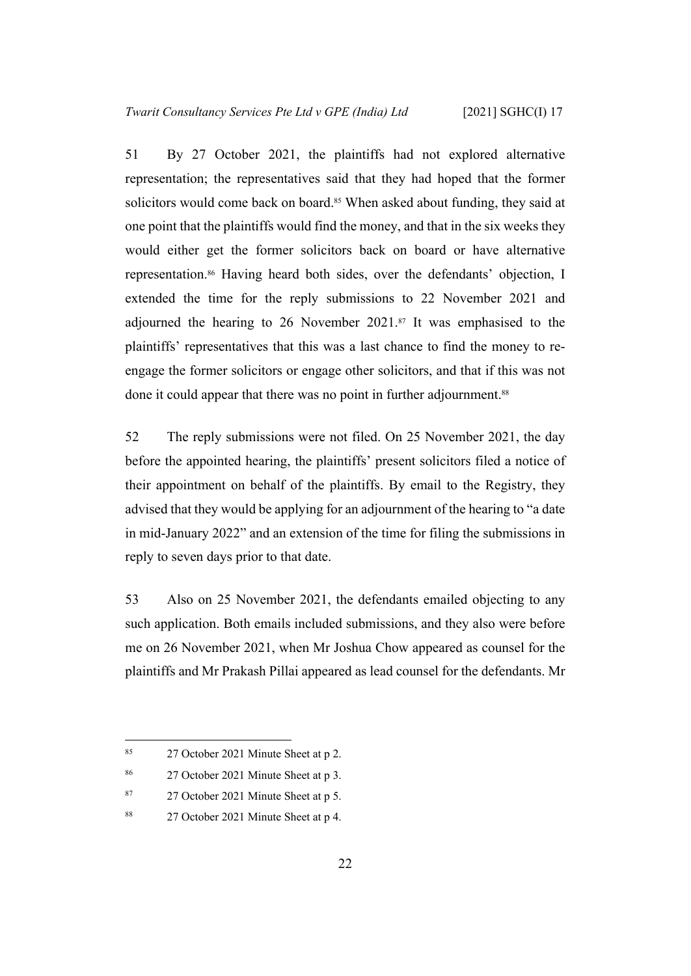51 By 27 October 2021, the plaintiffs had not explored alternative representation; the representatives said that they had hoped that the former solicitors would come back on board.<sup>85</sup> When asked about funding, they said at one point that the plaintiffs would find the money, and that in the six weeks they would either get the former solicitors back on board or have alternative representation.86 Having heard both sides, over the defendants' objection, I extended the time for the reply submissions to 22 November 2021 and adjourned the hearing to 26 November 2021.87 It was emphasised to the plaintiffs' representatives that this was a last chance to find the money to reengage the former solicitors or engage other solicitors, and that if this was not done it could appear that there was no point in further adjournment.<sup>88</sup>

52 The reply submissions were not filed. On 25 November 2021, the day before the appointed hearing, the plaintiffs' present solicitors filed a notice of their appointment on behalf of the plaintiffs. By email to the Registry, they advised that they would be applying for an adjournment of the hearing to "a date in mid-January 2022" and an extension of the time for filing the submissions in reply to seven days prior to that date.

53 Also on 25 November 2021, the defendants emailed objecting to any such application. Both emails included submissions, and they also were before me on 26 November 2021, when Mr Joshua Chow appeared as counsel for the plaintiffs and Mr Prakash Pillai appeared as lead counsel for the defendants. Mr

- <sup>87</sup> 27 October 2021 Minute Sheet at p 5.
- 88 27 October 2021 Minute Sheet at p 4.

<sup>85</sup> 27 October 2021 Minute Sheet at p 2.

<sup>86</sup> 27 October 2021 Minute Sheet at p 3.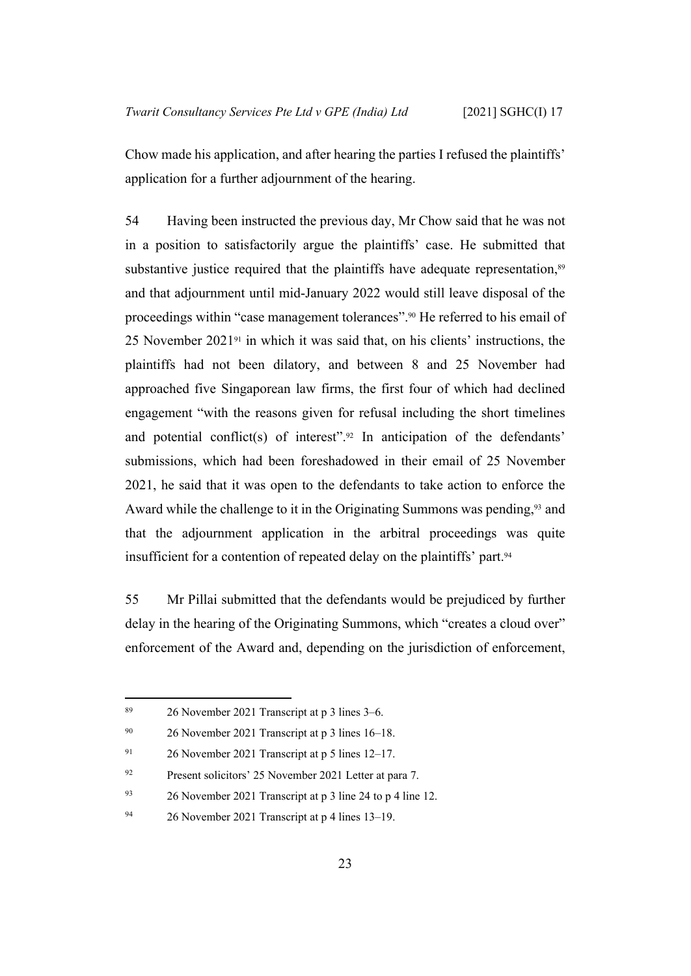Chow made his application, and after hearing the parties I refused the plaintiffs' application for a further adjournment of the hearing.

54 Having been instructed the previous day, Mr Chow said that he was not in a position to satisfactorily argue the plaintiffs' case. He submitted that substantive justice required that the plaintiffs have adequate representation,<sup>89</sup> and that adjournment until mid-January 2022 would still leave disposal of the proceedings within "case management tolerances".90 He referred to his email of 25 November 202191 in which it was said that, on his clients' instructions, the plaintiffs had not been dilatory, and between 8 and 25 November had approached five Singaporean law firms, the first four of which had declined engagement "with the reasons given for refusal including the short timelines and potential conflict(s) of interest". $92$  In anticipation of the defendants' submissions, which had been foreshadowed in their email of 25 November 2021, he said that it was open to the defendants to take action to enforce the Award while the challenge to it in the Originating Summons was pending,<sup>93</sup> and that the adjournment application in the arbitral proceedings was quite insufficient for a contention of repeated delay on the plaintiffs' part.<sup>94</sup>

55 Mr Pillai submitted that the defendants would be prejudiced by further delay in the hearing of the Originating Summons, which "creates a cloud over" enforcement of the Award and, depending on the jurisdiction of enforcement,

<sup>89</sup> 26 November 2021 Transcript at p 3 lines 3–6.

<sup>90</sup> 26 November 2021 Transcript at p 3 lines 16–18.

<sup>91</sup> 26 November 2021 Transcript at p 5 lines 12–17.

<sup>92</sup> Present solicitors' 25 November 2021 Letter at para 7.

<sup>93</sup> 26 November 2021 Transcript at p 3 line 24 to p 4 line 12.

<sup>94</sup> 26 November 2021 Transcript at p 4 lines 13–19.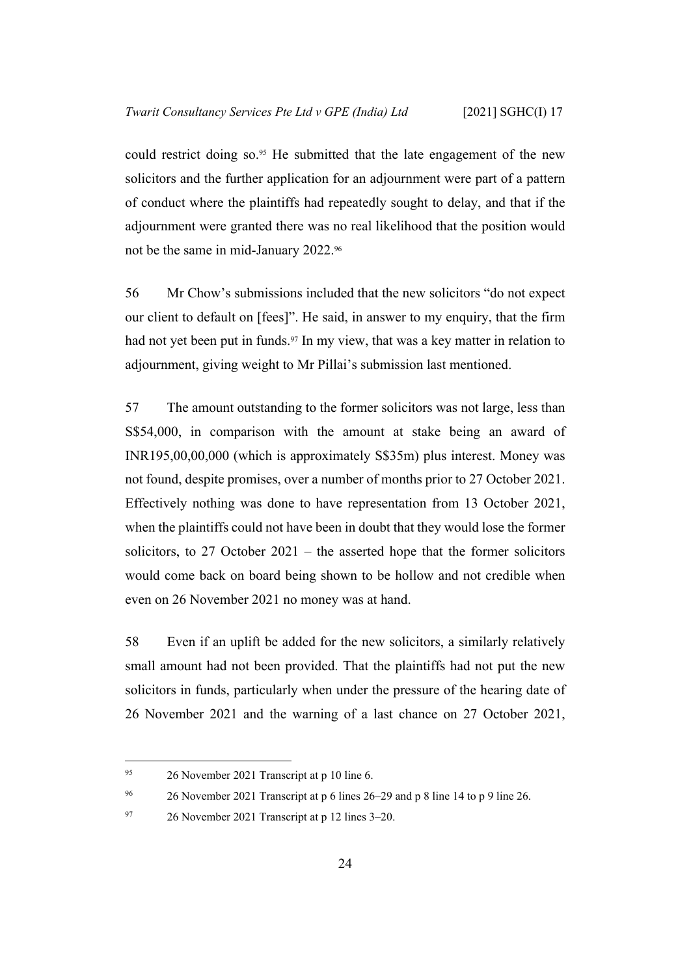could restrict doing so.<sup>95</sup> He submitted that the late engagement of the new solicitors and the further application for an adjournment were part of a pattern of conduct where the plaintiffs had repeatedly sought to delay, and that if the adjournment were granted there was no real likelihood that the position would not be the same in mid-January 2022.<sup>96</sup>

56 Mr Chow's submissions included that the new solicitors "do not expect our client to default on [fees]". He said, in answer to my enquiry, that the firm had not yet been put in funds.<sup>97</sup> In my view, that was a key matter in relation to adjournment, giving weight to Mr Pillai's submission last mentioned.

57 The amount outstanding to the former solicitors was not large, less than S\$54,000, in comparison with the amount at stake being an award of INR195,00,00,000 (which is approximately S\$35m) plus interest. Money was not found, despite promises, over a number of months prior to 27 October 2021. Effectively nothing was done to have representation from 13 October 2021, when the plaintiffs could not have been in doubt that they would lose the former solicitors, to 27 October 2021 – the asserted hope that the former solicitors would come back on board being shown to be hollow and not credible when even on 26 November 2021 no money was at hand.

58 Even if an uplift be added for the new solicitors, a similarly relatively small amount had not been provided. That the plaintiffs had not put the new solicitors in funds, particularly when under the pressure of the hearing date of 26 November 2021 and the warning of a last chance on 27 October 2021,

<sup>95</sup> 26 November 2021 Transcript at p 10 line 6.

<sup>96</sup> 26 November 2021 Transcript at p 6 lines 26–29 and p 8 line 14 to p 9 line 26.

 $97$  26 November 2021 Transcript at p 12 lines 3–20.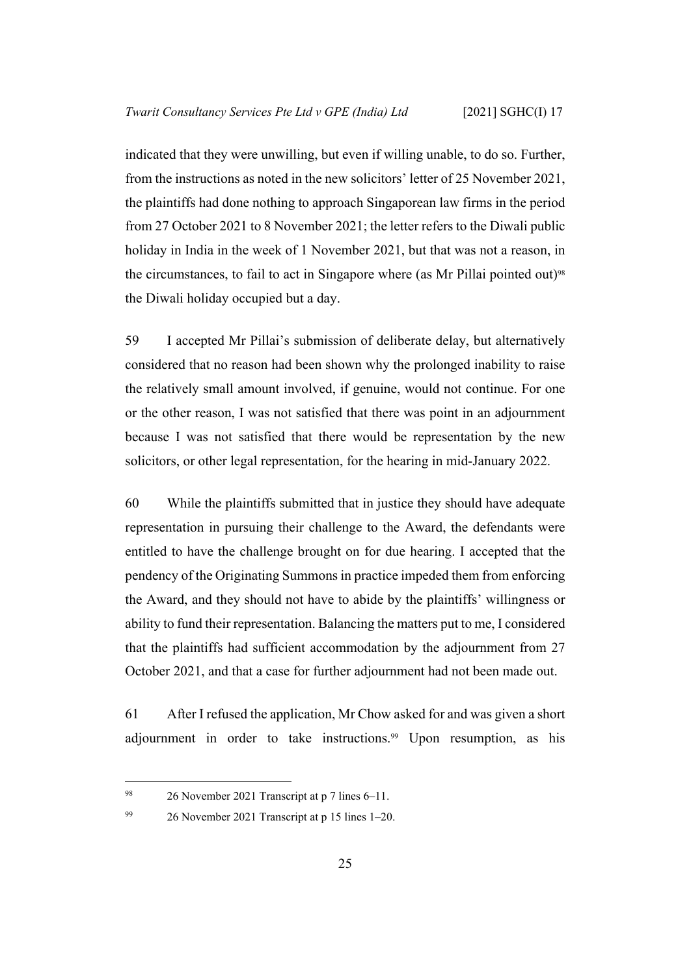indicated that they were unwilling, but even if willing unable, to do so. Further, from the instructions as noted in the new solicitors' letter of 25 November 2021, the plaintiffs had done nothing to approach Singaporean law firms in the period from 27 October 2021 to 8 November 2021; the letter refers to the Diwali public holiday in India in the week of 1 November 2021, but that was not a reason, in the circumstances, to fail to act in Singapore where (as Mr Pillai pointed out)<sup>98</sup> the Diwali holiday occupied but a day.

59 I accepted Mr Pillai's submission of deliberate delay, but alternatively considered that no reason had been shown why the prolonged inability to raise the relatively small amount involved, if genuine, would not continue. For one or the other reason, I was not satisfied that there was point in an adjournment because I was not satisfied that there would be representation by the new solicitors, or other legal representation, for the hearing in mid-January 2022.

60 While the plaintiffs submitted that in justice they should have adequate representation in pursuing their challenge to the Award, the defendants were entitled to have the challenge brought on for due hearing. I accepted that the pendency of the Originating Summons in practice impeded them from enforcing the Award, and they should not have to abide by the plaintiffs' willingness or ability to fund their representation. Balancing the matters put to me, I considered that the plaintiffs had sufficient accommodation by the adjournment from 27 October 2021, and that a case for further adjournment had not been made out.

61 After I refused the application, Mr Chow asked for and was given a short adjournment in order to take instructions.99 Upon resumption, as his

99 26 November 2021 Transcript at p 15 lines 1–20.

<sup>98</sup> 26 November 2021 Transcript at p 7 lines 6–11.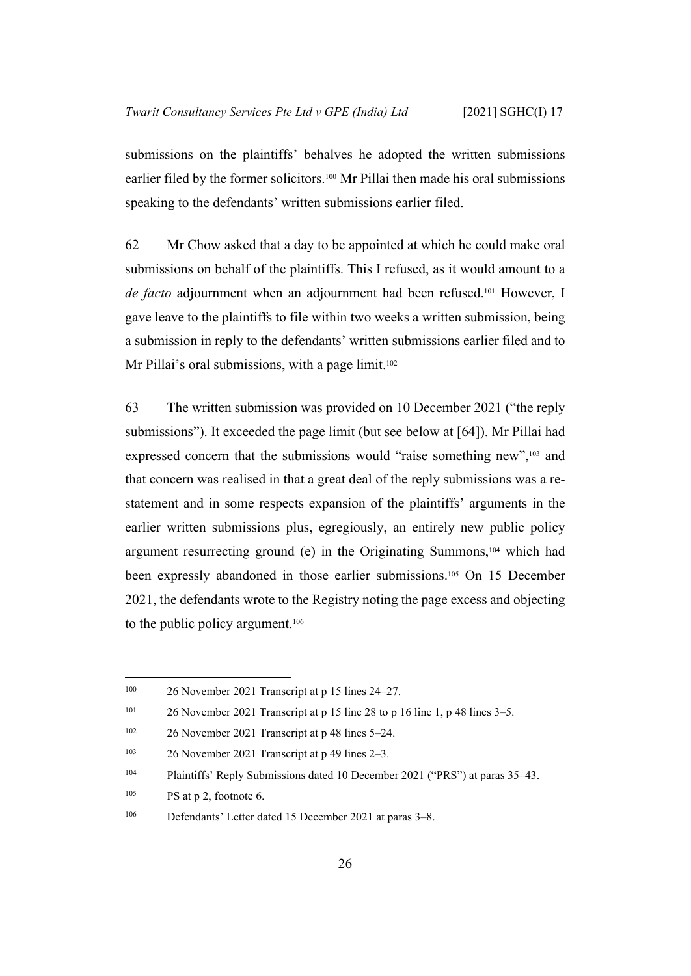submissions on the plaintiffs' behalves he adopted the written submissions earlier filed by the former solicitors.100 Mr Pillai then made his oral submissions speaking to the defendants' written submissions earlier filed.

62 Mr Chow asked that a day to be appointed at which he could make oral submissions on behalf of the plaintiffs. This I refused, as it would amount to a *de facto* adjournment when an adjournment had been refused.101 However, I gave leave to the plaintiffs to file within two weeks a written submission, being a submission in reply to the defendants' written submissions earlier filed and to Mr Pillai's oral submissions, with a page limit.<sup>102</sup>

63 The written submission was provided on 10 December 2021 ("the reply submissions"). It exceeded the page limit (but see below at [\[64](#page-29-2)]). Mr Pillai had expressed concern that the submissions would "raise something new",<sup>103</sup> and that concern was realised in that a great deal of the reply submissions was a restatement and in some respects expansion of the plaintiffs' arguments in the earlier written submissions plus, egregiously, an entirely new public policy argument resurrecting ground (e) in the Originating Summons,104 which had been expressly abandoned in those earlier submissions.105 On 15 December 2021, the defendants wrote to the Registry noting the page excess and objecting to the public policy argument.<sup>106</sup>

 $^{105}$  PS at p 2, footnote 6.

<sup>100</sup> 26 November 2021 Transcript at p 15 lines 24–27.

<sup>&</sup>lt;sup>101</sup> 26 November 2021 Transcript at p 15 line 28 to p 16 line 1, p 48 lines  $3-5$ .

<sup>102</sup> 26 November 2021 Transcript at p 48 lines 5–24.

<sup>103</sup> 26 November 2021 Transcript at p 49 lines 2–3.

<sup>&</sup>lt;sup>104</sup> Plaintiffs' Reply Submissions dated 10 December 2021 ("PRS") at paras 35–43.

<sup>106</sup> Defendants' Letter dated 15 December 2021 at paras 3–8.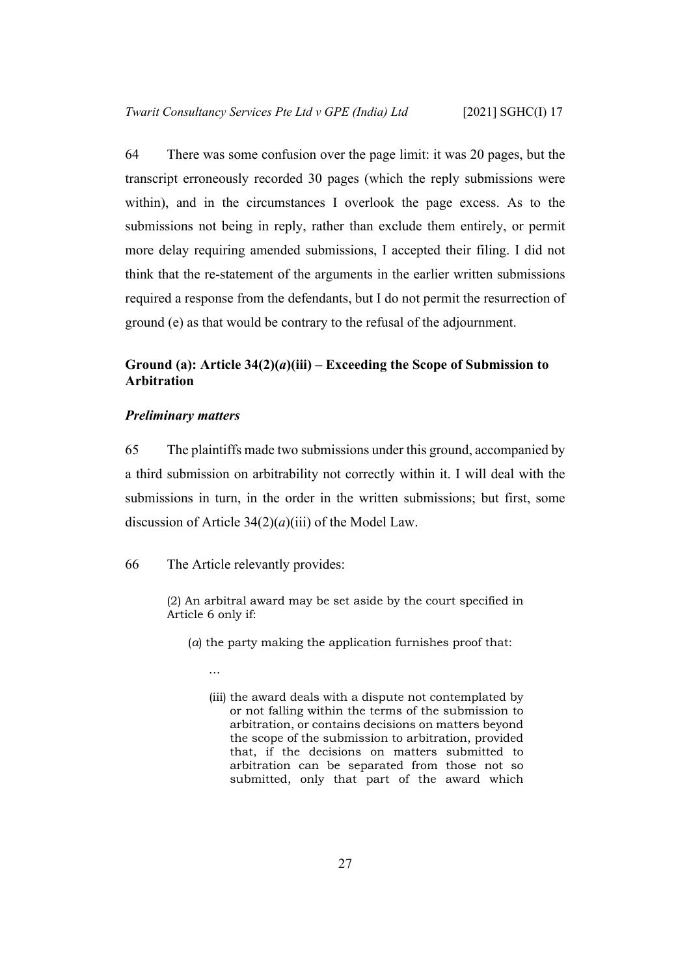<span id="page-29-2"></span>64 There was some confusion over the page limit: it was 20 pages, but the transcript erroneously recorded 30 pages (which the reply submissions were within), and in the circumstances I overlook the page excess. As to the submissions not being in reply, rather than exclude them entirely, or permit more delay requiring amended submissions, I accepted their filing. I did not think that the re-statement of the arguments in the earlier written submissions required a response from the defendants, but I do not permit the resurrection of ground (e) as that would be contrary to the refusal of the adjournment.

## <span id="page-29-0"></span>**Ground (a): Article 34(2)(***a***)(iii) – Exceeding the Scope of Submission to Arbitration**

#### <span id="page-29-1"></span>*Preliminary matters*

65 The plaintiffs made two submissions under this ground, accompanied by a third submission on arbitrability not correctly within it. I will deal with the submissions in turn, in the order in the written submissions; but first, some discussion of Article 34(2)(*a*)(iii) of the Model Law.

## 66 The Article relevantly provides:

(2) An arbitral award may be set aside by the court specified in Article 6 only if:

- (*a*) the party making the application furnishes proof that:
	- …
	- (iii) the award deals with a dispute not contemplated by or not falling within the terms of the submission to arbitration, or contains decisions on matters beyond the scope of the submission to arbitration, provided that, if the decisions on matters submitted to arbitration can be separated from those not so submitted, only that part of the award which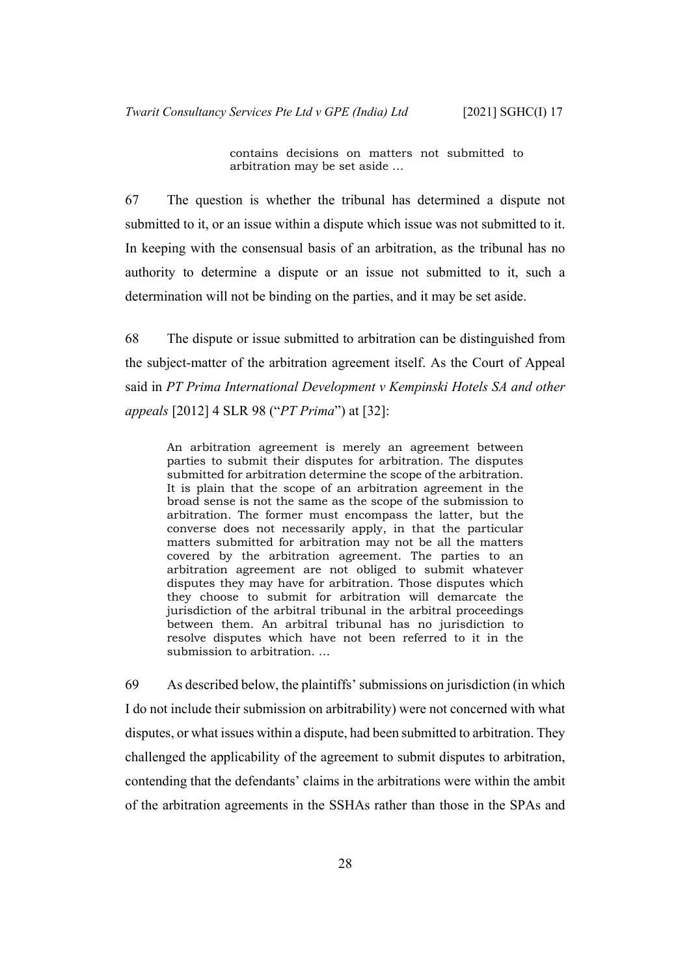contains decisions on matters not submitted to arbitration may be set aside …

67 The question is whether the tribunal has determined a dispute not submitted to it, or an issue within a dispute which issue was not submitted to it. In keeping with the consensual basis of an arbitration, as the tribunal has no authority to determine a dispute or an issue not submitted to it, such a determination will not be binding on the parties, and it may be set aside.

68 The dispute or issue submitted to arbitration can be distinguished from the subject-matter of the arbitration agreement itself. As the Court of Appeal said in *PT Prima International Development v Kempinski Hotels SA and other appeals* [2012] 4 SLR 98 ("*PT Prima*") at [32]:

An arbitration agreement is merely an agreement between parties to submit their disputes for arbitration. The disputes submitted for arbitration determine the scope of the arbitration. It is plain that the scope of an arbitration agreement in the broad sense is not the same as the scope of the submission to arbitration. The former must encompass the latter, but the converse does not necessarily apply, in that the particular matters submitted for arbitration may not be all the matters covered by the arbitration agreement. The parties to an arbitration agreement are not obliged to submit whatever disputes they may have for arbitration. Those disputes which they choose to submit for arbitration will demarcate the jurisdiction of the arbitral tribunal in the arbitral proceedings between them. An arbitral tribunal has no jurisdiction to resolve disputes which have not been referred to it in the submission to arbitration. …

69 As described below, the plaintiffs' submissions on jurisdiction (in which I do not include their submission on arbitrability) were not concerned with what disputes, or what issues within a dispute, had been submitted to arbitration. They challenged the applicability of the agreement to submit disputes to arbitration, contending that the defendants' claims in the arbitrations were within the ambit of the arbitration agreements in the SSHAs rather than those in the SPAs and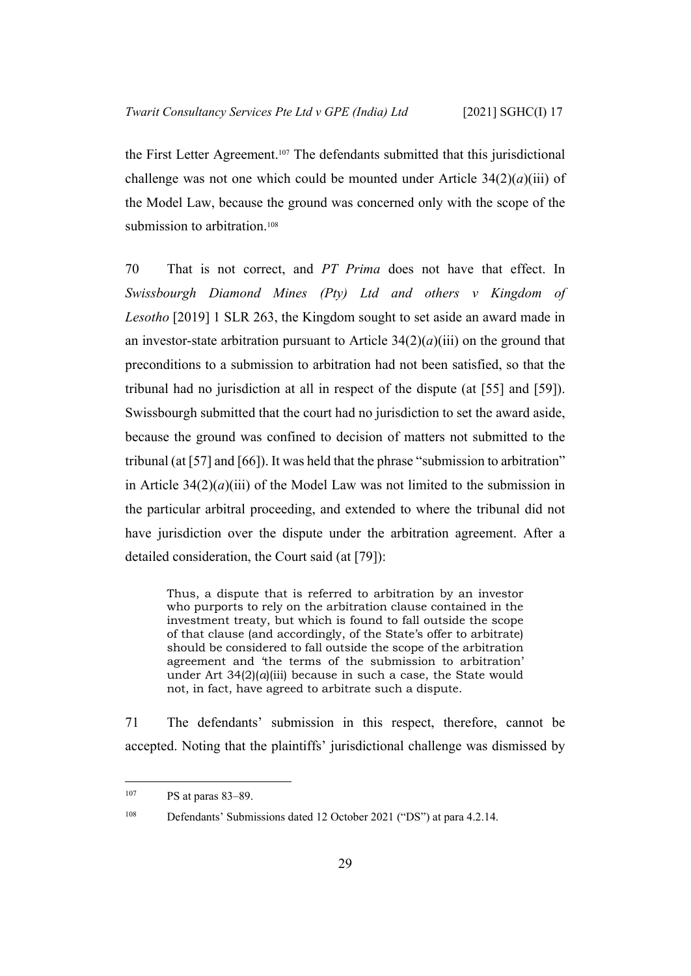the First Letter Agreement.107 The defendants submitted that this jurisdictional challenge was not one which could be mounted under Article  $34(2)(a)(iii)$  of the Model Law, because the ground was concerned only with the scope of the submission to arbitration.<sup>108</sup>

70 That is not correct, and *PT Prima* does not have that effect. In *Swissbourgh Diamond Mines (Pty) Ltd and others v Kingdom of Lesotho* [2019] 1 SLR 263, the Kingdom sought to set aside an award made in an investor-state arbitration pursuant to Article  $34(2)(a)(iii)$  on the ground that preconditions to a submission to arbitration had not been satisfied, so that the tribunal had no jurisdiction at all in respect of the dispute (at [55] and [59]). Swissbourgh submitted that the court had no jurisdiction to set the award aside, because the ground was confined to decision of matters not submitted to the tribunal (at [57] and [66]). It was held that the phrase "submission to arbitration" in Article  $34(2)(a)(iii)$  of the Model Law was not limited to the submission in the particular arbitral proceeding, and extended to where the tribunal did not have jurisdiction over the dispute under the arbitration agreement. After a detailed consideration, the Court said (at [79]):

Thus, a dispute that is referred to arbitration by an investor who purports to rely on the arbitration clause contained in the investment treaty, but which is found to fall outside the scope of that clause (and accordingly, of the State's offer to arbitrate) should be considered to fall outside the scope of the arbitration agreement and 'the terms of the submission to arbitration' under Art  $34(2)(a)(iii)$  because in such a case, the State would not, in fact, have agreed to arbitrate such a dispute.

71 The defendants' submission in this respect, therefore, cannot be accepted. Noting that the plaintiffs' jurisdictional challenge was dismissed by

 $107$  PS at paras 83–89.

<sup>108</sup> Defendants' Submissions dated 12 October 2021 ("DS") at para 4.2.14.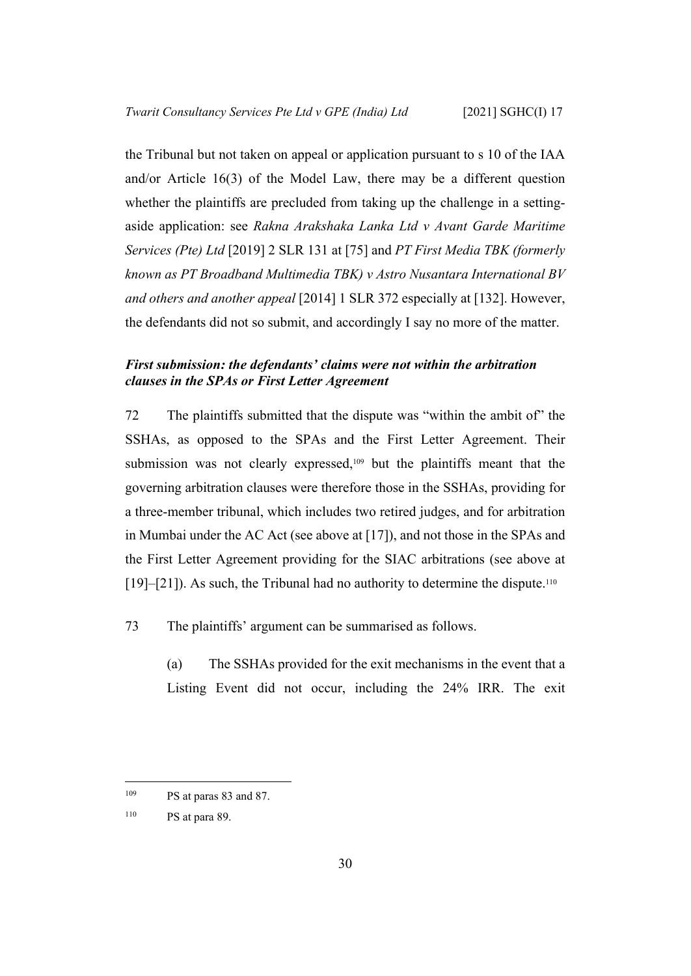the Tribunal but not taken on appeal or application pursuant to s 10 of the IAA and/or Article 16(3) of the Model Law, there may be a different question whether the plaintiffs are precluded from taking up the challenge in a settingaside application: see *Rakna Arakshaka Lanka Ltd v Avant Garde Maritime Services (Pte) Ltd* [2019] 2 SLR 131 at [75] and *PT First Media TBK (formerly known as PT Broadband Multimedia TBK) v Astro Nusantara International BV and others and another appeal* [2014] 1 SLR 372 especially at [132]. However, the defendants did not so submit, and accordingly I say no more of the matter.

## <span id="page-32-0"></span>*First submission: the defendants' claims were not within the arbitration clauses in the SPAs or First Letter Agreement*

72 The plaintiffs submitted that the dispute was "within the ambit of" the SSHAs, as opposed to the SPAs and the First Letter Agreement. Their submission was not clearly expressed,<sup>109</sup> but the plaintiffs meant that the governing arbitration clauses were therefore those in the SSHAs, providing for a three-member tribunal, which includes two retired judges, and for arbitration in Mumbai under the AC Act (see above at [\[17](#page-10-1)]), and not those in the SPAs and the First Letter Agreement providing for the SIAC arbitrations (see above at  $[19]$  $[19]$ – $[21]$  $[21]$ ). As such, the Tribunal had no authority to determine the dispute.<sup>110</sup>

73 The plaintiffs' argument can be summarised as follows.

(a) The SSHAs provided for the exit mechanisms in the event that a Listing Event did not occur, including the 24% IRR. The exit

<sup>109</sup> PS at paras 83 and 87.

<sup>110</sup> PS at para 89.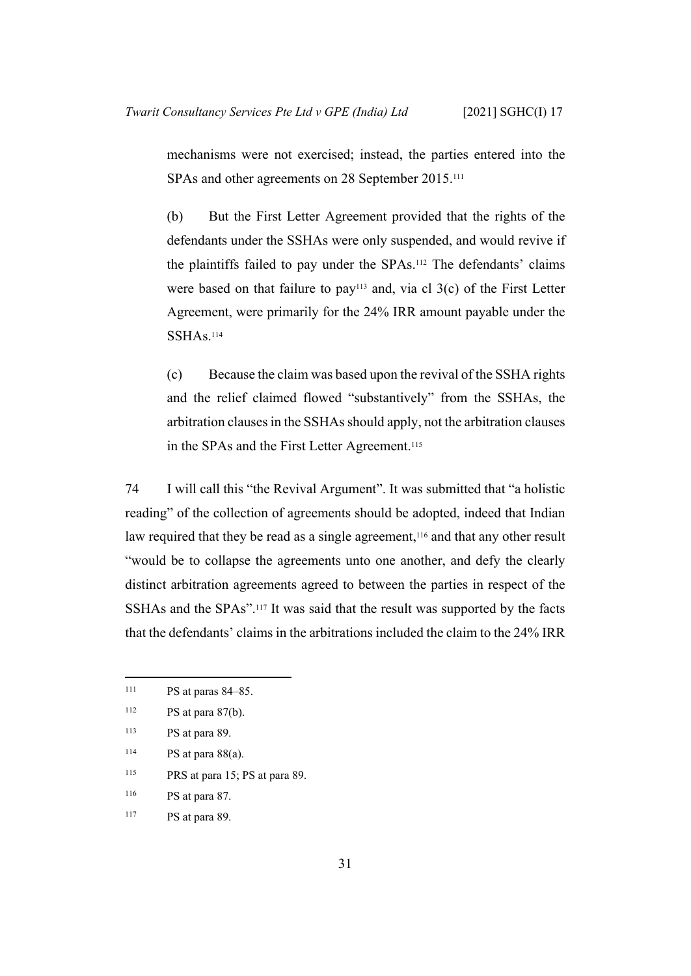mechanisms were not exercised; instead, the parties entered into the SPAs and other agreements on 28 September 2015.<sup>111</sup>

(b) But the First Letter Agreement provided that the rights of the defendants under the SSHAs were only suspended, and would revive if the plaintiffs failed to pay under the SPAs.112 The defendants' claims were based on that failure to pay<sup>113</sup> and, via cl  $3(c)$  of the First Letter Agreement, were primarily for the 24% IRR amount payable under the SSHAs.<sup>114</sup>

(c) Because the claim was based upon the revival of the SSHA rights and the relief claimed flowed "substantively" from the SSHAs, the arbitration clauses in the SSHAs should apply, not the arbitration clauses in the SPAs and the First Letter Agreement.<sup>115</sup>

74 I will call this "the Revival Argument". It was submitted that "a holistic reading" of the collection of agreements should be adopted, indeed that Indian law required that they be read as a single agreement,<sup>116</sup> and that any other result "would be to collapse the agreements unto one another, and defy the clearly distinct arbitration agreements agreed to between the parties in respect of the SSHAs and the SPAs".117 It was said that the result was supported by the facts that the defendants' claims in the arbitrations included the claim to the 24% IRR

- <sup>115</sup> PRS at para 15; PS at para 89.
- <sup>116</sup> PS at para 87.

<sup>111</sup> PS at paras 84–85.

 $112$  PS at para 87(b).

<sup>113</sup> PS at para 89.

 $114$  PS at para  $88(a)$ .

<sup>117</sup> PS at para 89.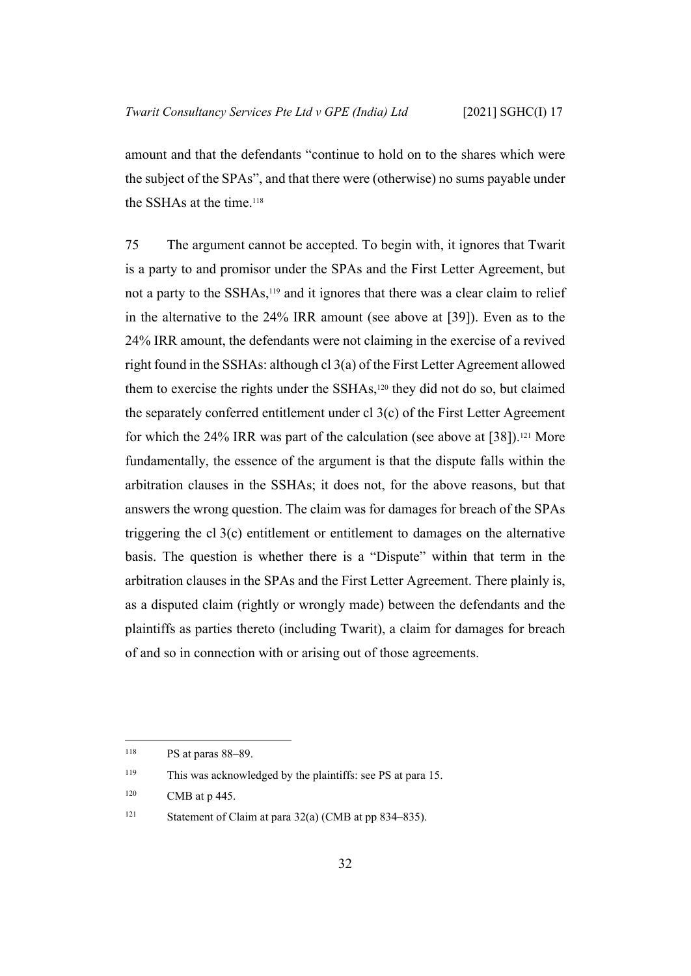amount and that the defendants "continue to hold on to the shares which were the subject of the SPAs", and that there were (otherwise) no sums payable under the SSHAs at the time.<sup>118</sup>

75 The argument cannot be accepted. To begin with, it ignores that Twarit is a party to and promisor under the SPAs and the First Letter Agreement, but not a party to the SSHAs,<sup>119</sup> and it ignores that there was a clear claim to relief in the alternative to the 24% IRR amount (see above at [[39\]](#page-19-0)). Even as to the 24% IRR amount, the defendants were not claiming in the exercise of a revived right found in the SSHAs: although cl 3(a) of the First Letter Agreement allowed them to exercise the rights under the SSHAs,120 they did not do so, but claimed the separately conferred entitlement under cl 3(c) of the First Letter Agreement for which the 24% IRR was part of the calculation (see above at  $[38]$  $[38]$ ).<sup>121</sup> More fundamentally, the essence of the argument is that the dispute falls within the arbitration clauses in the SSHAs; it does not, for the above reasons, but that answers the wrong question. The claim was for damages for breach of the SPAs triggering the cl 3(c) entitlement or entitlement to damages on the alternative basis. The question is whether there is a "Dispute" within that term in the arbitration clauses in the SPAs and the First Letter Agreement. There plainly is, as a disputed claim (rightly or wrongly made) between the defendants and the plaintiffs as parties thereto (including Twarit), a claim for damages for breach of and so in connection with or arising out of those agreements.

<sup>118</sup> PS at paras 88–89.

<sup>119</sup> This was acknowledged by the plaintiffs: see PS at para 15.

 $120$  CMB at p 445.

<sup>121</sup> Statement of Claim at para 32(a) (CMB at pp 834–835).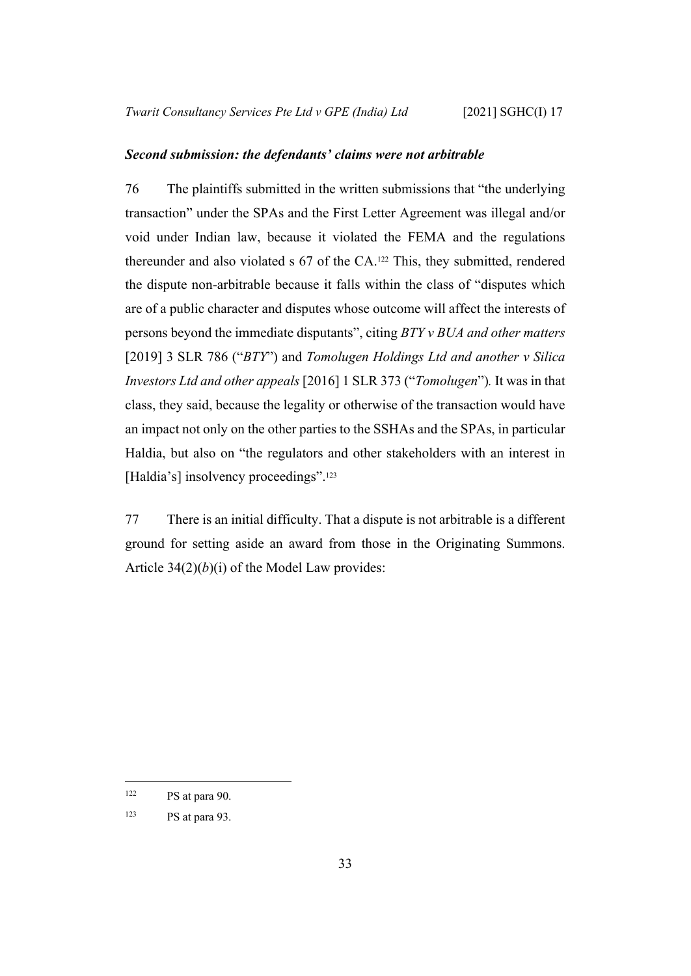#### <span id="page-35-0"></span>*Second submission: the defendants' claims were not arbitrable*

76 The plaintiffs submitted in the written submissions that "the underlying transaction" under the SPAs and the First Letter Agreement was illegal and/or void under Indian law, because it violated the FEMA and the regulations thereunder and also violated s 67 of the CA.122 This, they submitted, rendered the dispute non-arbitrable because it falls within the class of "disputes which are of a public character and disputes whose outcome will affect the interests of persons beyond the immediate disputants", citing *BTY v BUA and other matters*  [2019] 3 SLR 786 ("*BTY*") and *Tomolugen Holdings Ltd and another v Silica Investors Ltd and other appeals* [2016] 1 SLR 373 ("*Tomolugen*")*.* It was in that class, they said, because the legality or otherwise of the transaction would have an impact not only on the other parties to the SSHAs and the SPAs, in particular Haldia, but also on "the regulators and other stakeholders with an interest in [Haldia's] insolvency proceedings".<sup>123</sup>

77 There is an initial difficulty. That a dispute is not arbitrable is a different ground for setting aside an award from those in the Originating Summons. Article 34(2)(*b*)(i) of the Model Law provides:

 $122$  PS at para 90.

<sup>123</sup> PS at para 93.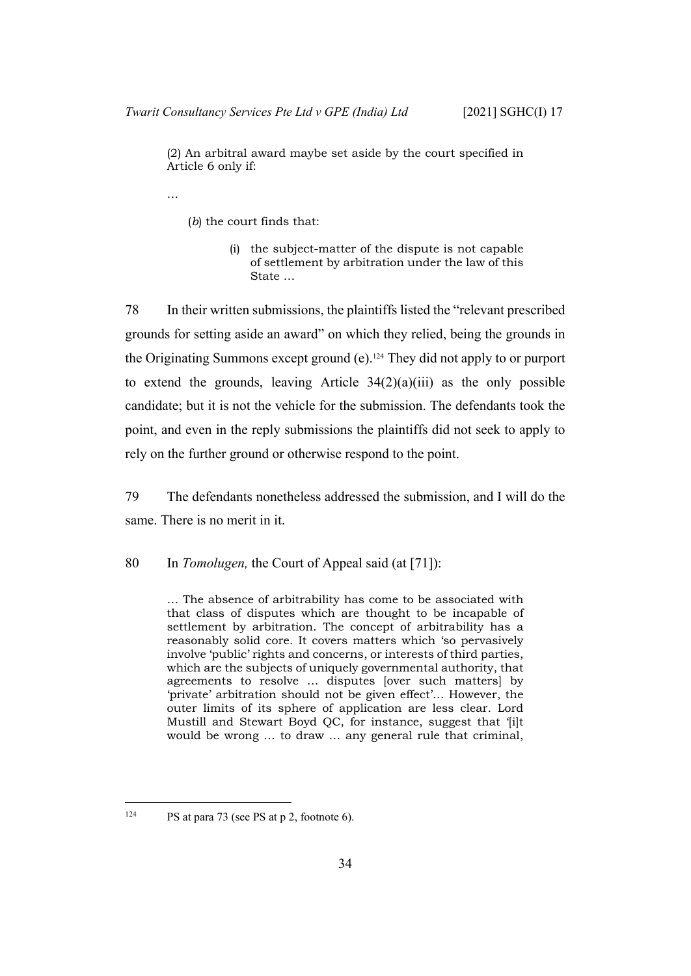(2) An arbitral award maybe set aside by the court specified in Article 6 only if:

…

(*b*) the court finds that:

(i) the subject-matter of the dispute is not capable of settlement by arbitration under the law of this State …

78 In their written submissions, the plaintiffs listed the "relevant prescribed grounds for setting aside an award" on which they relied, being the grounds in the Originating Summons except ground (e).124 They did not apply to or purport to extend the grounds, leaving Article  $34(2)(a)(iii)$  as the only possible candidate; but it is not the vehicle for the submission. The defendants took the point, and even in the reply submissions the plaintiffs did not seek to apply to rely on the further ground or otherwise respond to the point.

79 The defendants nonetheless addressed the submission, and I will do the same. There is no merit in it.

80 In *Tomolugen,* the Court of Appeal said (at [71]):

… The absence of arbitrability has come to be associated with that class of disputes which are thought to be incapable of settlement by arbitration. The concept of arbitrability has a reasonably solid core. It covers matters which 'so pervasively involve 'public' rights and concerns, or interests of third parties, which are the subjects of uniquely governmental authority, that agreements to resolve … disputes [over such matters] by 'private' arbitration should not be given effect'… However, the outer limits of its sphere of application are less clear. Lord Mustill and Stewart Boyd QC, for instance, suggest that '[i]t would be wrong … to draw … any general rule that criminal,

<sup>&</sup>lt;sup>124</sup> PS at para 73 (see PS at p 2, footnote 6).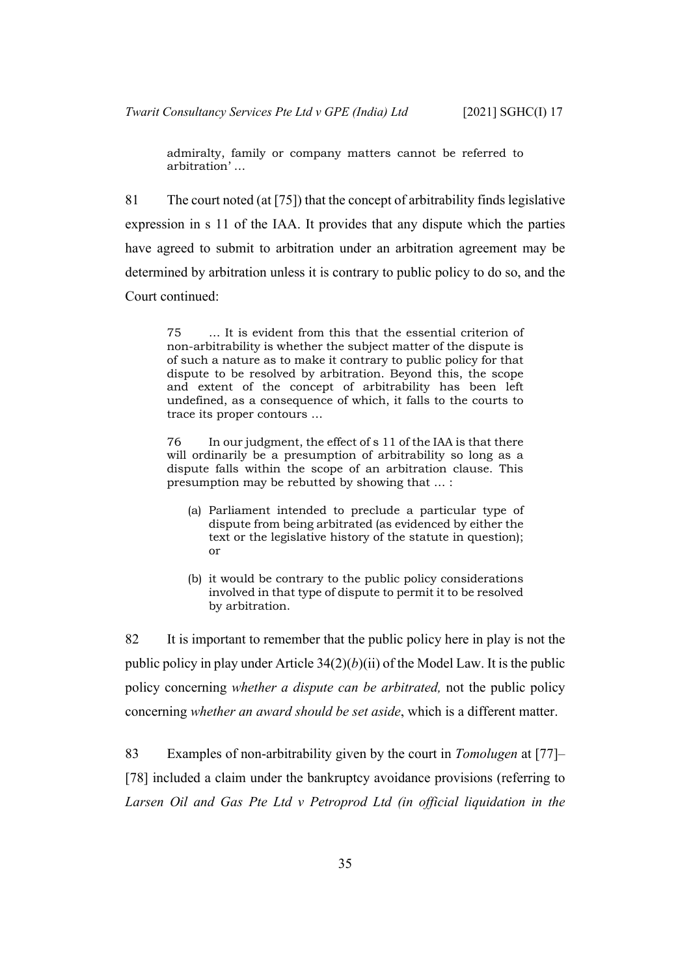admiralty, family or company matters cannot be referred to arbitration' …

81 The court noted (at [75]) that the concept of arbitrability finds legislative expression in s 11 of the IAA. It provides that any dispute which the parties have agreed to submit to arbitration under an arbitration agreement may be determined by arbitration unless it is contrary to public policy to do so, and the Court continued:

75 … It is evident from this that the essential criterion of non-arbitrability is whether the subject matter of the dispute is of such a nature as to make it contrary to public policy for that dispute to be resolved by arbitration. Beyond this, the scope and extent of the concept of arbitrability has been left undefined, as a consequence of which, it falls to the courts to trace its proper contours …

76 In our judgment, the effect of s 11 of the IAA is that there will ordinarily be a presumption of arbitrability so long as a dispute falls within the scope of an arbitration clause. This presumption may be rebutted by showing that … :

- (a) Parliament intended to preclude a particular type of dispute from being arbitrated (as evidenced by either the text or the legislative history of the statute in question); or
- (b) it would be contrary to the public policy considerations involved in that type of dispute to permit it to be resolved by arbitration.

82 It is important to remember that the public policy here in play is not the public policy in play under Article  $34(2)(b)(ii)$  of the Model Law. It is the public policy concerning *whether a dispute can be arbitrated,* not the public policy concerning *whether an award should be set aside*, which is a different matter.

83 Examples of non-arbitrability given by the court in *Tomolugen* at [77]– [78] included a claim under the bankruptcy avoidance provisions (referring to *Larsen Oil and Gas Pte Ltd v Petroprod Ltd (in official liquidation in the*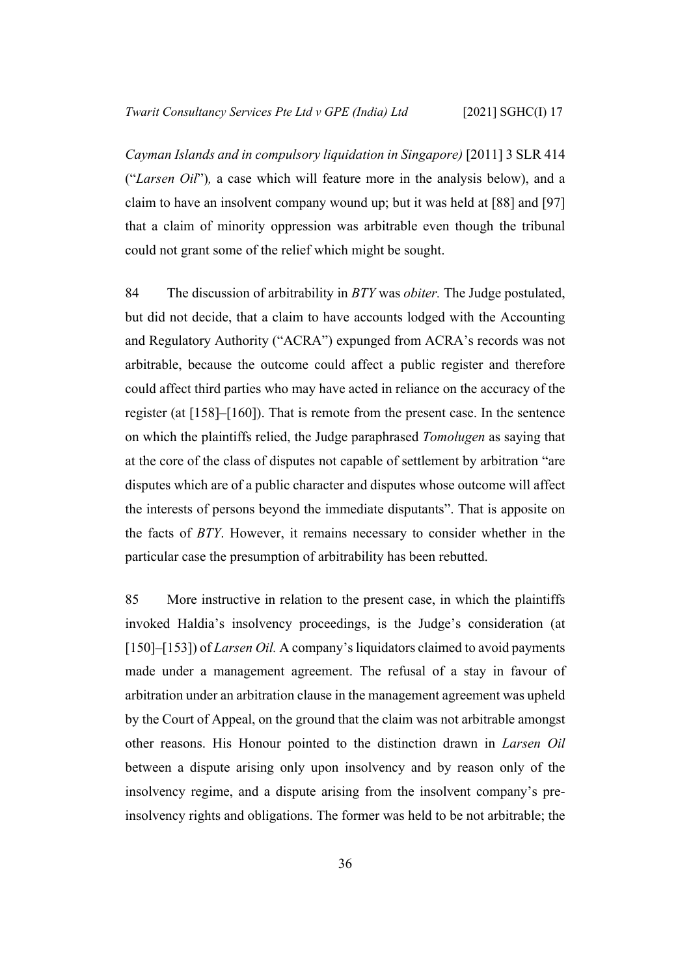*Cayman Islands and in compulsory liquidation in Singapore)* [2011] 3 SLR 414 ("*Larsen Oil*")*,* a case which will feature more in the analysis below), and a claim to have an insolvent company wound up; but it was held at [88] and [97] that a claim of minority oppression was arbitrable even though the tribunal could not grant some of the relief which might be sought.

84 The discussion of arbitrability in *BTY* was *obiter.* The Judge postulated, but did not decide, that a claim to have accounts lodged with the Accounting and Regulatory Authority ("ACRA") expunged from ACRA's records was not arbitrable, because the outcome could affect a public register and therefore could affect third parties who may have acted in reliance on the accuracy of the register (at [158]–[160]). That is remote from the present case. In the sentence on which the plaintiffs relied, the Judge paraphrased *Tomolugen* as saying that at the core of the class of disputes not capable of settlement by arbitration "are disputes which are of a public character and disputes whose outcome will affect the interests of persons beyond the immediate disputants". That is apposite on the facts of *BTY*. However, it remains necessary to consider whether in the particular case the presumption of arbitrability has been rebutted.

85 More instructive in relation to the present case, in which the plaintiffs invoked Haldia's insolvency proceedings, is the Judge's consideration (at [150]–[153]) of *Larsen Oil.* A company's liquidators claimed to avoid payments made under a management agreement. The refusal of a stay in favour of arbitration under an arbitration clause in the management agreement was upheld by the Court of Appeal, on the ground that the claim was not arbitrable amongst other reasons. His Honour pointed to the distinction drawn in *Larsen Oil*  between a dispute arising only upon insolvency and by reason only of the insolvency regime, and a dispute arising from the insolvent company's preinsolvency rights and obligations. The former was held to be not arbitrable; the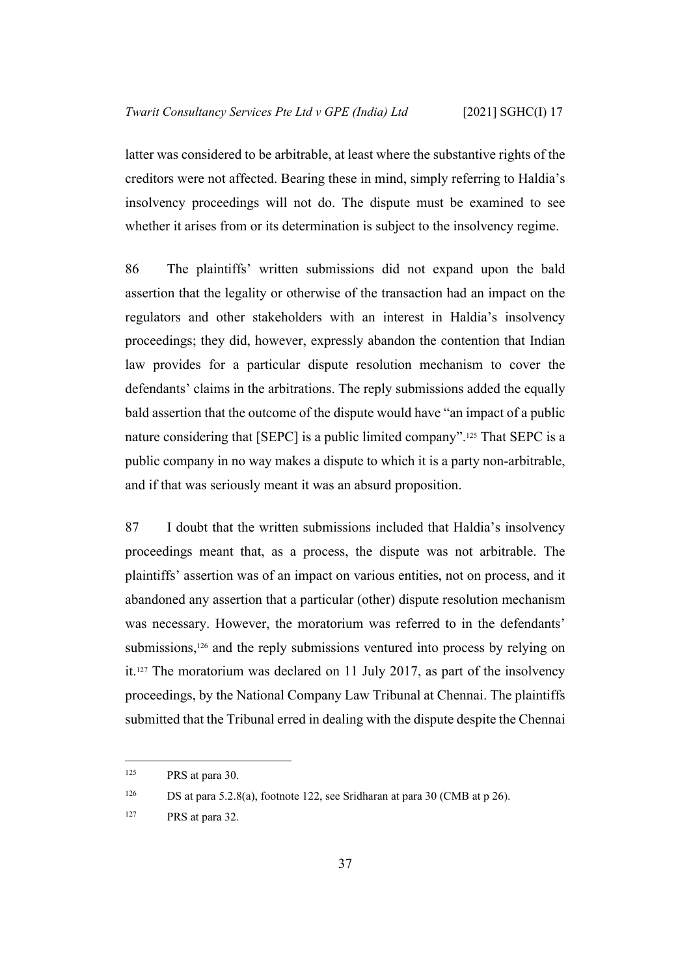latter was considered to be arbitrable, at least where the substantive rights of the creditors were not affected. Bearing these in mind, simply referring to Haldia's insolvency proceedings will not do. The dispute must be examined to see whether it arises from or its determination is subject to the insolvency regime.

86 The plaintiffs' written submissions did not expand upon the bald assertion that the legality or otherwise of the transaction had an impact on the regulators and other stakeholders with an interest in Haldia's insolvency proceedings; they did, however, expressly abandon the contention that Indian law provides for a particular dispute resolution mechanism to cover the defendants' claims in the arbitrations. The reply submissions added the equally bald assertion that the outcome of the dispute would have "an impact of a public nature considering that [SEPC] is a public limited company".125 That SEPC is a public company in no way makes a dispute to which it is a party non-arbitrable, and if that was seriously meant it was an absurd proposition.

<span id="page-39-0"></span>87 I doubt that the written submissions included that Haldia's insolvency proceedings meant that, as a process, the dispute was not arbitrable. The plaintiffs' assertion was of an impact on various entities, not on process, and it abandoned any assertion that a particular (other) dispute resolution mechanism was necessary. However, the moratorium was referred to in the defendants' submissions,126 and the reply submissions ventured into process by relying on it.127 The moratorium was declared on 11 July 2017, as part of the insolvency proceedings, by the National Company Law Tribunal at Chennai. The plaintiffs submitted that the Tribunal erred in dealing with the dispute despite the Chennai

<sup>125</sup> PRS at para 30.

<sup>&</sup>lt;sup>126</sup> DS at para 5.2.8(a), footnote 122, see Sridharan at para 30 (CMB at p 26).

<sup>127</sup> PRS at para 32.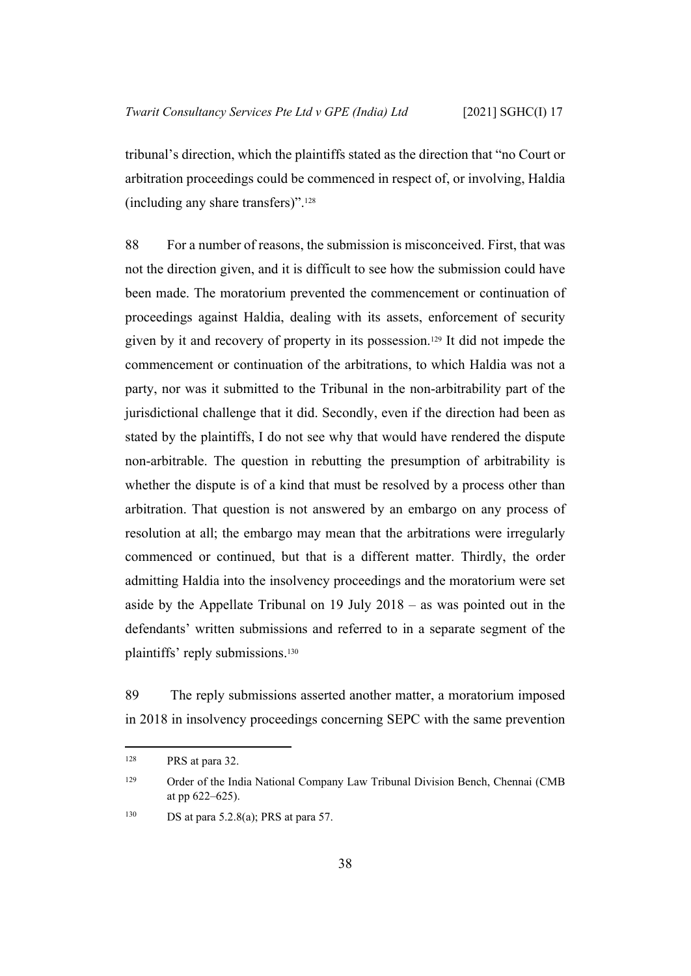tribunal's direction, which the plaintiffs stated as the direction that "no Court or arbitration proceedings could be commenced in respect of, or involving, Haldia (including any share transfers)".<sup>128</sup>

88 For a number of reasons, the submission is misconceived. First, that was not the direction given, and it is difficult to see how the submission could have been made. The moratorium prevented the commencement or continuation of proceedings against Haldia, dealing with its assets, enforcement of security given by it and recovery of property in its possession.129 It did not impede the commencement or continuation of the arbitrations, to which Haldia was not a party, nor was it submitted to the Tribunal in the non-arbitrability part of the jurisdictional challenge that it did. Secondly, even if the direction had been as stated by the plaintiffs, I do not see why that would have rendered the dispute non-arbitrable. The question in rebutting the presumption of arbitrability is whether the dispute is of a kind that must be resolved by a process other than arbitration. That question is not answered by an embargo on any process of resolution at all; the embargo may mean that the arbitrations were irregularly commenced or continued, but that is a different matter. Thirdly, the order admitting Haldia into the insolvency proceedings and the moratorium were set aside by the Appellate Tribunal on 19 July 2018 – as was pointed out in the defendants' written submissions and referred to in a separate segment of the plaintiffs' reply submissions.<sup>130</sup>

89 The reply submissions asserted another matter, a moratorium imposed in 2018 in insolvency proceedings concerning SEPC with the same prevention

<sup>128</sup> PRS at para 32.

<sup>&</sup>lt;sup>129</sup> Order of the India National Company Law Tribunal Division Bench, Chennai (CMB at pp 622–625).

<sup>&</sup>lt;sup>130</sup> DS at para 5.2.8(a); PRS at para 57.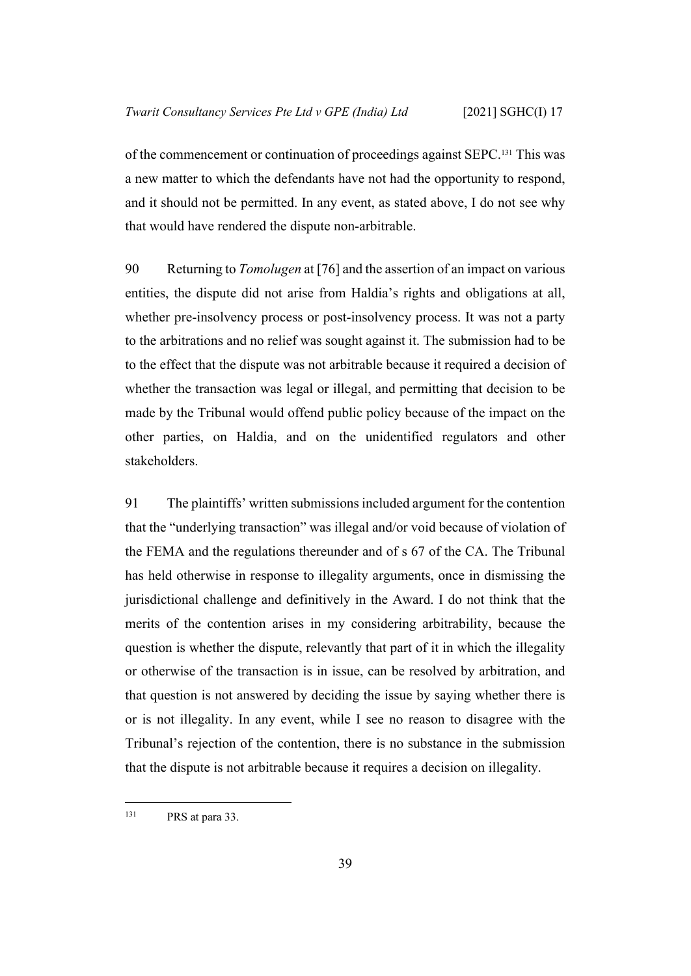of the commencement or continuation of proceedings against SEPC.131 This was a new matter to which the defendants have not had the opportunity to respond, and it should not be permitted. In any event, as stated above, I do not see why that would have rendered the dispute non-arbitrable.

90 Returning to *Tomolugen* at [76] and the assertion of an impact on various entities, the dispute did not arise from Haldia's rights and obligations at all, whether pre-insolvency process or post-insolvency process. It was not a party to the arbitrations and no relief was sought against it. The submission had to be to the effect that the dispute was not arbitrable because it required a decision of whether the transaction was legal or illegal, and permitting that decision to be made by the Tribunal would offend public policy because of the impact on the other parties, on Haldia, and on the unidentified regulators and other stakeholders.

91 The plaintiffs' written submissions included argument for the contention that the "underlying transaction" was illegal and/or void because of violation of the FEMA and the regulations thereunder and of s 67 of the CA. The Tribunal has held otherwise in response to illegality arguments, once in dismissing the jurisdictional challenge and definitively in the Award. I do not think that the merits of the contention arises in my considering arbitrability, because the question is whether the dispute, relevantly that part of it in which the illegality or otherwise of the transaction is in issue, can be resolved by arbitration, and that question is not answered by deciding the issue by saying whether there is or is not illegality. In any event, while I see no reason to disagree with the Tribunal's rejection of the contention, there is no substance in the submission that the dispute is not arbitrable because it requires a decision on illegality.

<sup>&</sup>lt;sup>131</sup> PRS at para 33.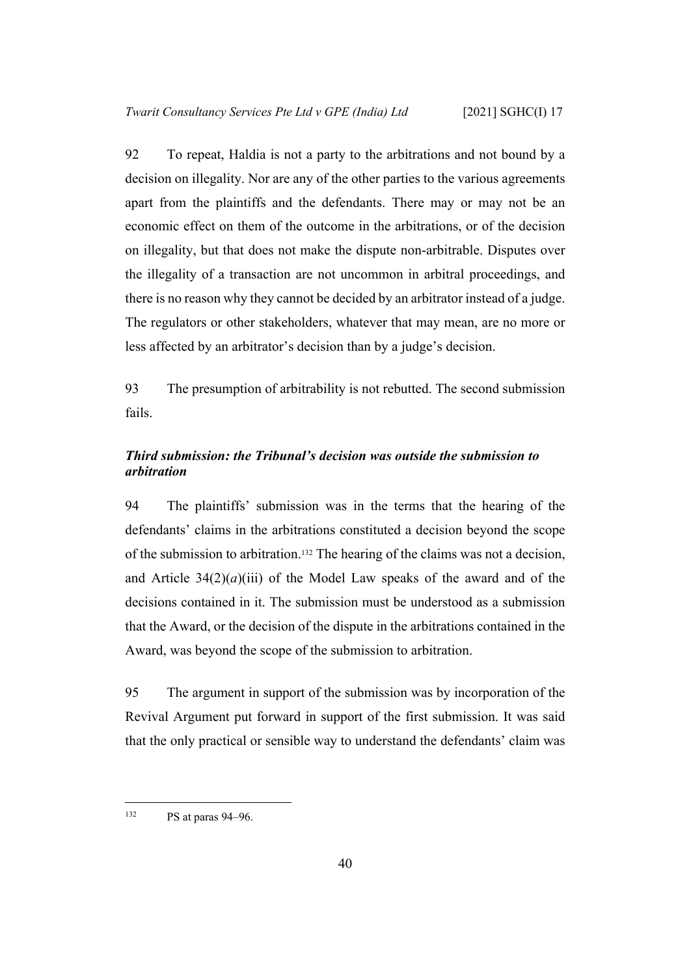92 To repeat, Haldia is not a party to the arbitrations and not bound by a decision on illegality. Nor are any of the other parties to the various agreements apart from the plaintiffs and the defendants. There may or may not be an economic effect on them of the outcome in the arbitrations, or of the decision on illegality, but that does not make the dispute non-arbitrable. Disputes over the illegality of a transaction are not uncommon in arbitral proceedings, and there is no reason why they cannot be decided by an arbitrator instead of a judge. The regulators or other stakeholders, whatever that may mean, are no more or less affected by an arbitrator's decision than by a judge's decision.

93 The presumption of arbitrability is not rebutted. The second submission fails.

## <span id="page-42-0"></span>*Third submission: the Tribunal's decision was outside the submission to arbitration*

94 The plaintiffs' submission was in the terms that the hearing of the defendants' claims in the arbitrations constituted a decision beyond the scope of the submission to arbitration.132 The hearing of the claims was not a decision, and Article  $34(2)(a)(iii)$  of the Model Law speaks of the award and of the decisions contained in it. The submission must be understood as a submission that the Award, or the decision of the dispute in the arbitrations contained in the Award, was beyond the scope of the submission to arbitration.

95 The argument in support of the submission was by incorporation of the Revival Argument put forward in support of the first submission. It was said that the only practical or sensible way to understand the defendants' claim was

 $132$  PS at paras 94–96.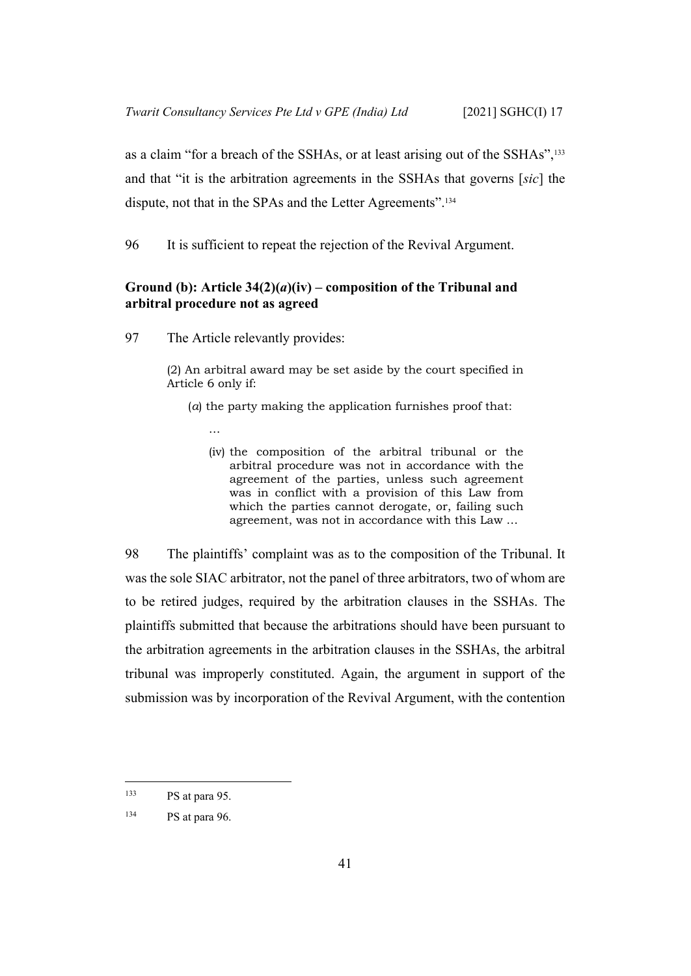as a claim "for a breach of the SSHAs, or at least arising out of the SSHAs",<sup>133</sup> and that "it is the arbitration agreements in the SSHAs that governs [*sic*] the dispute, not that in the SPAs and the Letter Agreements".<sup>134</sup>

96 It is sufficient to repeat the rejection of the Revival Argument.

### <span id="page-43-0"></span>**Ground (b): Article 34(2)(***a***)(iv) – composition of the Tribunal and arbitral procedure not as agreed**

97 The Article relevantly provides:

(2) An arbitral award may be set aside by the court specified in Article 6 only if:

- (*a*) the party making the application furnishes proof that:
	- …
	- (iv) the composition of the arbitral tribunal or the arbitral procedure was not in accordance with the agreement of the parties, unless such agreement was in conflict with a provision of this Law from which the parties cannot derogate, or, failing such agreement, was not in accordance with this Law …

98 The plaintiffs' complaint was as to the composition of the Tribunal. It was the sole SIAC arbitrator, not the panel of three arbitrators, two of whom are to be retired judges, required by the arbitration clauses in the SSHAs. The plaintiffs submitted that because the arbitrations should have been pursuant to the arbitration agreements in the arbitration clauses in the SSHAs, the arbitral tribunal was improperly constituted. Again, the argument in support of the submission was by incorporation of the Revival Argument, with the contention

<sup>133</sup> PS at para 95.

<sup>134</sup> PS at para 96.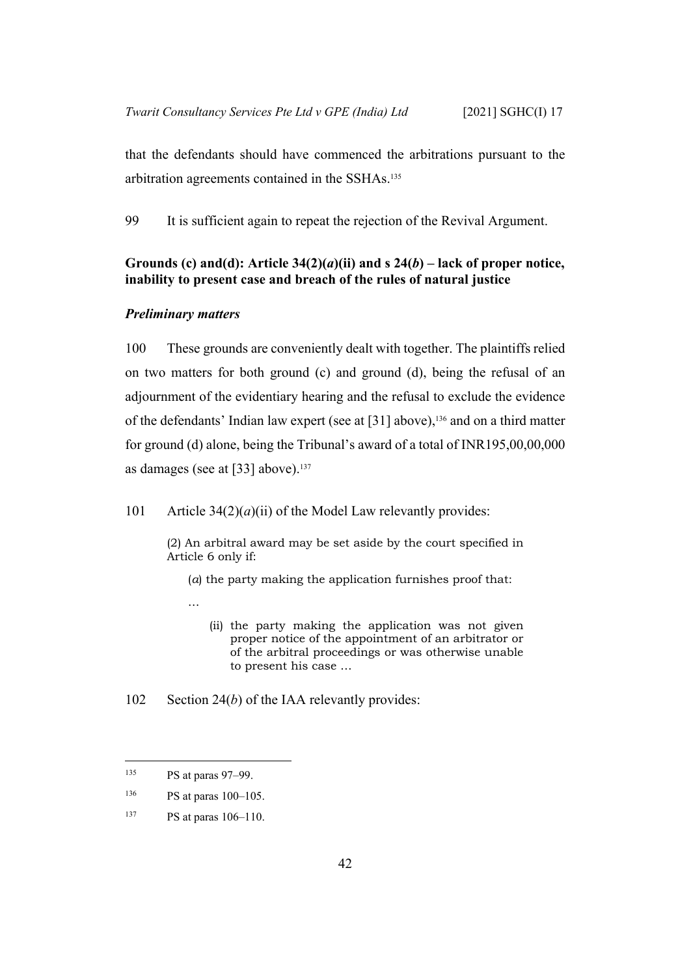that the defendants should have commenced the arbitrations pursuant to the arbitration agreements contained in the SSHAs.<sup>135</sup>

99 It is sufficient again to repeat the rejection of the Revival Argument.

## <span id="page-44-0"></span>Grounds (c) and(d): Article  $34(2)(a)(ii)$  and s  $24(b)$  – lack of proper notice, **inability to present case and breach of the rules of natural justice**

#### <span id="page-44-1"></span>*Preliminary matters*

100 These grounds are conveniently dealt with together. The plaintiffs relied on two matters for both ground (c) and ground (d), being the refusal of an adjournment of the evidentiary hearing and the refusal to exclude the evidence of the defendants' Indian law expert (see at [\[31](#page-16-0)] above),136 and on a third matter for ground (d) alone, being the Tribunal's award of a total of INR195,00,00,000 as damages (see at [[33\]](#page-17-1) above).<sup>137</sup>

101 Article 34(2)(*a*)(ii) of the Model Law relevantly provides:

(2) An arbitral award may be set aside by the court specified in Article 6 only if:

(*a*) the party making the application furnishes proof that:

(ii) the party making the application was not given proper notice of the appointment of an arbitrator or of the arbitral proceedings or was otherwise unable to present his case …

102 Section 24(*b*) of the IAA relevantly provides:

…

<sup>135</sup> PS at paras 97–99.

<sup>136</sup> PS at paras 100–105.

<sup>137</sup> PS at paras 106–110.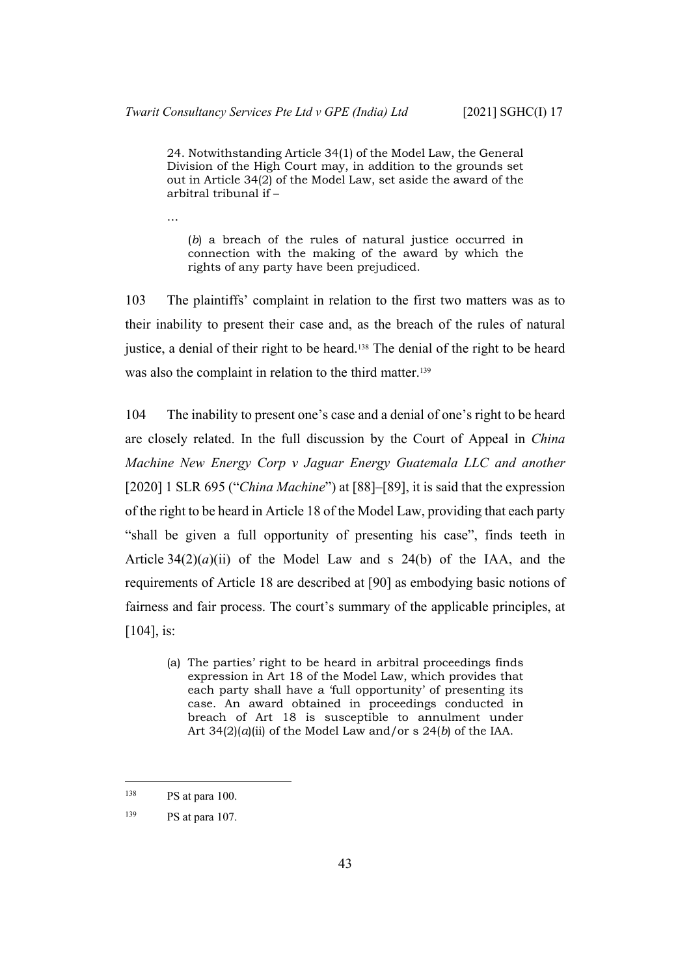24. Notwithstanding Article 34(1) of the Model Law, the General Division of the High Court may, in addition to the grounds set out in Article 34(2) of the Model Law, set aside the award of the arbitral tribunal if –

…

(*b*) a breach of the rules of natural justice occurred in connection with the making of the award by which the rights of any party have been prejudiced.

103 The plaintiffs' complaint in relation to the first two matters was as to their inability to present their case and, as the breach of the rules of natural justice, a denial of their right to be heard.<sup>138</sup> The denial of the right to be heard was also the complaint in relation to the third matter.<sup>139</sup>

104 The inability to present one's case and a denial of one's right to be heard are closely related. In the full discussion by the Court of Appeal in *China Machine New Energy Corp v Jaguar Energy Guatemala LLC and another*  [2020] 1 SLR 695 ("*China Machine*") at [88]–[89], it is said that the expression of the right to be heard in Article 18 of the Model Law, providing that each party "shall be given a full opportunity of presenting his case", finds teeth in Article  $34(2)(a)(ii)$  of the Model Law and s 24(b) of the IAA, and the requirements of Article 18 are described at [90] as embodying basic notions of fairness and fair process. The court's summary of the applicable principles, at [104], is:

(a) The parties' right to be heard in arbitral proceedings finds expression in Art 18 of the Model Law, which provides that each party shall have a 'full opportunity' of presenting its case. An award obtained in proceedings conducted in breach of Art 18 is susceptible to annulment under Art  $34(2)(a)(ii)$  of the Model Law and/or s  $24(b)$  of the IAA.

 $138$  PS at para 100.

<sup>139</sup> PS at para 107.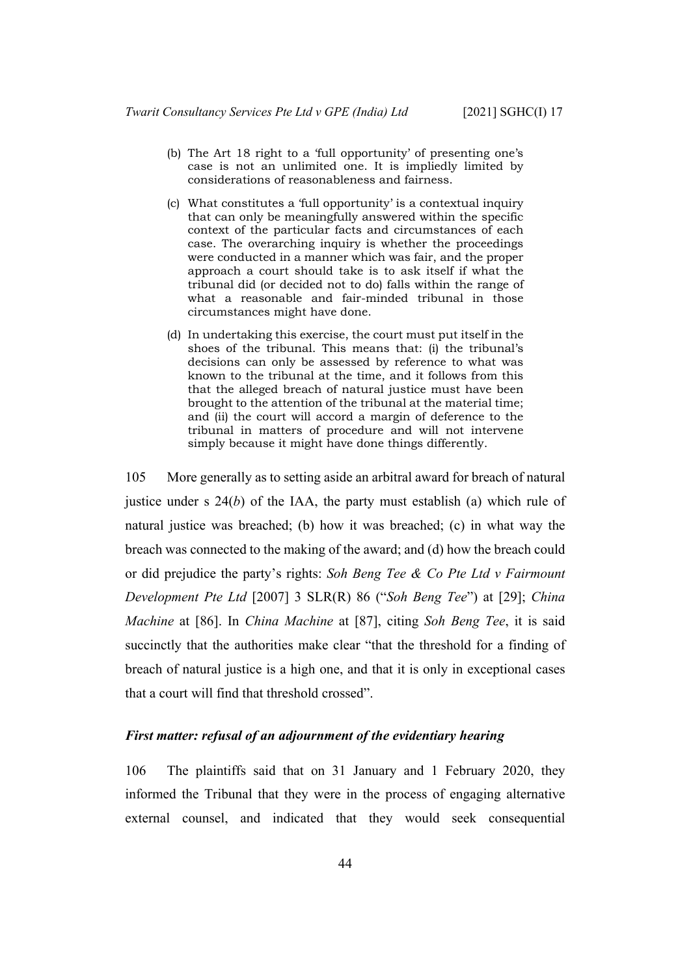- (b) The Art 18 right to a 'full opportunity' of presenting one's case is not an unlimited one. It is impliedly limited by considerations of reasonableness and fairness.
- (c) What constitutes a 'full opportunity' is a contextual inquiry that can only be meaningfully answered within the specific context of the particular facts and circumstances of each case. The overarching inquiry is whether the proceedings were conducted in a manner which was fair, and the proper approach a court should take is to ask itself if what the tribunal did (or decided not to do) falls within the range of what a reasonable and fair-minded tribunal in those circumstances might have done.
- (d) In undertaking this exercise, the court must put itself in the shoes of the tribunal. This means that: (i) the tribunal's decisions can only be assessed by reference to what was known to the tribunal at the time, and it follows from this that the alleged breach of natural justice must have been brought to the attention of the tribunal at the material time; and (ii) the court will accord a margin of deference to the tribunal in matters of procedure and will not intervene simply because it might have done things differently.

105 More generally as to setting aside an arbitral award for breach of natural justice under s 24(*b*) of the IAA, the party must establish (a) which rule of natural justice was breached; (b) how it was breached; (c) in what way the breach was connected to the making of the award; and (d) how the breach could or did prejudice the party's rights: *Soh Beng Tee & Co Pte Ltd v Fairmount Development Pte Ltd* [2007] 3 SLR(R) 86 ("*Soh Beng Tee*") at [29]; *China Machine* at [86]. In *China Machine* at [87], citing *Soh Beng Tee*, it is said succinctly that the authorities make clear "that the threshold for a finding of breach of natural justice is a high one, and that it is only in exceptional cases that a court will find that threshold crossed".

#### <span id="page-46-0"></span>*First matter: refusal of an adjournment of the evidentiary hearing*

106 The plaintiffs said that on 31 January and 1 February 2020, they informed the Tribunal that they were in the process of engaging alternative external counsel, and indicated that they would seek consequential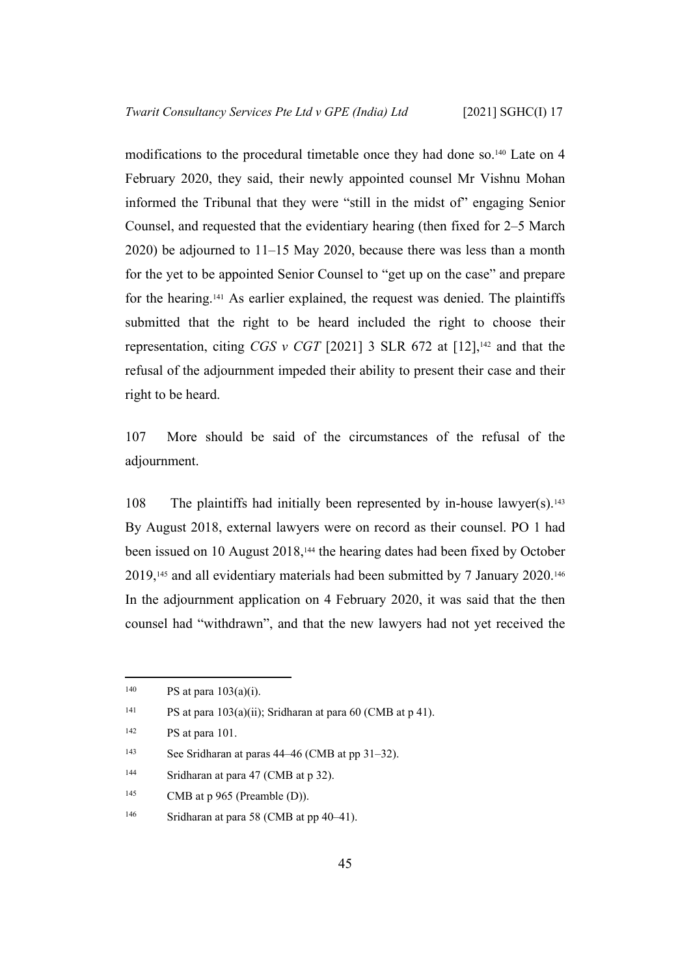modifications to the procedural timetable once they had done so.140 Late on 4 February 2020, they said, their newly appointed counsel Mr Vishnu Mohan informed the Tribunal that they were "still in the midst of" engaging Senior Counsel, and requested that the evidentiary hearing (then fixed for 2–5 March 2020) be adjourned to 11–15 May 2020, because there was less than a month for the yet to be appointed Senior Counsel to "get up on the case" and prepare for the hearing.141 As earlier explained, the request was denied. The plaintiffs submitted that the right to be heard included the right to choose their representation, citing *CGS v CGT* [2021] 3 SLR 672 at  $[12]$ ,<sup>142</sup> and that the refusal of the adjournment impeded their ability to present their case and their right to be heard.

107 More should be said of the circumstances of the refusal of the adjournment.

108 The plaintiffs had initially been represented by in-house lawyer(s).<sup>143</sup> By August 2018, external lawyers were on record as their counsel. PO 1 had been issued on 10 August 2018,144 the hearing dates had been fixed by October 2019,145 and all evidentiary materials had been submitted by 7 January 2020.<sup>146</sup> In the adjournment application on 4 February 2020, it was said that the then counsel had "withdrawn", and that the new lawyers had not yet received the

<sup>145</sup> CMB at p  $965$  (Preamble (D)).

<sup>&</sup>lt;sup>140</sup> PS at para  $103(a)(i)$ .

<sup>&</sup>lt;sup>141</sup> PS at para 103(a)(ii); Sridharan at para 60 (CMB at p 41).

 $142$  PS at para 101.

<sup>143</sup> See Sridharan at paras 44–46 (CMB at pp 31–32).

<sup>&</sup>lt;sup>144</sup> Sridharan at para 47 (CMB at p 32).

<sup>&</sup>lt;sup>146</sup> Sridharan at para 58 (CMB at pp 40–41).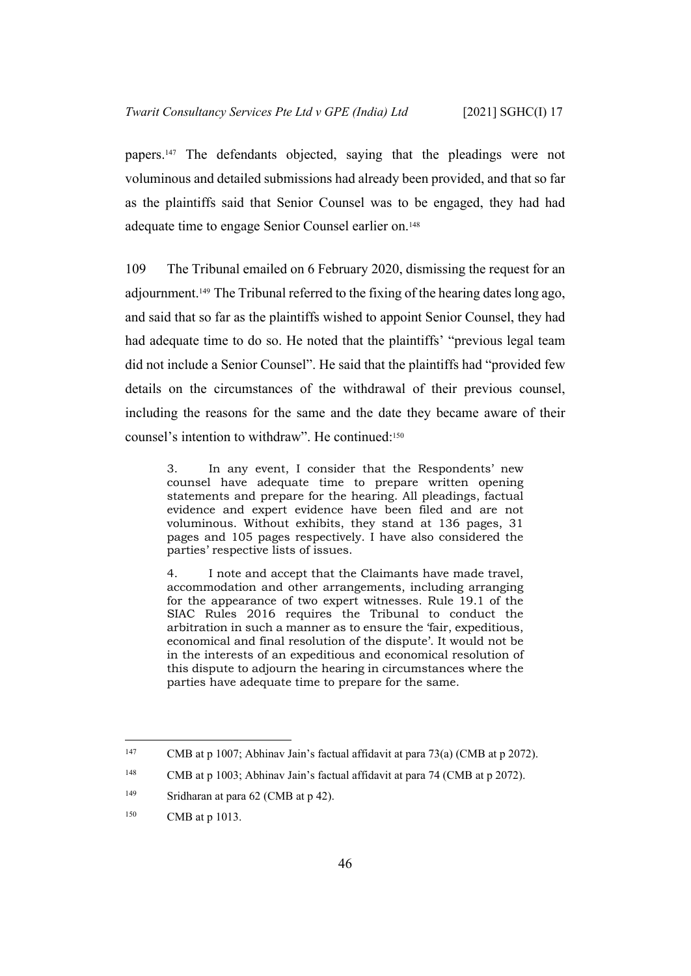papers.147 The defendants objected, saying that the pleadings were not voluminous and detailed submissions had already been provided, and that so far as the plaintiffs said that Senior Counsel was to be engaged, they had had adequate time to engage Senior Counsel earlier on.<sup>148</sup>

109 The Tribunal emailed on 6 February 2020, dismissing the request for an adjournment.149 The Tribunal referred to the fixing of the hearing dates long ago, and said that so far as the plaintiffs wished to appoint Senior Counsel, they had had adequate time to do so. He noted that the plaintiffs' "previous legal team did not include a Senior Counsel". He said that the plaintiffs had "provided few details on the circumstances of the withdrawal of their previous counsel, including the reasons for the same and the date they became aware of their counsel's intention to withdraw". He continued:<sup>150</sup>

3. In any event, I consider that the Respondents' new counsel have adequate time to prepare written opening statements and prepare for the hearing. All pleadings, factual evidence and expert evidence have been filed and are not voluminous. Without exhibits, they stand at 136 pages, 31 pages and 105 pages respectively. I have also considered the parties' respective lists of issues.

4. I note and accept that the Claimants have made travel, accommodation and other arrangements, including arranging for the appearance of two expert witnesses. Rule 19.1 of the SIAC Rules 2016 requires the Tribunal to conduct the arbitration in such a manner as to ensure the 'fair, expeditious, economical and final resolution of the dispute'. It would not be in the interests of an expeditious and economical resolution of this dispute to adjourn the hearing in circumstances where the parties have adequate time to prepare for the same.

<sup>&</sup>lt;sup>147</sup> CMB at p 1007; Abhinav Jain's factual affidavit at para 73(a) (CMB at p 2072).

<sup>&</sup>lt;sup>148</sup> CMB at p 1003; Abhinav Jain's factual affidavit at para 74 (CMB at p 2072).

<sup>149</sup> Sridharan at para 62 (CMB at p 42).

<sup>150</sup> CMB at p 1013.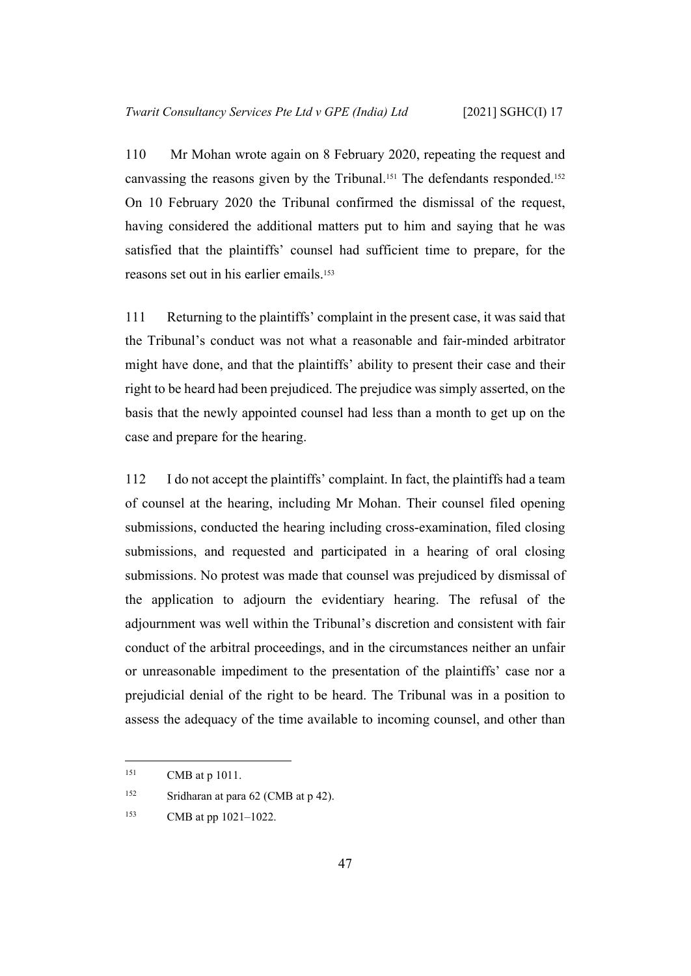110 Mr Mohan wrote again on 8 February 2020, repeating the request and canvassing the reasons given by the Tribunal.151 The defendants responded.<sup>152</sup> On 10 February 2020 the Tribunal confirmed the dismissal of the request, having considered the additional matters put to him and saying that he was satisfied that the plaintiffs' counsel had sufficient time to prepare, for the reasons set out in his earlier emails.<sup>153</sup>

111 Returning to the plaintiffs' complaint in the present case, it was said that the Tribunal's conduct was not what a reasonable and fair-minded arbitrator might have done, and that the plaintiffs' ability to present their case and their right to be heard had been prejudiced. The prejudice was simply asserted, on the basis that the newly appointed counsel had less than a month to get up on the case and prepare for the hearing.

112 I do not accept the plaintiffs' complaint. In fact, the plaintiffs had a team of counsel at the hearing, including Mr Mohan. Their counsel filed opening submissions, conducted the hearing including cross-examination, filed closing submissions, and requested and participated in a hearing of oral closing submissions. No protest was made that counsel was prejudiced by dismissal of the application to adjourn the evidentiary hearing. The refusal of the adjournment was well within the Tribunal's discretion and consistent with fair conduct of the arbitral proceedings, and in the circumstances neither an unfair or unreasonable impediment to the presentation of the plaintiffs' case nor a prejudicial denial of the right to be heard. The Tribunal was in a position to assess the adequacy of the time available to incoming counsel, and other than

<sup>151</sup> CMB at p 1011.

<sup>152</sup> Sridharan at para 62 (CMB at p 42).

<sup>153</sup> CMB at pp 1021–1022.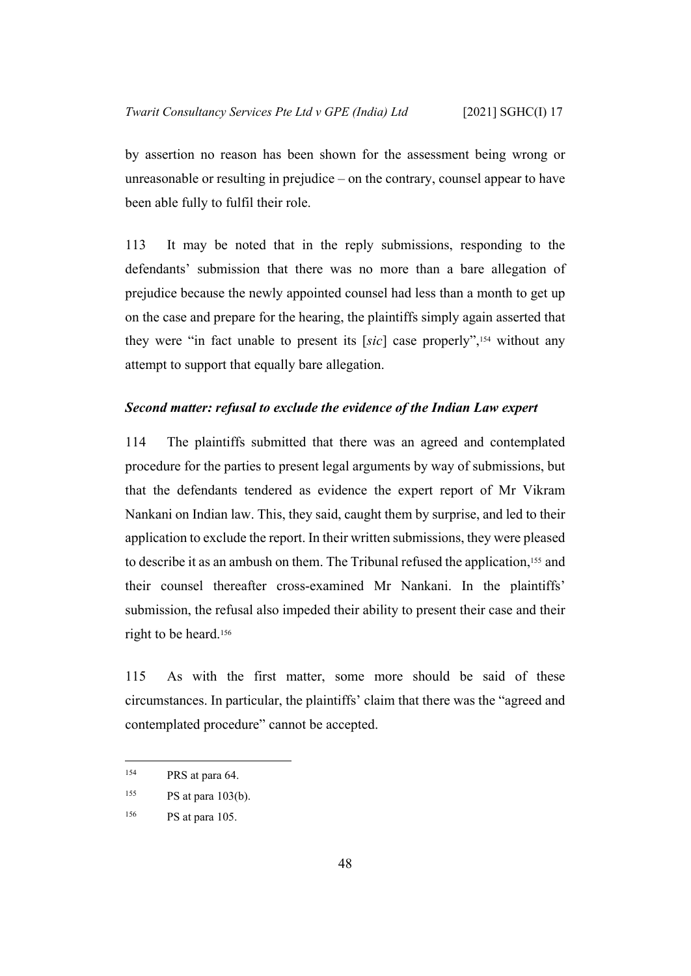by assertion no reason has been shown for the assessment being wrong or unreasonable or resulting in prejudice – on the contrary, counsel appear to have been able fully to fulfil their role.

113 It may be noted that in the reply submissions, responding to the defendants' submission that there was no more than a bare allegation of prejudice because the newly appointed counsel had less than a month to get up on the case and prepare for the hearing, the plaintiffs simply again asserted that they were "in fact unable to present its [*sic*] case properly",154 without any attempt to support that equally bare allegation.

#### <span id="page-50-0"></span>*Second matter: refusal to exclude the evidence of the Indian Law expert*

114 The plaintiffs submitted that there was an agreed and contemplated procedure for the parties to present legal arguments by way of submissions, but that the defendants tendered as evidence the expert report of Mr Vikram Nankani on Indian law. This, they said, caught them by surprise, and led to their application to exclude the report. In their written submissions, they were pleased to describe it as an ambush on them. The Tribunal refused the application,155 and their counsel thereafter cross-examined Mr Nankani. In the plaintiffs' submission, the refusal also impeded their ability to present their case and their right to be heard.<sup>156</sup>

115 As with the first matter, some more should be said of these circumstances. In particular, the plaintiffs' claim that there was the "agreed and contemplated procedure" cannot be accepted.

<sup>&</sup>lt;sup>154</sup> PRS at para 64.

 $^{155}$  PS at para 103(b).

<sup>156</sup> PS at para 105.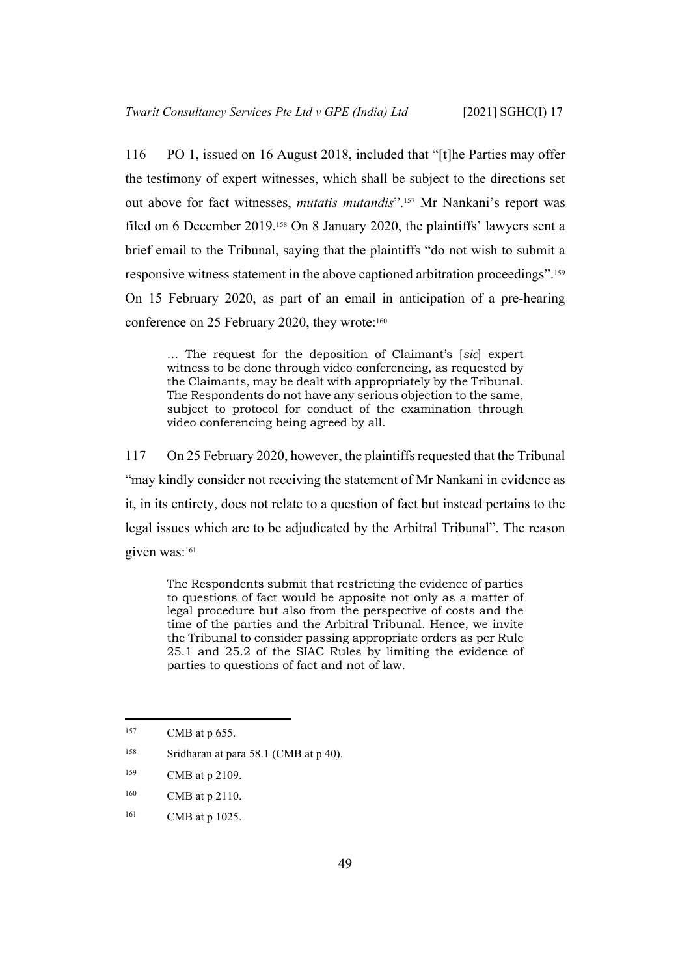116 PO 1, issued on 16 August 2018, included that "[t]he Parties may offer the testimony of expert witnesses, which shall be subject to the directions set out above for fact witnesses, *mutatis mutandis*".157 Mr Nankani's report was filed on 6 December 2019.158 On 8 January 2020, the plaintiffs' lawyers sent a brief email to the Tribunal, saying that the plaintiffs "do not wish to submit a responsive witness statement in the above captioned arbitration proceedings".<sup>159</sup> On 15 February 2020, as part of an email in anticipation of a pre-hearing conference on 25 February 2020, they wrote:<sup>160</sup>

… The request for the deposition of Claimant's [*sic*] expert witness to be done through video conferencing, as requested by the Claimants, may be dealt with appropriately by the Tribunal. The Respondents do not have any serious objection to the same, subject to protocol for conduct of the examination through video conferencing being agreed by all.

117 On 25 February 2020, however, the plaintiffs requested that the Tribunal "may kindly consider not receiving the statement of Mr Nankani in evidence as it, in its entirety, does not relate to a question of fact but instead pertains to the legal issues which are to be adjudicated by the Arbitral Tribunal". The reason given was:<sup>161</sup>

The Respondents submit that restricting the evidence of parties to questions of fact would be apposite not only as a matter of legal procedure but also from the perspective of costs and the time of the parties and the Arbitral Tribunal. Hence, we invite the Tribunal to consider passing appropriate orders as per Rule 25.1 and 25.2 of the SIAC Rules by limiting the evidence of parties to questions of fact and not of law.

- <sup>160</sup> CMB at p 2110.
- <sup>161</sup> CMB at p 1025.

<sup>&</sup>lt;sup>157</sup> CMB at p 655.

<sup>&</sup>lt;sup>158</sup> Sridharan at para 58.1 (CMB at p 40).

<sup>159</sup> CMB at p 2109.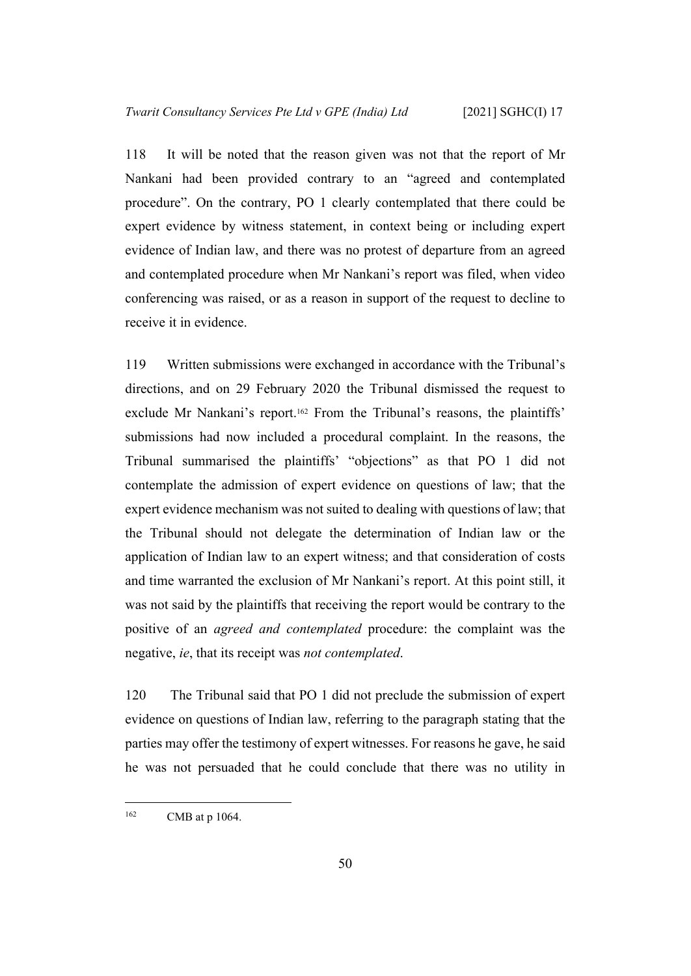118 It will be noted that the reason given was not that the report of Mr Nankani had been provided contrary to an "agreed and contemplated procedure". On the contrary, PO 1 clearly contemplated that there could be expert evidence by witness statement, in context being or including expert evidence of Indian law, and there was no protest of departure from an agreed and contemplated procedure when Mr Nankani's report was filed, when video conferencing was raised, or as a reason in support of the request to decline to receive it in evidence.

119 Written submissions were exchanged in accordance with the Tribunal's directions, and on 29 February 2020 the Tribunal dismissed the request to exclude Mr Nankani's report.162 From the Tribunal's reasons, the plaintiffs' submissions had now included a procedural complaint. In the reasons, the Tribunal summarised the plaintiffs' "objections" as that PO 1 did not contemplate the admission of expert evidence on questions of law; that the expert evidence mechanism was not suited to dealing with questions of law; that the Tribunal should not delegate the determination of Indian law or the application of Indian law to an expert witness; and that consideration of costs and time warranted the exclusion of Mr Nankani's report. At this point still, it was not said by the plaintiffs that receiving the report would be contrary to the positive of an *agreed and contemplated* procedure: the complaint was the negative, *ie*, that its receipt was *not contemplated*.

120 The Tribunal said that PO 1 did not preclude the submission of expert evidence on questions of Indian law, referring to the paragraph stating that the parties may offer the testimony of expert witnesses. For reasons he gave, he said he was not persuaded that he could conclude that there was no utility in

<sup>&</sup>lt;sup>162</sup> CMB at p 1064.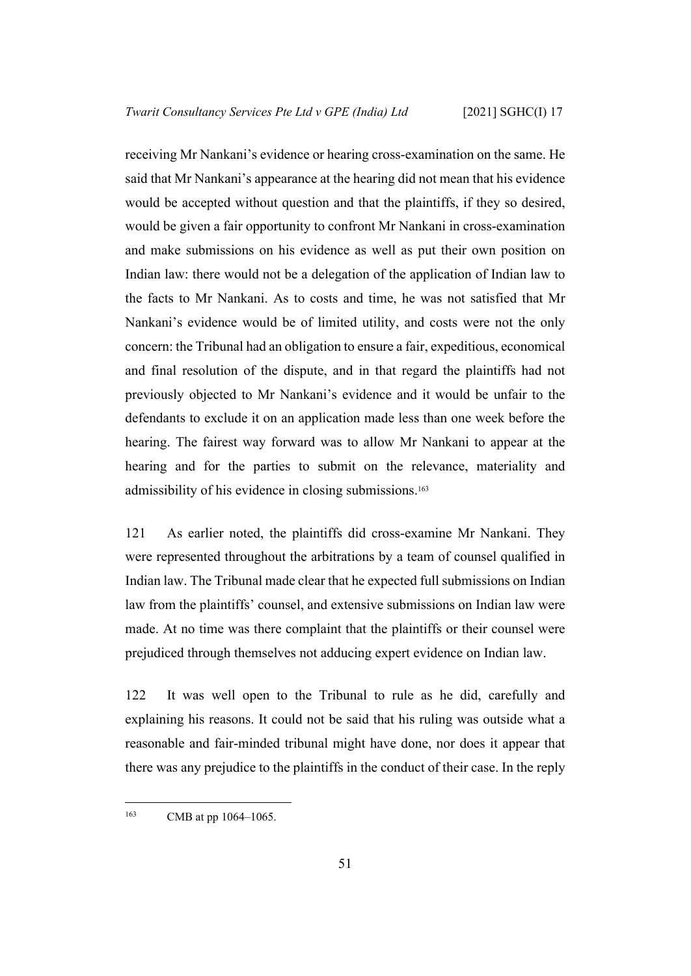receiving Mr Nankani's evidence or hearing cross-examination on the same. He said that Mr Nankani's appearance at the hearing did not mean that his evidence would be accepted without question and that the plaintiffs, if they so desired, would be given a fair opportunity to confront Mr Nankani in cross-examination and make submissions on his evidence as well as put their own position on Indian law: there would not be a delegation of the application of Indian law to the facts to Mr Nankani. As to costs and time, he was not satisfied that Mr Nankani's evidence would be of limited utility, and costs were not the only concern: the Tribunal had an obligation to ensure a fair, expeditious, economical and final resolution of the dispute, and in that regard the plaintiffs had not previously objected to Mr Nankani's evidence and it would be unfair to the defendants to exclude it on an application made less than one week before the hearing. The fairest way forward was to allow Mr Nankani to appear at the hearing and for the parties to submit on the relevance, materiality and admissibility of his evidence in closing submissions.<sup>163</sup>

121 As earlier noted, the plaintiffs did cross-examine Mr Nankani. They were represented throughout the arbitrations by a team of counsel qualified in Indian law. The Tribunal made clear that he expected full submissions on Indian law from the plaintiffs' counsel, and extensive submissions on Indian law were made. At no time was there complaint that the plaintiffs or their counsel were prejudiced through themselves not adducing expert evidence on Indian law.

122 It was well open to the Tribunal to rule as he did, carefully and explaining his reasons. It could not be said that his ruling was outside what a reasonable and fair-minded tribunal might have done, nor does it appear that there was any prejudice to the plaintiffs in the conduct of their case. In the reply

<sup>&</sup>lt;sup>163</sup> CMB at pp 1064–1065.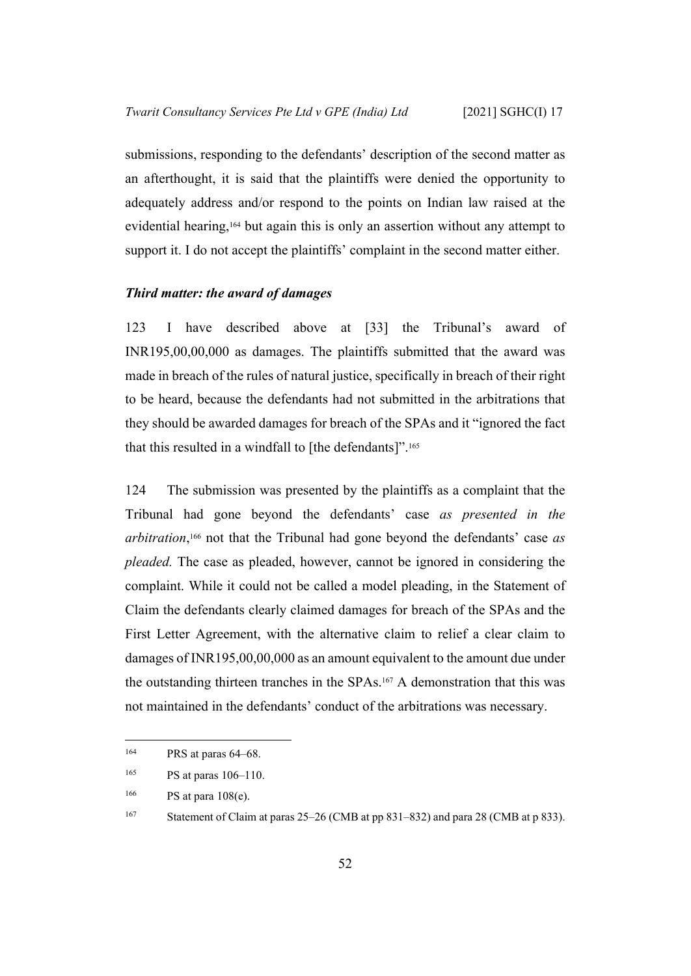submissions, responding to the defendants' description of the second matter as an afterthought, it is said that the plaintiffs were denied the opportunity to adequately address and/or respond to the points on Indian law raised at the evidential hearing,164 but again this is only an assertion without any attempt to support it. I do not accept the plaintiffs' complaint in the second matter either.

#### <span id="page-54-0"></span>*Third matter: the award of damages*

123 I have described above at [[33\]](#page-17-1) the Tribunal's award of INR195,00,00,000 as damages. The plaintiffs submitted that the award was made in breach of the rules of natural justice, specifically in breach of their right to be heard, because the defendants had not submitted in the arbitrations that they should be awarded damages for breach of the SPAs and it "ignored the fact that this resulted in a windfall to [the defendants]".<sup>165</sup>

124 The submission was presented by the plaintiffs as a complaint that the Tribunal had gone beyond the defendants' case *as presented in the arbitration*, <sup>166</sup> not that the Tribunal had gone beyond the defendants' case *as pleaded.* The case as pleaded, however, cannot be ignored in considering the complaint. While it could not be called a model pleading, in the Statement of Claim the defendants clearly claimed damages for breach of the SPAs and the First Letter Agreement, with the alternative claim to relief a clear claim to damages of INR195,00,00,000 as an amount equivalent to the amount due under the outstanding thirteen tranches in the SPAs.167 A demonstration that this was not maintained in the defendants' conduct of the arbitrations was necessary.

<sup>164</sup> PRS at paras 64–68.

<sup>165</sup> PS at paras 106–110.

<sup>166</sup> PS at para 108(e).

<sup>167</sup> Statement of Claim at paras 25–26 (CMB at pp 831–832) and para 28 (CMB at p 833).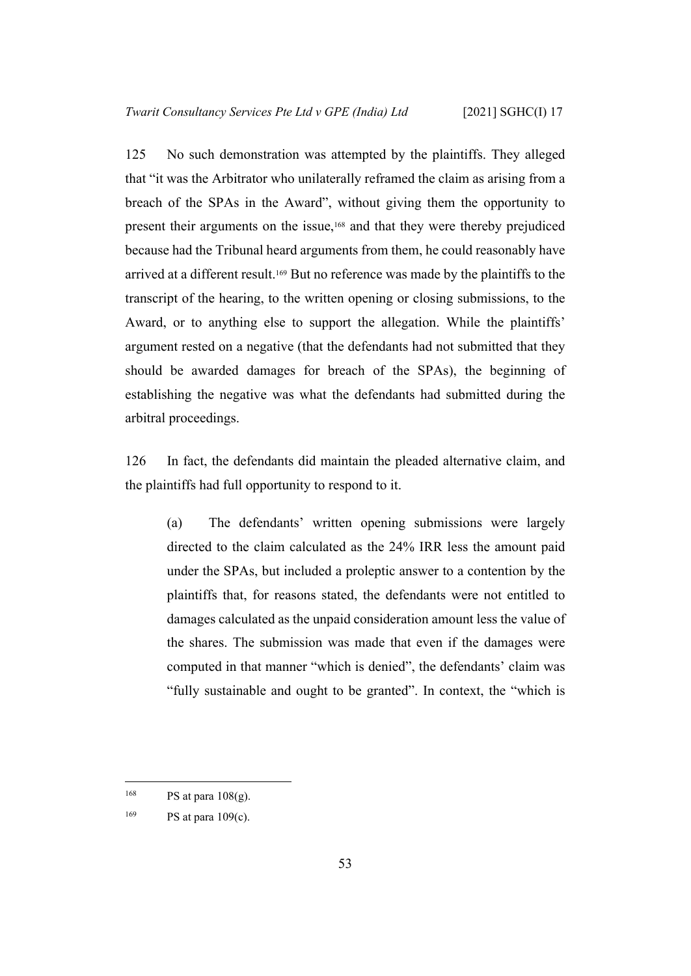125 No such demonstration was attempted by the plaintiffs. They alleged that "it was the Arbitrator who unilaterally reframed the claim as arising from a breach of the SPAs in the Award", without giving them the opportunity to present their arguments on the issue,168 and that they were thereby prejudiced because had the Tribunal heard arguments from them, he could reasonably have arrived at a different result.169 But no reference was made by the plaintiffs to the transcript of the hearing, to the written opening or closing submissions, to the Award, or to anything else to support the allegation. While the plaintiffs' argument rested on a negative (that the defendants had not submitted that they should be awarded damages for breach of the SPAs), the beginning of establishing the negative was what the defendants had submitted during the arbitral proceedings.

126 In fact, the defendants did maintain the pleaded alternative claim, and the plaintiffs had full opportunity to respond to it.

(a) The defendants' written opening submissions were largely directed to the claim calculated as the 24% IRR less the amount paid under the SPAs, but included a proleptic answer to a contention by the plaintiffs that, for reasons stated, the defendants were not entitled to damages calculated as the unpaid consideration amount less the value of the shares. The submission was made that even if the damages were computed in that manner "which is denied", the defendants' claim was "fully sustainable and ought to be granted". In context, the "which is

<sup>&</sup>lt;sup>168</sup> PS at para  $108(g)$ .

 $^{169}$  PS at para 109(c).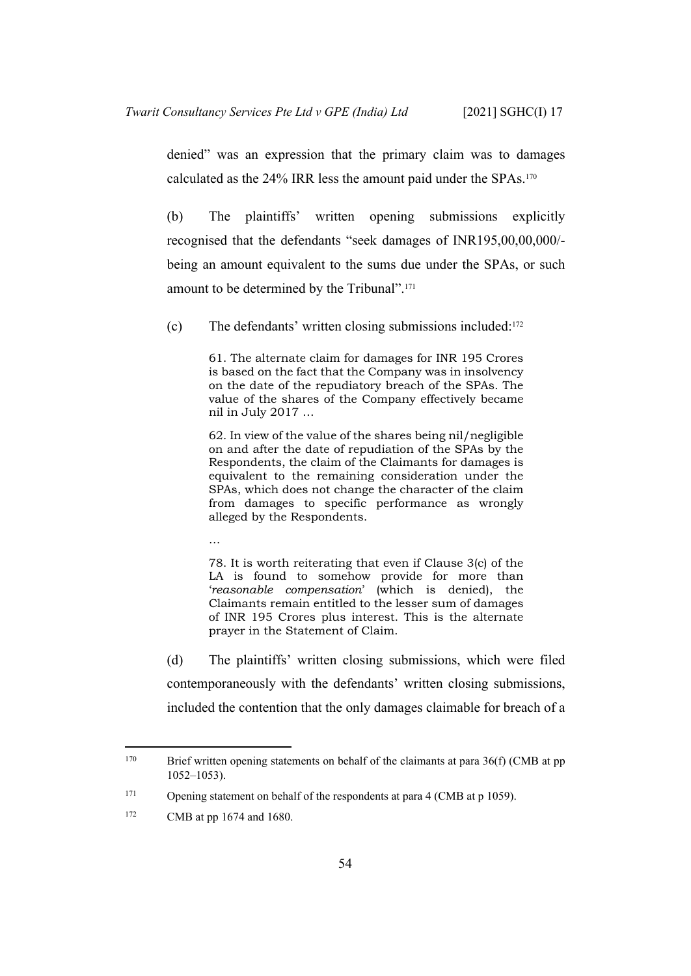denied" was an expression that the primary claim was to damages calculated as the 24% IRR less the amount paid under the SPAs.<sup>170</sup>

(b) The plaintiffs' written opening submissions explicitly recognised that the defendants "seek damages of INR195,00,00,000/ being an amount equivalent to the sums due under the SPAs, or such amount to be determined by the Tribunal".<sup>171</sup>

<span id="page-56-0"></span>(c) The defendants' written closing submissions included:<sup>172</sup>

61. The alternate claim for damages for INR 195 Crores is based on the fact that the Company was in insolvency on the date of the repudiatory breach of the SPAs. The value of the shares of the Company effectively became nil in July 2017 …

62. In view of the value of the shares being nil/negligible on and after the date of repudiation of the SPAs by the Respondents, the claim of the Claimants for damages is equivalent to the remaining consideration under the SPAs, which does not change the character of the claim from damages to specific performance as wrongly alleged by the Respondents.

…

78. It is worth reiterating that even if Clause 3(c) of the LA is found to somehow provide for more than '*reasonable compensation*' (which is denied), the Claimants remain entitled to the lesser sum of damages of INR 195 Crores plus interest. This is the alternate prayer in the Statement of Claim.

(d) The plaintiffs' written closing submissions, which were filed contemporaneously with the defendants' written closing submissions, included the contention that the only damages claimable for breach of a

<sup>&</sup>lt;sup>170</sup> Brief written opening statements on behalf of the claimants at para  $36(f)$  (CMB at pp 1052–1053).

<sup>&</sup>lt;sup>171</sup> Opening statement on behalf of the respondents at para 4 (CMB at p 1059).

<sup>172</sup> CMB at pp 1674 and 1680.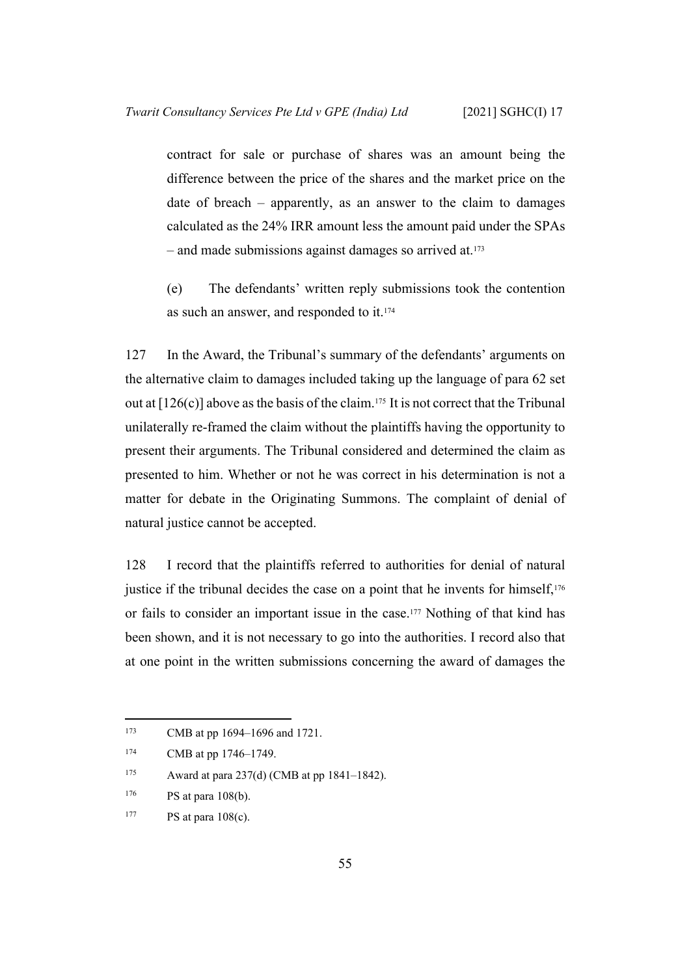contract for sale or purchase of shares was an amount being the difference between the price of the shares and the market price on the date of breach – apparently, as an answer to the claim to damages calculated as the 24% IRR amount less the amount paid under the SPAs – and made submissions against damages so arrived at.<sup>173</sup>

(e) The defendants' written reply submissions took the contention as such an answer, and responded to it.<sup>174</sup>

127 In the Award, the Tribunal's summary of the defendants' arguments on the alternative claim to damages included taking up the language of para 62 set out at  $[126(c)]$  $[126(c)]$  above as the basis of the claim.<sup>175</sup> It is not correct that the Tribunal unilaterally re-framed the claim without the plaintiffs having the opportunity to present their arguments. The Tribunal considered and determined the claim as presented to him. Whether or not he was correct in his determination is not a matter for debate in the Originating Summons. The complaint of denial of natural justice cannot be accepted.

128 I record that the plaintiffs referred to authorities for denial of natural justice if the tribunal decides the case on a point that he invents for himself,<sup>176</sup> or fails to consider an important issue in the case.177 Nothing of that kind has been shown, and it is not necessary to go into the authorities. I record also that at one point in the written submissions concerning the award of damages the

<sup>173</sup> CMB at pp 1694–1696 and 1721.

<sup>&</sup>lt;sup>174</sup> CMB at pp 1746–1749.

<sup>&</sup>lt;sup>175</sup> Award at para 237(d) (CMB at pp 1841–1842).

 $176$  PS at para 108(b).

 $177$  PS at para  $108(c)$ .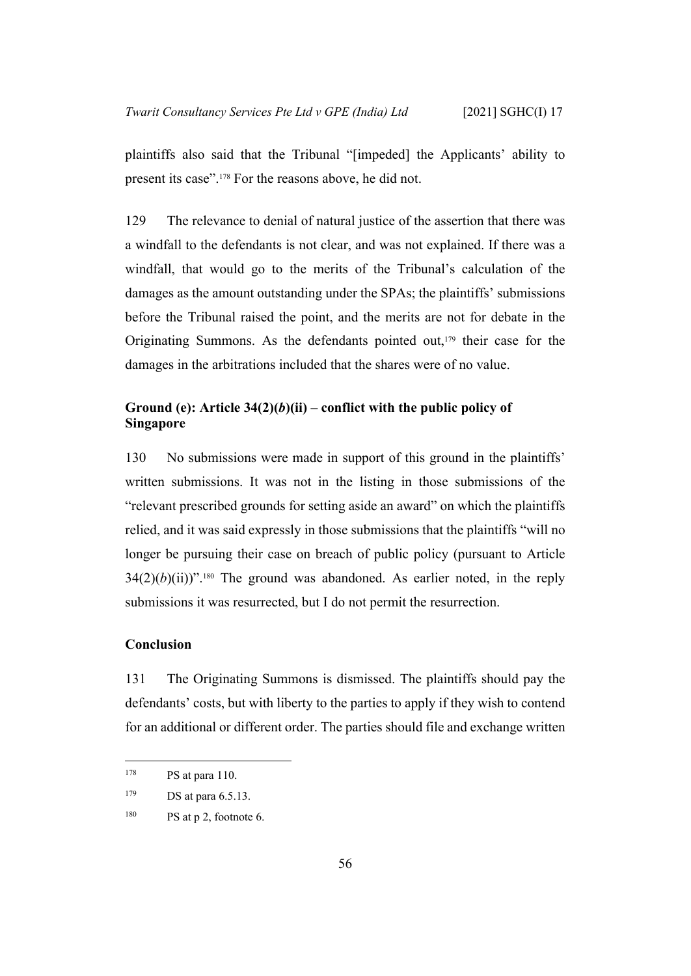plaintiffs also said that the Tribunal "[impeded] the Applicants' ability to present its case".178 For the reasons above, he did not.

129 The relevance to denial of natural justice of the assertion that there was a windfall to the defendants is not clear, and was not explained. If there was a windfall, that would go to the merits of the Tribunal's calculation of the damages as the amount outstanding under the SPAs; the plaintiffs' submissions before the Tribunal raised the point, and the merits are not for debate in the Originating Summons. As the defendants pointed out,179 their case for the damages in the arbitrations included that the shares were of no value.

## <span id="page-58-0"></span>Ground (e): Article  $34(2)(b)(ii)$  – conflict with the public policy of **Singapore**

130 No submissions were made in support of this ground in the plaintiffs' written submissions. It was not in the listing in those submissions of the "relevant prescribed grounds for setting aside an award" on which the plaintiffs relied, and it was said expressly in those submissions that the plaintiffs "will no longer be pursuing their case on breach of public policy (pursuant to Article  $34(2)(b)(ii)$ <sup>".180</sup> The ground was abandoned. As earlier noted, in the reply submissions it was resurrected, but I do not permit the resurrection.

#### <span id="page-58-1"></span>**Conclusion**

131 The Originating Summons is dismissed. The plaintiffs should pay the defendants' costs, but with liberty to the parties to apply if they wish to contend for an additional or different order. The parties should file and exchange written

<sup>178</sup> **PS** at para 110.

<sup>&</sup>lt;sup>179</sup> DS at para 6.5.13.

 $180$  PS at p 2, footnote 6.